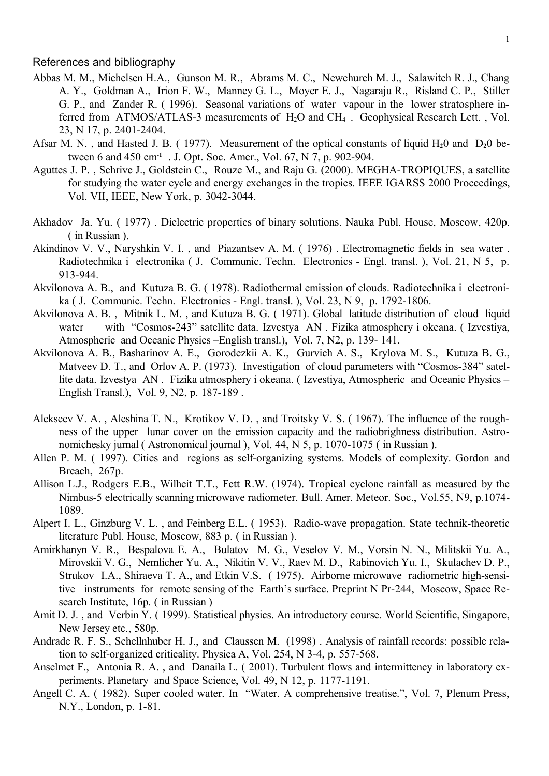## References and bibliography

- Abbas M. M., Michelsen H.A., Gunson M. R., Abrams M. C., Newchurch M. J., Salawitch R. J., Chang A. Y., Goldman A., Irion F. W., Manney G. L., Moyer E. J., Nagaraju R., Risland C. P., Stiller G. P., and Zander R. ( 1996). Seasonal variations of water vapour in the lower stratosphere inferred from ATMOS/ATLAS-3 measurements of H<sub>2</sub>O and CH<sub>4</sub>. Geophysical Research Lett., Vol. 23, N 17, p. 2401-2404.
- Afsar M. N. , and Hasted J. B. ( 1977). Measurement of the optical constants of liquid H**2**0 and D**2**0 between 6 and 450 cm<sup>-1</sup> . J. Opt. Soc. Amer., Vol. 67, N 7, p. 902-904.
- Aguttes J. P., Schrive J., Goldstein C., Rouze M., and Raju G. (2000). MEGHA-TROPIOUES, a satellite for studying the water cycle and energy exchanges in the tropics. IEEE IGARSS 2000 Proceedings, Vol. VII, IEEE, New York, p. 3042-3044.
- Akhadov Ja. Yu. ( 1977) . Dielectric properties of binary solutions. Nauka Publ. House, Moscow, 420p. ( in Russian ).
- Akindinov V. V., Naryshkin V. I. , and Piazantsev A. M. ( 1976) . Electromagnetic fields in sea water . Radiotechnika i electronika ( J. Communic. Techn. Electronics - Engl. transl.), Vol. 21, N 5, p. 913944.
- Akvilonova A. B., and Kutuza B. G. ( 1978). Radiothermal emission of clouds. Radiotechnika i electronika ( J. Communic. Techn. Electronics - Engl. transl. ), Vol. 23, N 9, p. 1792-1806.
- Akvilonova A. B. , Mitnik L. M. , and Kutuza B. G. ( 1971). Global latitude distribution of cloud liquid water with "Cosmos-243" satellite data. Izvestya AN. Fizika atmosphery i okeana. (Izvestiya, Atmospheric and Oceanic Physics –English transl.), Vol. 7, N2, p. 139-141.
- Akvilonova A. B., Basharinov A. E., Gorodezkii A. K., Gurvich A. S., Krylova M. S., Kutuza B. G., Matveev D. T., and Orlov A. P. (1973). Investigation of cloud parameters with "Cosmos-384" satellite data. Izvestya AN . Fizika atmosphery i okeana. ( Izvestiya, Atmospheric and Oceanic Physics – English Transl.), Vol. 9, N2, p. 187-189.
- Alekseev V. A. , Aleshina T. N., Krotikov V. D. , and Troitsky V. S. ( 1967). The influence of the roughness of the upper lunar cover on the emission capacity and the radiobrighness distribution. Astronomichesky jurnal (Astronomical journal), Vol. 44, N 5, p. 1070-1075 (in Russian).
- Allen P. M. (1997). Cities and regions as self-organizing systems. Models of complexity. Gordon and Breach, 267p.
- Allison L.J., Rodgers E.B., Wilheit T.T., Fett R.W. (1974). Tropical сyclone rainfall as measured by the Nimbus-5 electrically scanning microwave radiometer. Bull. Amer. Meteor. Soc., Vol.55, N9, p.1074-1089.
- Alpert I. L., Ginzburg V. L., and Feinberg E.L. (1953). Radio-wave propagation. State technik-theoretic literature Publ. House, Moscow, 883 p. ( in Russian ).
- Amirkhanyn V. R., Bespalova E. A., Bulatov M. G., Veselov V. M., Vorsin N. N., Militskii Yu. A., Mirovskii V. G., Nemlicher Yu. A., Nikitin V. V., Raev M. D., Rabinovich Yu. I., Skulachev D. P., Strukov I.A., Shiraeva T. A., and Etkin V.S. (1975). Airborne microwave radiometric high-sensitive instruments for remote sensing of the Earth's surface. Preprint N Pr-244, Moscow, Space Research Institute, 16p. ( in Russian )
- Amit D. J. , and Verbin Y. ( 1999). Statistical physics. An introductory course. World Scientific, Singapore, New Jersey etc., 580p.
- Andrade R. F. S., Schellnhuber H. J., and Claussen M. (1998) . Analysis of rainfall records: possible relation to self-organized criticality. Physica A, Vol. 254, N 3-4, p. 557-568.
- Anselmet F., Antonia R. A. , and Danaila L. ( 2001). Turbulent flows and intermittency in laboratory experiments. Planetary and Space Science, Vol. 49, N 12, p. 1177-1191.
- Angell C. A. ( 1982). Super cooled water. In "Water. A comprehensive treatise.", Vol. 7, Plenum Press, N.Y., London, p. 1-81.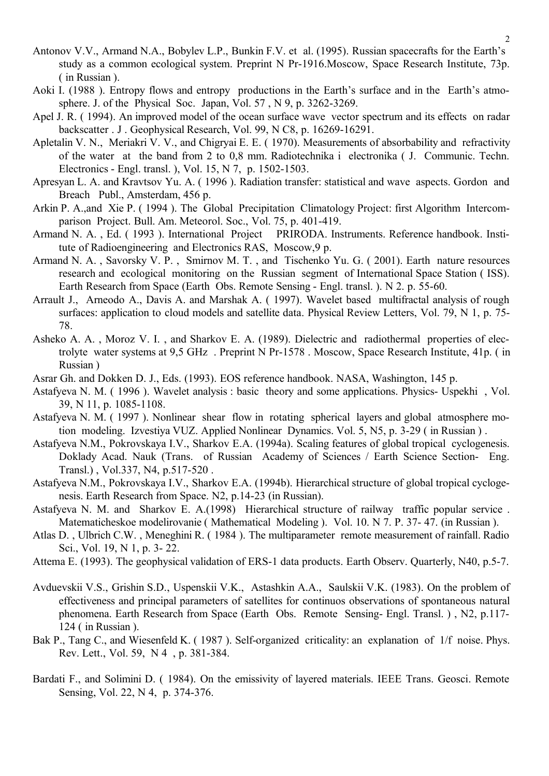- Antonov V.V., Armand N.A., Bobylev L.P., Bunkin F.V. et al. (1995). Russian spacecrafts for the Earth's study as a common ecological system. Preprint N Pr-1916.Moscow, Space Research Institute, 73p. ( in Russian ).
- Aoki I. (1988 ). Entropy flows and entropy productions in the Earth's surface and in the Earth's atmosphere. J. of the Physical Soc. Japan, Vol.  $57$ , N  $9$ , p.  $3262-3269$ .
- Apel J. R. ( 1994). An improved model of the ocean surface wave vector spectrum and its effects on radar backscatter . J . Geophysical Research, Vol. 99, N C8, p. 16269-16291.
- Apletalin V. N., Meriakri V. V., and Chigryai E. E. ( 1970). Measurements of absorbability and refractivity of the water at the band from 2 to 0,8 mm. Radiotechnika i electronika ( J. Communic. Techn. Electronics - Engl. transl. ), Vol.  $15$ , N 7, p.  $1502-1503$ .
- Apresyan L. A. and Kravtsov Yu. A. ( 1996 ). Radiation transfer: statistical and wave aspects. Gordon and Breach Publ., Amsterdam, 456 p.
- Arkin P. A.,and Xie P. ( 1994 ). The Global Precipitation Climatology Project: first Algorithm Intercomparison Project. Bull. Am. Meteorol. Soc., Vol. 75, p. 401-419.
- Armand N. A. , Ed. ( 1993 ). International Project PRIRODA. Instruments. Reference handbook. Institute of Radioengineering and Electronics RAS, Moscow,9 p.
- Armand N. A. , Savorsky V. P. , Smirnov M. T. , and Tischenko Yu. G. ( 2001). Earth nature resources research and ecological monitoring on the Russian segment of International Space Station ( ISS). Earth Research from Space (Earth Obs. Remote Sensing - Engl. transl.). N 2. p. 55-60.
- Arrault J., Arneodo A., Davis A. and Marshak A. ( 1997). Wavelet based multifractal analysis of rough surfaces: application to cloud models and satellite data. Physical Review Letters, Vol. 79, N 1, p. 75-78.
- Asheko A. A. , Moroz V. I. , and Sharkov E. A. (1989). Dielectric and radiothermal properties of electrolyte water systems at 9,5 GHz. Preprint N Pr-1578. Moscow, Space Research Institute, 41p. (in Russian )
- Asrar Gh. and Dokken D. J., Eds. (1993). EOS reference handbook. NASA, Washington, 145 p.
- Astafyeva N. M. (1996). Wavelet analysis : basic theory and some applications. Physics- Uspekhi, Vol. 39, N 11, p. 1085-1108.
- Astafyeva N. M. ( 1997 ). Nonlinear shear flow in rotating spherical layers and global atmosphere motion modeling. Izvestiva VUZ. Applied Nonlinear Dynamics. Vol. 5, N5, p. 3-29 (in Russian).
- Astafyeva N.M., Pokrovskaya I.V., Sharkov E.A. (1994a). Scaling features of global tropical cyclogenesis. Doklady Acad. Nauk (Trans. of Russian Academy of Sciences / Earth Science Section- Eng. Transl.), Vol.337, N4, p.517-520.
- Astafyeva N.M., Pokrovskaya I.V., Sharkov E.A. (1994b). Hierarchical structure of global tropical cyclogenesis. Earth Research from Space. N2, p.1423 (in Russian).
- Astafyeva N. M. and Sharkov E. A.(1998) Hierarchical structure of railway traffic popular service . Matematicheskoe modelirovanie (Mathematical Modeling). Vol. 10. N 7. P. 37-47. (in Russian).
- Atlas D. , Ulbrich C.W. , Meneghini R. ( 1984 ). The multiparameter remote measurement of rainfall. Radio Sci., Vol. 19, N 1, p. 3-22.
- Attema E. (1993). The geophysical validation of ERS-1 data products. Earth Observ. Quarterly, N40, p.5-7.
- Avduevskii V.S., Grishin S.D., Uspenskii V.K., Astashkin A.A., Saulskii V.K. (1983). On the problem of effectiveness and principal parameters of satellites for continuos observations of spontaneous natural phenomena. Earth Research from Space (Earth Obs. Remote Sensing- Engl. Transl.), N2, p.117-124 ( in Russian ).
- Bak P., Tang C., and Wiesenfeld K. (1987). Self-organized criticality: an explanation of 1/f noise. Phys. Rev. Lett., Vol. 59, N 4, p. 381-384.
- Bardati F., and Solimini D. ( 1984). On the emissivity of layered materials. IEEE Trans. Geosci. Remote Sensing, Vol. 22, N 4, p. 374-376.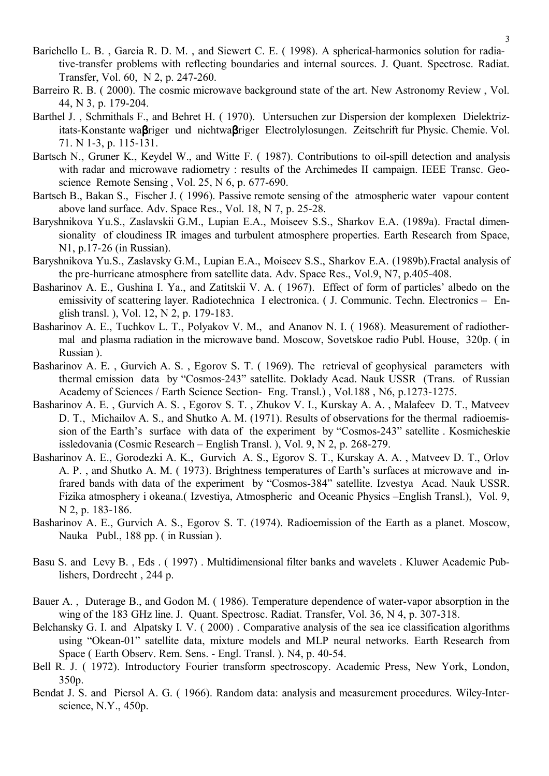- Barichello L. B., Garcia R. D. M., and Siewert C. E. (1998). A spherical-harmonics solution for radiative-transfer problems with reflecting boundaries and internal sources. J. Quant. Spectrosc. Radiat. Transfer, Vol. 60, N 2, p. 247-260.
- Barreiro R. B. ( 2000). The cosmic microwave background state of the art. New Astronomy Review , Vol. 44, N 3, p. 179-204.
- Barthel J. , Schmithals F., and Behret H. ( 1970). Untersuchen zur Dispersion der komplexen Dielektrizitats-Konstante waβriger und nichtwaβriger Electrolylosungen. Zeitschrift fur Physic. Chemie. Vol. 71. N 1-3, p. 115-131.
- Bartsch N., Gruner K., Keydel W., and Witte F. (1987). Contributions to oil-spill detection and analysis with radar and microwave radiometry : results of the Archimedes II campaign. IEEE Transc. Geoscience Remote Sensing, Vol.  $25$ , N  $6$ , p.  $677-690$ .
- Bartsch B., Bakan S., Fischer J. ( 1996). Passive remote sensing of the atmospheric water vapour content above land surface. Adv. Space Res., Vol. 18, N 7, p. 25-28.
- Baryshnikova Yu.S., Zaslavskii G.M., Lupian E.A., Moiseev S.S., Sharkov E.A. (1989a). Fractal dimensionality of cloudiness IR images and turbulent atmosphere properties. Earth Research from Space, N1, p.1726 (in Russian).
- Baryshnikova Yu.S., Zaslavsky G.M., Lupian E.A., Moiseev S.S., Sharkov E.A. (1989b).Fractal analysis of the pre-hurricane atmosphere from satellite data. Adv. Space Res., Vol.9, N7, p.405-408.
- Basharinov A. E., Gushina I. Ya., and Zatitskii V. A. ( 1967). Effect of form of particles' albedo on the emissivity of scattering layer. Radiotechnica I electronica. ( J. Communic. Techn. Electronics – English transl.), Vol. 12, N 2, p. 179-183.
- Basharinov A. E., Tuchkov L. T., Polyakov V. M., and Ananov N. I. ( 1968). Measurement of radiothermal and plasma radiation in the microwave band. Moscow, Sovetskoe radio Publ. House, 320p. ( in Russian ).
- Basharinov A. E. , Gurvich A. S. , Egorov S. T. ( 1969). The retrieval of geophysical parameters with thermal emission data by "Cosmos-243" satellite. Doklady Acad. Nauk USSR (Trans. of Russian Academy of Sciences / Earth Science Section Eng. Transl.), Vol.188, N6, p.1273-1275.
- Basharinov A. E. , Gurvich A. S. , Egorov S. T. , Zhukov V. I., Kurskay A. A. , Malafeev D. T., Matveev D. T., Michailov A. S., and Shutko A. M. (1971). Results of observations for the thermal radioemission of the Earth's surface with data of the experiment by "Cosmos-243" satellite . Kosmicheskie issledovania (Cosmic Research – English Transl.), Vol. 9, N  $2$ , p. 268-279.
- Basharinov A. E., Gorodezki A. K., Gurvich A. S., Egorov S. T., Kurskay A. A. , Matveev D. T., Orlov A. P. , and Shutko A. M. ( 1973). Brightness temperatures of Earth's surfaces at microwave and infrared bands with data of the experiment by "Cosmos-384" satellite. Izvestya Acad. Nauk USSR. Fizika atmosphery i okeana.( Izvestiya, Atmospheric and Oceanic Physics –English Transl.), Vol. 9, N 2, p. 183-186.
- Basharinov A. E., Gurvich A. S., Egorov S. T. (1974). Radioemission of the Earth as a planet. Moscow, Nauka Publ., 188 pp. ( in Russian ).
- Basu S. and Levy B. , Eds . ( 1997) . Multidimensional filter banks and wavelets . Kluwer Academic Publishers, Dordrecht , 244 p.
- Bauer A., Duterage B., and Godon M. (1986). Temperature dependence of water-vapor absorption in the wing of the 183 GHz line. J. Quant. Spectrosc. Radiat. Transfer, Vol. 36, N 4, p.  $307-318$ .
- Belchansky G. I. and Alpatsky I. V. ( 2000) . Comparative analysis of the sea ice classification algorithms using "Okean-01" satellite data, mixture models and MLP neural networks. Earth Research from Space ( Earth Observ. Rem. Sens. - Engl. Transl. ). N4, p. 40-54.
- Bell R. J. ( 1972). Introductory Fourier transform spectroscopy. Academic Press, New York, London, 350p.
- Bendat J. S. and Piersol A. G. (1966). Random data: analysis and measurement procedures. Wiley-Interscience, N.Y., 450p.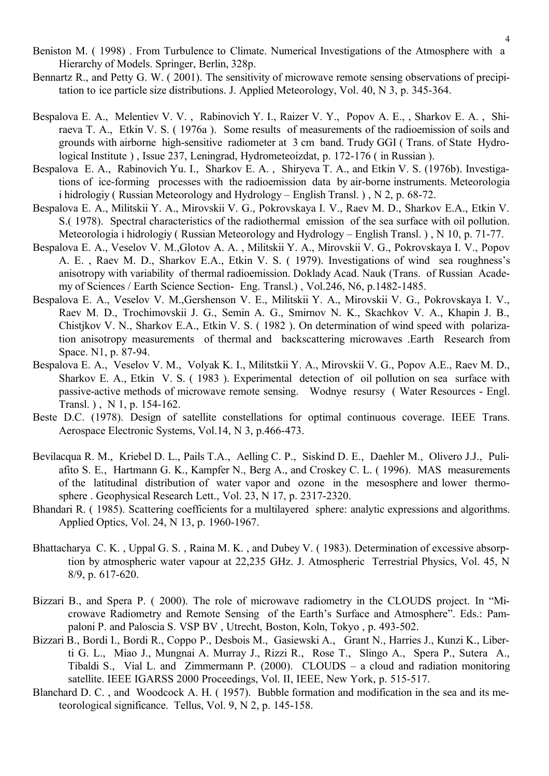- Beniston M. ( 1998) . From Turbulence to Climate. Numerical Investigations of the Atmosphere with a Hierarchy of Models. Springer, Berlin, 328p.
- Bennartz R., and Petty G. W. ( 2001). The sensitivity of microwave remote sensing observations of precipitation to ice particle size distributions. J. Applied Meteorology, Vol. 40, N  $3$ , p.  $345-364$ .
- Bespalova E. A., Melentiev V. V. , Rabinovich Y. I., Raizer V. Y., Popov A. E., , Sharkov E. A. , Shiraeva T. A., Etkin V. S. ( 1976a ). Some results of measurements of the radioemission of soils and grounds with airborne high-sensitive radiometer at 3 cm band. Trudy GGI (Trans. of State Hydrological Institute ), Issue 237, Leningrad, Hydrometeoizdat, p. 172-176 (in Russian).
- Bespalova E. A., Rabinovich Yu. I., Sharkov E. A. , Shiryeva T. A., and Etkin V. S. (1976b). Investigations of ice-forming processes with the radioemission data by air-borne instruments. Meteorologia i hidrologiy (Russian Meteorology and Hydrology – English Transl.), N 2, p.  $68-72$ .
- Bespalova E. A., Militskii Y. A., Mirovskii V. G., Pokrovskaya I. V., Raev M. D., Sharkov E.A., Etkin V. S.( 1978). Spectral characteristics of the radiothermal emission of the sea surface with oil pollution. Meteorologia i hidrologiy (Russian Meteorology and Hydrology – English Transl.), N 10, p. 71-77.
- Bespalova E. A., Veselov V. M.,Glotov A. A. , Militskii Y. A., Mirovskii V. G., Pokrovskaya I. V., Popov A. E. , Raev M. D., Sharkov E.A., Etkin V. S. ( 1979). Investigations of wind sea roughness's anisotropy with variability of thermal radioemission. Doklady Acad. Nauk (Trans. of Russian Academy of Sciences / Earth Science Section- Eng. Transl.), Vol.246, N6, p.1482-1485.
- Bespalova E. A., Veselov V. M.,Gershenson V. E., Militskii Y. A., Mirovskii V. G., Pokrovskaya I. V., Raev M. D., Trochimovskii J. G., Semin A. G., Smirnov N. K., Skachkov V. A., Khapin J. B., Chistjkov V. N., Sharkov E.A., Etkin V. S. ( 1982 ). On determination of wind speed with polarization anisotropy measurements of thermal and backscattering microwaves .Earth Research from Space. N1, p. 87-94.
- Bespalova E. A., Veselov V. M., Volyak K. I., Militstkii Y. A., Mirovskii V. G., Popov A.E., Raev M. D., Sharkov E. A., Etkin V. S. ( 1983 ). Experimental detection of oil pollution on sea surface with passive-active methods of microwave remote sensing. Wodnye resursy (Water Resources - Engl. Transl.), N 1, p. 154-162.
- Beste D.C. (1978). Design of satellite constellations for optimal continuous coverage. IEEE Trans. Aerospace Electronic Systems, Vol.14, N 3, p.466-473.
- Bevilacqua R. M., Kriebel D. L., Pails T.A., Aelling C. P., Siskind D. E., Daehler M., Olivero J.J., Puliafito S. E., Hartmann G. K., Kampfer N., Berg A., and Croskey C. L. ( 1996). MAS measurements of the latitudinal distribution of water vapor and ozone in the mesosphere and lower thermosphere . Geophysical Research Lett., Vol. 23, N 17, p. 2317-2320.
- Bhandari R. ( 1985). Scattering coefficients for a multilayered sphere: analytic expressions and algorithms. Applied Optics, Vol. 24, N 13, p. 1960-1967.
- Bhattacharya C. K. , Uppal G. S. , Raina M. K. , and Dubey V. ( 1983). Determination of excessive absorption by atmospheric water vapour at 22,235 GHz. J. Atmospheric Terrestrial Physics, Vol. 45, N 8/9, p. 617-620.
- Bizzari B., and Spera P. ( 2000). The role of microwave radiometry in the CLOUDS project. In "Microwave Radiometry and Remote Sensing of the Earth's Surface and Atmosphere". Eds.: Pampaloni P. and Paloscia S. VSP BV, Utrecht, Boston, Koln, Tokyo, p. 493-502.
- Bizzari B., Bordi I., Bordi R., Coppo P., Desbois M., Gasiewski A., Grant N., Harries J., Kunzi K., Liberti G. L., Miao J., Mungnai A. Murray J., Rizzi R., Rose T., Slingo A., Spera P., Sutera A., Tibaldi S., Vial L. and Zimmermann P. (2000). CLOUDS – a cloud and radiation monitoring satellite. IEEE IGARSS 2000 Proceedings, Vol. II, IEEE, New York, p. 515-517.
- Blanchard D. C. , and Woodcock A. H. ( 1957). Bubble formation and modification in the sea and its meteorological significance. Tellus, Vol. 9, N 2, p. 145-158.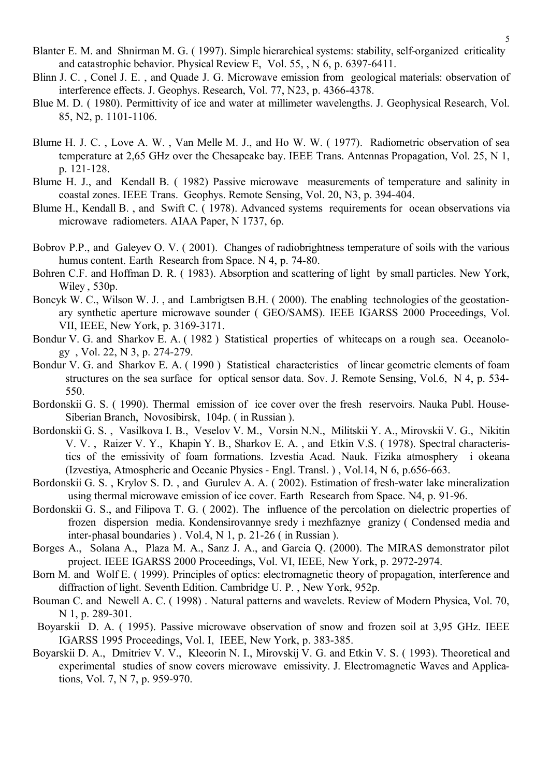- Blanter E. M. and Shnirman M. G. (1997). Simple hierarchical systems: stability, self-organized criticality and catastrophic behavior. Physical Review E, Vol. 55,  $\,$  N 6, p. 6397-6411.
- Blinn J. C. , Conel J. E. , and Quade J. G. Microwave emission from geological materials: observation of interference effects. J. Geophys. Research, Vol. 77, N23, p. 4366-4378.
- Blue M. D. ( 1980). Permittivity of ice and water at millimeter wavelengths. J. Geophysical Research, Vol. 85, N2, p. 1101-1106.
- Blume H. J. C. , Love A. W. , Van Melle M. J., and Ho W. W. ( 1977). Radiometric observation of sea temperature at 2,65 GHz over the Chesapeake bay. IEEE Trans. Antennas Propagation, Vol. 25, N 1, p. 121-128.
- Blume H. J., and Kendall B. ( 1982) Passive microwave measurements of temperature and salinity in coastal zones. IEEE Trans. Geophys. Remote Sensing, Vol. 20, N3, p. 394-404.
- Blume H., Kendall B. , and Swift C. ( 1978). Advanced systems requirements for ocean observations via microwave radiometers. AIAA Paper, N 1737, 6p.
- Bobrov P.P., and Galeyev O. V. ( 2001). Changes of radiobrightness temperature of soils with the various humus content. Earth Research from Space. N 4, p. 74-80.
- Bohren C.F. and Hoffman D. R. ( 1983). Absorption and scattering of light by small particles. New York, Wiley , 530p.
- Boncyk W. C., Wilson W. J. , and Lambrigtsen B.H. ( 2000). The enabling technologies of the geostationary synthetic aperture microwave sounder ( GEO/SAMS). IEEE IGARSS 2000 Proceedings, Vol. VII, IEEE, New York, p. 3169-3171.
- Bondur V. G. and Sharkov E. A. ( 1982 ) Statistical properties of whitecaps on a rough sea. Oceanology, Vol. 22, N 3, p. 274-279.
- Bondur V. G. and Sharkov E. A. ( 1990 ) Statistical characteristics of linear geometric elements of foam structures on the sea surface for optical sensor data. Sov. J. Remote Sensing, Vol.6, N 4, p. 534 550.
- Bordonskii G. S. ( 1990). Thermal emission of ice cover over the fresh reservoirs. Nauka Publ. House-Siberian Branch, Novosibirsk, 104p. ( in Russian ).
- Bordonskii G. S. , Vasilkova I. B., Veselov V. M., Vorsin N.N., Militskii Y. A., Mirovskii V. G., Nikitin V. V. , Raizer V. Y., Khapin Y. B., Sharkov E. A. , and Etkin V.S. ( 1978). Spectral characteristics of the emissivity of foam formations. Izvestia Acad. Nauk. Fizika atmosphery i okeana (Izvestiya, Atmospheric and Oceanic Physics  $-$  Engl. Transl.), Vol.14, N 6, p.656 $-663$ .
- Bordonskii G. S., Krylov S. D., and Gurulev A. A. (2002). Estimation of fresh-water lake mineralization using thermal microwave emission of ice cover. Earth Research from Space. N4, p. 91-96.
- Bordonskii G. S., and Filipova T. G. ( 2002). The influence of the percolation on dielectric properties of frozen dispersion media. Kondensirovannye sredy i mezhfaznye granizy ( Condensed media and inter-phasal boundaries ) . Vol.4, N 1, p. 21-26 ( in Russian ).
- Borges A., Solana A., Plaza M. A., Sanz J. A., and Garcia Q. (2000). The MIRAS demonstrator pilot project. IEEE IGARSS 2000 Proceedings, Vol. VI, IEEE, New York, p. 2972-2974.
- Born M. and Wolf E. ( 1999). Principles of optics: electromagnetic theory of propagation, interference and diffraction of light. Seventh Edition. Cambridge U. P. , New York, 952p.
- Bouman C. and Newell A. C. ( 1998) . Natural patterns and wavelets. Review of Modern Physica, Vol. 70, N 1, p. 289-301.
- Boyarskii D. A. ( 1995). Passive microwave observation of snow and frozen soil at 3,95 GHz. IEEE IGARSS 1995 Proceedings, Vol. I, IEEE, New York, p. 383-385.
- Boyarskii D. A., Dmitriev V. V., Kleeorin N. I., Mirovskij V. G. and Etkin V. S. ( 1993). Theoretical and experimental studies of snow covers microwave emissivity. J. Electromagnetic Waves and Applications, Vol. 7, N 7, p. 959-970.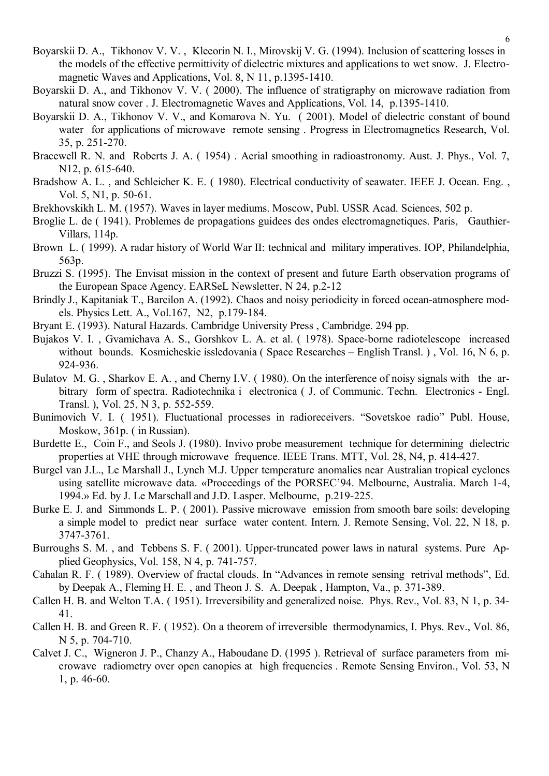- Boyarskii D. A., Tikhonov V. V. , Kleeorin N. I., Mirovskij V. G. (1994). Inclusion of scattering losses in the models of the effective permittivity of dielectric mixtures and applications to wet snow. J. Electromagnetic Waves and Applications, Vol. 8, N 11, p.1395-1410.
- Boyarskii D. A., and Tikhonov V. V. ( 2000). The influence of stratigraphy on microwave radiation from natural snow cover . J. Electromagnetic Waves and Applications, Vol. 14, p.1395-1410.
- Boyarskii D. A., Tikhonov V. V., and Komarova N. Yu. ( 2001). Model of dielectric constant of bound water for applications of microwave remote sensing . Progress in Electromagnetics Research, Vol. 35, p. 251-270.
- Bracewell R. N. and Roberts J. A. ( 1954) . Aerial smoothing in radioastronomy. Aust. J. Phys., Vol. 7, N12, p. 615-640.
- Bradshow A. L., and Schleicher K. E. (1980). Electrical conductivity of seawater. IEEE J. Ocean. Eng. Vol. 5, N1, p.  $50-61$ .
- Brekhovskikh L. M. (1957). Waves in layer mediums. Moscow, Publ. USSR Acad. Sciences, 502 p.
- Broglie L. de ( 1941). Problemes de propagations guidees des ondes electromagnetiques. Paris, Gauthier-Villars, 114p.
- Brown L. ( 1999). A radar history of World War II: technical and military imperatives. IOP, Philandelphia, 563p.
- Bruzzi S. (1995). The Envisat mission in the context of present and future Earth observation programs of the European Space Agency. EARSeL Newsletter, N 24, p.2-12
- Brindly J., Kapitaniak T., Barcilon A. (1992). Chaos and noisy periodicity in forced ocean-atmosphere models. Physics Lett. A., Vol.167, N2, p.179-184.
- Bryant E. (1993). Natural Hazards. Cambridge University Press , Cambridge. 294 pp.
- Bujakos V. I., Gvamichava A. S., Gorshkov L. A. et al. (1978). Space-borne radiotelescope increased without bounds. Kosmicheskie issledovania ( Space Researches – English Transl. ) , Vol. 16, N 6, p. 924936.
- Bulatov M. G., Sharkov E. A., and Cherny I.V. (1980). On the interference of noisy signals with the arbitrary form of spectra. Radiotechnika i electronica (J. of Communic. Techn. Electronics - Engl. Transl. ), Vol. 25, N 3, p. 552-559.
- Bunimovich V. I. ( 1951). Fluctuational processes in radioreceivers. "Sovetskoe radio" Publ. House, Moskow, 361p. ( in Russian).
- Burdette E., Coin F., and Seols J. (1980). Invivo probe measurement technique for determining dielectric properties at VHE through microwave frequence. IEEE Trans. MTT, Vol. 28, N4, p. 414-427.
- Burgel van J.L., Le Marshall J., Lynch M.J. Upper temperature anomalies near Australian tropical cyclones using satellite microwave data. «Proceedings of the PORSEC'94. Melbourne, Australia. March 14, 1994.» Ed. by J. Le Marschall and J.D. Lasper. Melbourne, p.219-225.
- Burke E. J. and Simmonds L. P. ( 2001). Passive microwave emission from smooth bare soils: developing a simple model to predict near surface water content. Intern. J. Remote Sensing, Vol. 22, N 18, p. 37473761.
- Burroughs S. M., and Tebbens S. F. (2001). Upper-truncated power laws in natural systems. Pure Applied Geophysics, Vol. 158, N 4, p.  $741-757$ .
- Cahalan R. F. ( 1989). Overview of fractal clouds. In "Advances in remote sensing retrival methods", Ed. by Deepak A., Fleming H. E., and Theon J. S. A. Deepak, Hampton, Va., p. 371-389.
- Callen H. B. and Welton T.A. ( 1951). Irreversibility and generalized noise. Phys. Rev., Vol. 83, N 1, p. 34 41.
- Callen H. B. and Green R. F. ( 1952). On a theorem of irreversible thermodynamics, I. Phys. Rev., Vol. 86, N 5, p. 704-710.
- Calvet J. C., Wigneron J. P., Chanzy A., Haboudane D. (1995 ). Retrieval of surface parameters from microwave radiometry over open canopies at high frequencies . Remote Sensing Environ., Vol. 53, N  $1, p. 46-60.$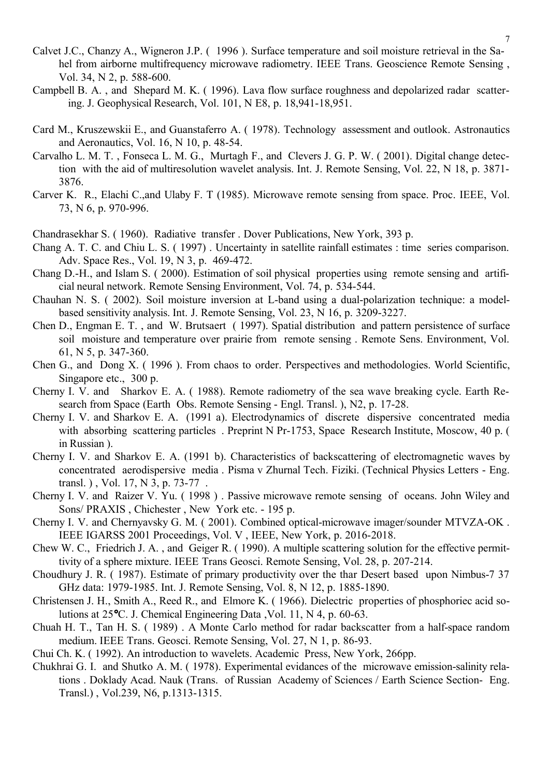- Calvet J.C., Chanzy A., Wigneron J.P. ( 1996 ). Surface temperature and soil moisture retrieval in the Sahel from airborne multifrequency microwave radiometry. IEEE Trans. Geoscience Remote Sensing, Vol. 34, N 2, p.  $588-600$ .
- Campbell B. A. , and Shepard M. K. ( 1996). Lava flow surface roughness and depolarized radar scattering. J. Geophysical Research, Vol. 101, N E8, p. 18,941-18,951.
- Card M., Kruszewskii E., and Guanstaferro A. ( 1978). Technology assessment and outlook. Astronautics and Aeronautics, Vol. 16, N 10, p.  $48-54$ .
- Сarvalho L. M. T. , Fonseca L. M. G., Murtagh F., and Clevers J. G. P. W. ( 2001). Digital change detection with the aid of multiresolution wavelet analysis. Int. J. Remote Sensing, Vol. 22, N 18, p. 3871 3876.
- Carver K. R., Elachi C.,and Ulaby F. T (1985). Microwave remote sensing from space. Proc. IEEE, Vol. 73, N 6, p. 970-996.
- Chandrasekhar S. ( 1960). Radiative transfer . Dover Publications, New York, 393 p.
- Chang A. T. C. and Chiu L. S. ( 1997) . Uncertainty in satellite rainfall estimates : time series comparison. Adv. Space Res., Vol. 19, N 3, p. 469-472.
- Chang D.H., and Islam S. ( 2000). Estimation of soil physical properties using remote sensing and artificial neural network. Remote Sensing Environment, Vol. 74, p. 534544.
- Chauhan N. S. (2002). Soil moisture inversion at L-band using a dual-polarization technique: a modelbased sensitivity analysis. Int. J. Remote Sensing, Vol. 23, N 16, p. 3209-3227.
- Chen D., Engman E. T. , and W. Brutsaert ( 1997). Spatial distribution and pattern persistence of surface soil moisture and temperature over prairie from remote sensing . Remote Sens. Environment, Vol. 61, N 5, p.  $347-360$ .
- Chen G., and Dong X. ( 1996 ). From chaos to order. Perspectives and methodologies. World Scientific, Singapore etc., 300 p.
- Cherny I. V. and Sharkov E. A. ( 1988). Remote radiometry of the sea wave breaking cycle. Earth Research from Space (Earth Obs. Remote Sensing - Engl. Transl.), N2, p. 17-28.
- Cherny I. V. and Sharkov E. A. (1991 a). Electrodynamics of discrete dispersive concentrated media with absorbing scattering particles . Preprint N Pr-1753, Space Research Institute, Moscow, 40 p.  $($ in Russian ).
- Cherny I. V. and Sharkov E. A. (1991 b). Characteristics of backscattering of electromagnetic waves by concentrated aerodispersive media . Pisma v Zhurnal Tech. Fiziki. (Technical Physics Letters - Eng. transl.), Vol. 17, N 3, p. 73-77.
- Cherny I. V. and Raizer V. Yu. ( 1998 ) . Passive microwave remote sensing of oceans. John Wiley and Sons/ PRAXIS, Chichester, New York etc. - 195 p.
- Cherny I. V. and Chernyavsky G. M. (2001). Combined optical-microwave imager/sounder MTVZA-OK. IEEE IGARSS 2001 Proceedings, Vol. V, IEEE, New York, p. 2016-2018.
- Chew W. C., Friedrich J. A. , and Geiger R. ( 1990). A multiple scattering solution for the effective permittivity of a sphere mixture. IEEE Trans Geosci. Remote Sensing, Vol. 28, p. 207-214.
- Choudhury J. R. (1987). Estimate of primary productivity over the thar Desert based upon Nimbus-7 37 GHz data: 1979-1985. Int. J. Remote Sensing, Vol. 8, N 12, p. 1885-1890.
- Christensen J. H., Smith A., Reed R., and Elmore K. ( 1966). Dielectric properties of phosphoriec acid solutions at  $25^{\circ}$ C. J. Chemical Engineering Data , Vol. 11, N 4, p. 60-63.
- Chuah H. T., Tan H. S. (1989). A Monte Carlo method for radar backscatter from a half-space random medium. IEEE Trans. Geosci. Remote Sensing, Vol. 27, N 1, p. 86-93.
- Chui Ch. K. ( 1992). An introduction to wavelets. Academic Press, New York, 266pp.
- Chukhrai G. I. and Shutko A. M. (1978). Experimental evidances of the microwave emission-salinity relations . Doklady Acad. Nauk (Trans. of Russian Academy of Sciences / Earth Science Section- Eng. Transl.), Vol.239, N6, p.1313-1315.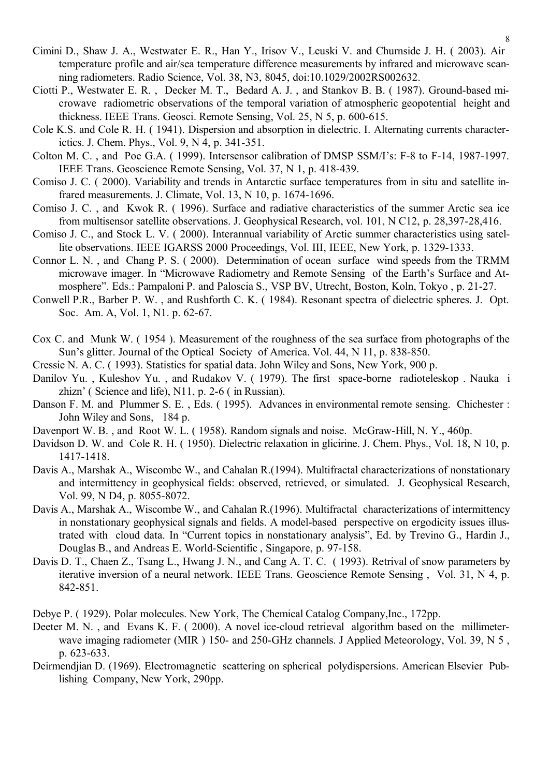- Cimini D., Shaw J. A., Westwater E. R., Han Y., Irisov V., Leuski V. and Churnside J. H. ( 2003). Air temperature profile and air/sea temperature difference measurements by infrared and microwave scanning radiometers. Radio Science, Vol. 38, N3, 8045, doi:10.1029/2002RS002632.
- Ciotti P., Westwater E. R., Decker M. T., Bedard A. J., and Stankov B. B. (1987). Ground-based microwave radiometric observations of the temporal variation of atmospheric geopotential height and thickness. IEEE Trans. Geosci. Remote Sensing, Vol.  $25$ , N  $5$ , p.  $600-615$ .
- Cole K.S. and Cole R. H. ( 1941). Dispersion and absorption in dielectric. I. Alternating currents characterictics. J. Chem. Phys., Vol. 9, N 4, p.  $341-351$ .
- Colton M. C., and Poe G.A. (1999). Intersensor calibration of DMSP SSM/I's: F-8 to F-14, 1987-1997. IEEE Trans. Geoscience Remote Sensing, Vol. 37, N 1, p. 418-439.
- Comiso J. C. ( 2000). Variability and trends in Antarctic surface temperatures from in situ and satellite infrared measurements. J. Climate, Vol. 13, N 10, p. 1674-1696.
- Comiso J. C. , and Kwok R. ( 1996). Surface and radiative characteristics of the summer Arctic sea ice from multisensor satellite observations. J. Geophysical Research, vol. 101, N C12, p. 28,397-28,416.
- Comiso J. C., and Stock L. V. ( 2000). Interannual variability of Arctic summer characteristics using satellite observations. IEEE IGARSS 2000 Proceedings, Vol. III, IEEE, New York, p. 1329-1333.
- Connor L. N. , and Chang P. S. ( 2000). Determination of ocean surface wind speeds from the TRMM microwave imager. In "Microwave Radiometry and Remote Sensing of the Earth's Surface and Atmosphere". Eds.: Pampaloni P. and Paloscia S., VSP BV, Utrecht, Boston, Koln, Tokyo, p. 21-27.
- Conwell P.R., Barber P. W. , and Rushforth C. K. ( 1984). Resonant spectra of dielectric spheres. J. Opt. Soc. Am. A, Vol. 1, N1. p. 62-67.
- Cox C. and Munk W. ( 1954 ). Measurement of the roughness of the sea surface from photographs of the Sun's glitter. Journal of the Optical Society of America. Vol. 44, N 11, p. 838-850.
- Cressie N. A. C. ( 1993). Statistics for spatial data. John Wiley and Sons, New York, 900 p.
- Danilov Yu., Kuleshov Yu., and Rudakov V. (1979). The first space-borne radioteleskop. Nauka i zhizn' ( Science and life),  $N11$ , p. 2-6 ( in Russian).
- Danson F. M. and Plummer S. E. , Eds. ( 1995). Advances in environmental remote sensing. Chichester : John Wiley and Sons, 184 p.
- Davenport W. B., and Root W. L. (1958). Random signals and noise. McGraw-Hill, N. Y., 460p.
- Davidson D. W. and Cole R. H. (1950). Dielectric relaxation in glicirine. J. Chem. Phys., Vol. 18, N 10, p. 1417-1418.
- Davis A., Marshak A., Wiscombe W., and Cahalan R.(1994). Multifractal characterizations of nonstationary and intermittency in geophysical fields: observed, retrieved, or simulated. J. Geophysical Research, Vol. 99, N D4, p. 8055-8072.
- Davis A., Marshak A., Wiscombe W., and Cahalan R.(1996). Multifractal characterizations of intermittency in nonstationary geophysical signals and fields. A model-based perspective on ergodicity issues illustrated with cloud data. In "Current topics in nonstationary analysis", Ed. by Trevino G., Hardin J., Douglas B., and Andreas E. World-Scientific, Singapore, p. 97-158.
- Davis D. T., Chaen Z., Tsang L., Hwang J. N., and Cang A. T. C. ( 1993). Retrival of snow parameters by iterative inversion of a neural network. IEEE Trans. Geoscience Remote Sensing , Vol. 31, N 4, p. 842-851.

Debye P. ( 1929). Polar molecules. New York, The Chemical Catalog Company,Inc., 172pp.

- Deeter M. N., and Evans K. F. (2000). A novel ice-cloud retrieval algorithm based on the millimeterwave imaging radiometer (MIR) 150- and 250-GHz channels. J Applied Meteorology, Vol. 39, N 5, p.  $623-633$ .
- Deirmendjian D. (1969). Electromagnetic scattering on spherical polydispersions. American Elsevier Publishing Company, New York, 290pp.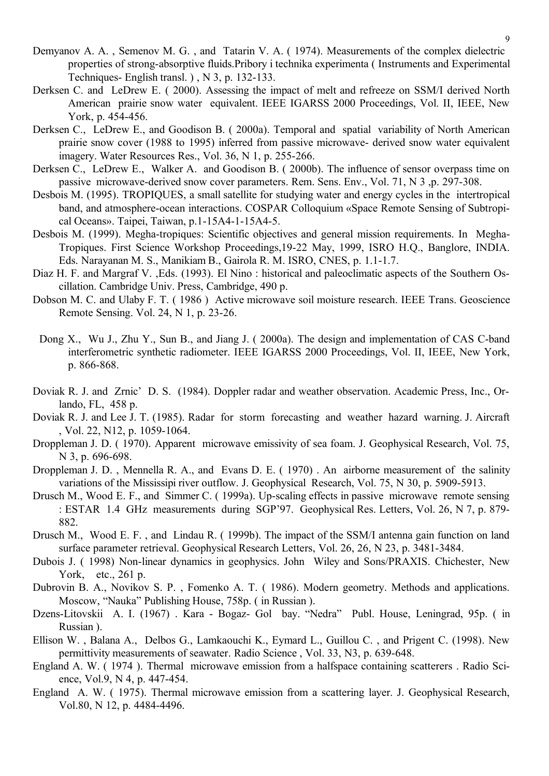- Demyanov A. A. , Semenov M. G. , and Tatarin V. A. ( 1974). Measurements of the complex dielectric properties of strong-absorptive fluids. Pribory i technika experimenta (Instruments and Experimental Techniques English transl.  $)$ , N 3, p. 132-133.
- Derksen C. and LeDrew E. ( 2000). Assessing the impact of melt and refreeze on SSM/I derived North American prairie snow water equivalent. IEEE IGARSS 2000 Proceedings, Vol. II, IEEE, New York, p. 454-456.
- Derksen C., LeDrew E., and Goodison B. ( 2000a). Temporal and spatial variability of North American prairie snow cover (1988 to 1995) inferred from passive microwave derived snow water equivalent imagery. Water Resources Res., Vol. 36, N 1, p. 255-266.
- Derksen C., LeDrew E., Walker A. and Goodison B. ( 2000b). The influence of sensor overpass time on passive microwave-derived snow cover parameters. Rem. Sens. Env., Vol. 71, N 3, p. 297-308.
- Desbois M. (1995). TROPIQUES, a small satellite for studying water and energy cycles in the intertropical band, and atmosphere-ocean interactions. COSPAR Colloquium «Space Remote Sensing of Subtropical Oceans». Taipei, Taiwan, p.1-15A4-1-15A4-5.
- Desbois M. (1999). Megha-tropiques: Scientific objectives and general mission requirements. In Megha-Tropiques. First Science Workshop Proceedings,1922 May, 1999, ISRO H.Q., Banglore, INDIA. Eds. Narayanan M. S., Manikiam B., Gairola R. M. ISRO, CNES, p. 1.1-1.7.
- Diaz H. F. and Margraf V. ,Eds. (1993). El Nino : historical and paleoclimatic aspects of the Southern Oscillation. Cambridge Univ. Press, Cambridge, 490 p.
- Dobson M. C. and Ulaby F. T. ( 1986 ) Active microwave soil moisture research. IEEE Trans. Geoscience Remote Sensing. Vol. 24, N 1, p. 23-26.
- Dong X., Wu J., Zhu Y., Sun B., and Jiang J. (2000a). The design and implementation of CAS C-band interferometric synthetic radiometer. IEEE IGARSS 2000 Proceedings, Vol. II, IEEE, New York, p. 866-868.
- Doviak R. J. and Zrnic' D. S. (1984). Doppler radar and weather observation. Academic Press, Inc., Orlando, FL, 458 p.
- Doviak R. J. and Lee J. T. (1985). Radar for storm forecasting and weather hazard warning. J. Aircraft , Vol. 22, N12, p. 1059-1064.
- Droppleman J. D. ( 1970). Apparent microwave emissivity of sea foam. J. Geophysical Research, Vol. 75, N 3, p. 696-698.
- Droppleman J. D. , Mennella R. A., and Evans D. E. ( 1970) . An airborne measurement of the salinity variations of the Mississipi river outflow. J. Geophysical Research, Vol. 75, N 30, p. 5909-5913.
- Drusch M., Wood E. F., and Simmer C. (1999a). Up-scaling effects in passive microwave remote sensing : ESTAR 1.4 GHz measurements during SGP'97. Geophysical Res. Letters, Vol. 26, N 7, p. 879 882.
- Drusch M., Wood E. F. , and Lindau R. ( 1999b). The impact of the SSM/I antenna gain function on land surface parameter retrieval. Geophysical Research Letters, Vol. 26, 26, N 23, p. 3481-3484.
- Dubois J. (1998) Non-linear dynamics in geophysics. John Wiley and Sons/PRAXIS. Chichester, New York, etc., 261 p.
- Dubrovin B. A., Novikov S. P. , Fomenko A. T. ( 1986). Modern geometry. Methods and applications. Moscow, "Nauka" Publishing House, 758p. ( in Russian ).
- Dzens-Litovskii A. I. (1967). Kara Bogaz- Gol bay. "Nedra" Publ. House, Leningrad, 95p. (in Russian ).
- Ellison W. , Balana A., Delbos G., Lamkaouchi K., Eymard L., Guillou C. , and Prigent C. (1998). New permittivity measurements of seawater. Radio Science, Vol. 33, N3, p. 639-648.
- England A. W. ( 1974 ). Thermal microwave emission from a halfspace containing scatterers . Radio Science, Vol.9, N 4, p.  $447-454$ .
- England A. W. ( 1975). Thermal microwave emission from a scattering layer. J. Geophysical Research, Vol.80, N 12, p. 4484-4496.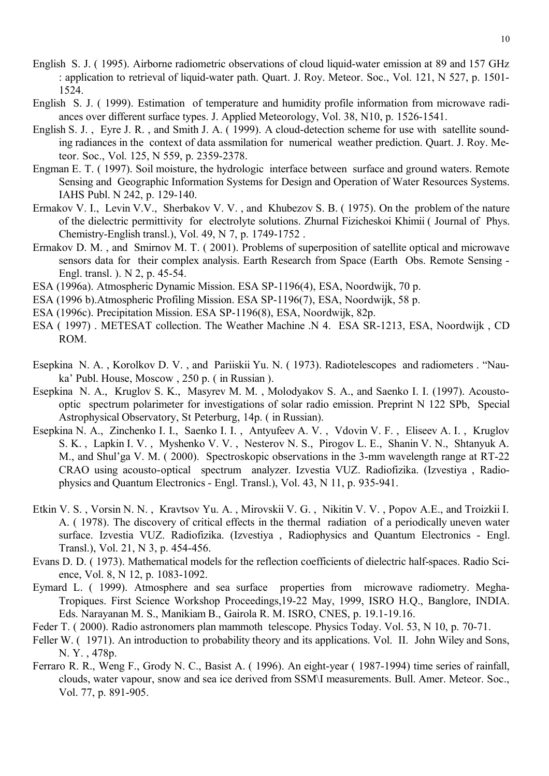- English S. J. (1995). Airborne radiometric observations of cloud liquid-water emission at 89 and 157 GHz : application to retrieval of liquid-water path. Quart. J. Roy. Meteor. Soc., Vol. 121, N 527, p. 1501-1524.
- English S. J. ( 1999). Estimation of temperature and humidity profile information from microwave radiances over different surface types. J. Applied Meteorology, Vol. 38, N10, p. 1526-1541.
- English S. J., Eyre J. R., and Smith J. A. (1999). A cloud-detection scheme for use with satellite sounding radiances in the context of data assmilation for numerical weather prediction. Quart. J. Roy. Meteor. Soc., Vol. 125, N 559, p. 2359-2378.
- Engman E. T. ( 1997). Soil moisture, the hydrologic interface between surface and ground waters. Remote Sensing and Geographic Information Systems for Design and Operation of Water Resources Systems. IAHS Publ. N 242, p. 129-140.
- Ermakov V. I., Levin V.V., Sherbakov V. V. , and Khubezov S. B. ( 1975). On the problem of the nature of the dielectric permittivity for electrolyte solutions. Zhurnal Fizicheskoi Khimii ( Journal of Phys. Chemistry-English transl.), Vol. 49, N 7, p.  $1749-1752$ .
- Ermakov D. M. , and Smirnov M. T. ( 2001). Problems of superposition of satellite optical and microwave sensors data for their complex analysis. Earth Research from Space (Earth Obs. Remote Sensing -Engl. transl. ). N 2, p. 45-54.
- ESA (1996a). Atmospheric Dynamic Mission. ESA SP-1196(4), ESA, Noordwijk, 70 p.
- ESA (1996 b). Atmospheric Profiling Mission. ESA SP-1196(7), ESA, Noordwijk, 58 p.
- ESA (1996c). Precipitation Mission. ESA SP-1196(8), ESA, Noordwijk, 82p.
- ESA (1997). METESAT collection. The Weather Machine .N 4. ESA SR-1213, ESA, Noordwijk, CD ROM.
- Esepkina N. A. , Korolkov D. V. , and Pariiskii Yu. N. ( 1973). Radiotelescopes and radiometers . "Nauka' Publ. House, Moscow , 250 p. ( in Russian ).
- Esepkina N. A., Kruglov S. K., Masyrev M. M. , Molodyakov S. A., and Saenko I. I. (1997). Acoustooptic spectrum polarimeter for investigations of solar radio emission. Preprint N 122 SPb, Special Astrophysical Observatory, St Peterburg, 14p. ( in Russian).
- Esepkina N. A., Zinchenko I. I., Saenko I. I. , Antyufeev A. V. , Vdovin V. F. , Eliseev A. I. , Kruglov S. K. , Lapkin I. V. , Myshenko V. V. , Nesterov N. S., Pirogov L. E., Shanin V. N., Shtanyuk A. M., and Shul'ga V. M. (2000). Spectroskopic observations in the 3-mm wavelength range at RT-22 CRAO using acousto-optical spectrum analyzer. Izvestia VUZ. Radiofizika. (Izvestiya, Radiophysics and Quantum Electronics - Engl. Transl.), Vol. 43, N 11, p. 935-941.
- Etkin V. S. , Vorsin N. N. , Kravtsov Yu. A. , Mirovskii V. G. , Nikitin V. V. , Popov A.E., and Troizkii I. A. ( 1978). The discovery of critical effects in the thermal radiation of a periodically uneven water surface. Izvestia VUZ. Radiofizika. (Izvestiya, Radiophysics and Quantum Electronics - Engl. Transl.), Vol. 21, N 3, p. 454-456.
- Evans D. D. (1973). Mathematical models for the reflection coefficients of dielectric half-spaces. Radio Science, Vol. 8, N 12, p. 1083-1092.
- Eymard L. ( 1999). Atmosphere and sea surface properties from microwave radiometry. Megha-Tropiques. First Science Workshop Proceedings,1922 May, 1999, ISRO H.Q., Banglore, INDIA. Eds. Narayanan M. S., Manikiam B., Gairola R. M. ISRO, CNES, p. 19.1-19.16.
- Feder T. (2000). Radio astronomers plan mammoth telescope. Physics Today. Vol. 53, N 10, p. 70-71.
- Feller W. (1971). An introduction to probability theory and its applications. Vol. II. John Wiley and Sons, N. Y. , 478p.
- Ferraro R. R., Weng F., Grody N. C., Basist A. (1996). An eight-year (1987-1994) time series of rainfall, clouds, water vapour, snow and sea ice derived from SSM\I measurements. Bull. Amer. Meteor. Soc., Vol. 77, p. 891-905.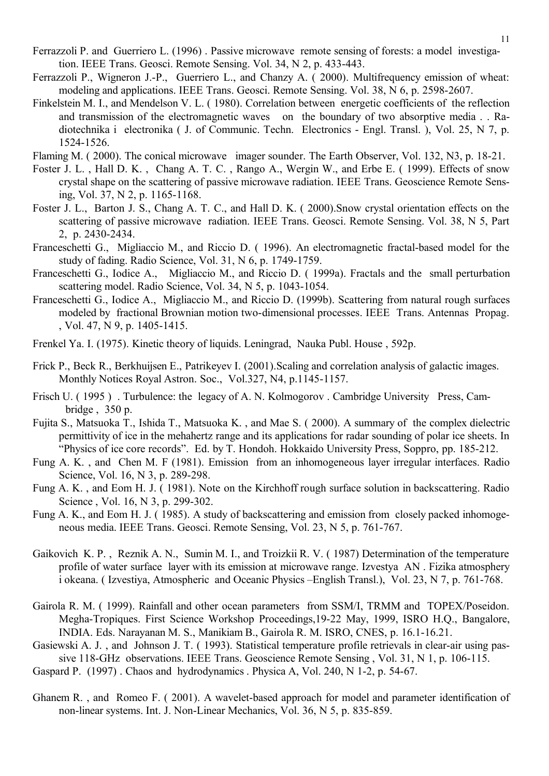- Ferrazzoli P. and Guerriero L. (1996) . Passive microwave remote sensing of forests: a model investigation. IEEE Trans. Geosci. Remote Sensing. Vol. 34, N 2, p. 433-443.
- Ferrazzoli P., Wigneron J.P., Guerriero L., and Chanzy A. ( 2000). Multifrequency emission of wheat: modeling and applications. IEEE Trans. Geosci. Remote Sensing. Vol. 38, N 6, p. 2598-2607.
- Finkelstein M. I., and Mendelson V. L. ( 1980). Correlation between energetic coefficients of the reflection and transmission of the electromagnetic waves on the boundary of two absorptive media . . Radiotechnika i electronika ( J. of Communic. Techn. Electronics Engl. Transl. ), Vol. 25, N 7, p. 15241526.
- Flaming M. (2000). The conical microwave imager sounder. The Earth Observer, Vol. 132, N3, p. 18-21.
- Foster J. L. , Hall D. K. , Chang A. T. C. , Rango A., Wergin W., and Erbe E. ( 1999). Effects of snow crystal shape on the scattering of passive microwave radiation. IEEE Trans. Geoscience Remote Sensing, Vol. 37, N 2, p. 1165-1168.
- Foster J. L., Barton J. S., Chang A. T. C., and Hall D. K. ( 2000).Snow crystal orientation effects on the scattering of passive microwave radiation. IEEE Trans. Geosci. Remote Sensing. Vol. 38, N 5, Part 2, p. 2430-2434.
- Franceschetti G., Migliaccio M., and Riccio D. (1996). An electromagnetic fractal-based model for the study of fading. Radio Science, Vol. 31, N $6$ , p. 1749-1759.
- Franceschetti G., Iodice A., Migliaccio M., and Riccio D. ( 1999a). Fractals and the small perturbation scattering model. Radio Science, Vol. 34, N 5, p. 1043-1054.
- Franceschetti G., Iodice A., Migliaccio M., and Riccio D. (1999b). Scattering from natural rough surfaces modeled by fractional Brownian motion two-dimensional processes. IEEE Trans. Antennas Propag. , Vol. 47, N 9, p. 1405-1415.
- Frenkel Ya. I. (1975). Kinetic theory of liquids. Leningrad, Nauka Publ. House , 592p.
- Frick P., Beck R., Berkhuijsen E., Patrikeyev I. (2001).Scaling and correlation analysis of galactic images. Monthly Notices Royal Astron. Soc., Vol.327, N4, p.1145-1157.
- Frisch U. ( 1995 ) . Turbulence: the legacy of A. N. Kolmogorov . Cambridge University Press, Cambridge , 350 p.
- Fujita S., Matsuoka T., Ishida T., Matsuoka K. , and Mae S. ( 2000). A summary of the complex dielectric permittivity of ice in the mehahertz range and its applications for radar sounding of polar ice sheets. In "Physics of ice core records". Ed. by T. Hondoh. Hokkaido University Press, Soppro, pp. 185-212.
- Fung A. K. , and Chen M. F (1981). Emission from an inhomogeneous layer irregular interfaces. Radio Science, Vol. 16, N 3, p. 289-298.
- Fung A. K. , and Eom H. J. ( 1981). Note on the Kirchhoff rough surface solution in backscattering. Radio Science, Vol. 16, N 3, p. 299-302.
- Fung A. K., and Eom H. J. ( 1985). A study of backscattering and emission from closely packed inhomogeneous media. IEEE Trans. Geosci. Remote Sensing, Vol. 23, N 5, p. 761-767.
- Gaikovich K. P. , Reznik A. N., Sumin M. I., and Troizkii R. V. ( 1987) Determination of the temperature profile of water surface layer with its emission at microwave range. Izvestya AN . Fizika atmosphery i okeana. (Izvestiva, Atmospheric and Oceanic Physics –English Transl.), Vol. 23, N 7, p. 761-768.
- Gairola R. M. ( 1999). Rainfall and other ocean parameters from SSM/I, TRMM and TOPEX/Poseidon. Megha-Tropiques. First Science Workshop Proceedings, 19-22 May, 1999, ISRO H.Q., Bangalore, INDIA. Eds. Narayanan M. S., Manikiam B., Gairola R. M. ISRO, CNES, p. 16.1-16.21.
- Gasiewski A. J., and Johnson J. T. (1993). Statistical temperature profile retrievals in clear-air using passive 118-GHz observations. IEEE Trans. Geoscience Remote Sensing, Vol. 31, N 1, p. 106-115.
- Gaspard P.  $(1997)$ . Chaos and hydrodynamics . Physica A, Vol. 240, N 1-2, p. 54-67.
- Ghanem R., and Romeo F. (2001). A wavelet-based approach for model and parameter identification of non-linear systems. Int. J. Non-Linear Mechanics, Vol. 36, N 5, p. 835-859.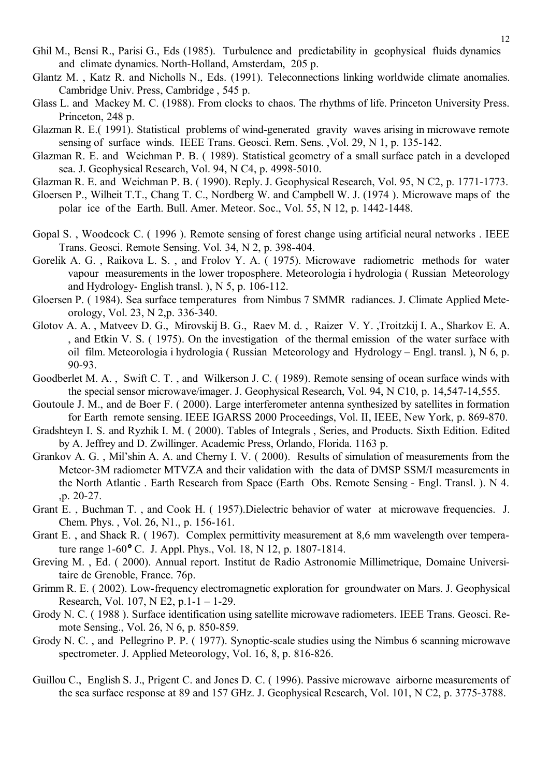- Ghil M., Bensi R., Parisi G., Eds (1985). Turbulence and predictability in geophysical fluids dynamics and climate dynamics. North-Holland, Amsterdam, 205 p.
- Glantz M. , Katz R. and Nicholls N., Eds. (1991). Teleconnections linking worldwide climate anomalies. Cambridge Univ. Press, Cambridge , 545 p.
- Glass L. and Mackey M. C. (1988). From clocks to chaos. The rhythms of life. Princeton University Press. Princeton, 248 p.
- Glazman R. E.(1991). Statistical problems of wind-generated gravity waves arising in microwave remote sensing of surface winds. IEEE Trans. Geosci. Rem. Sens. ,Vol. 29, N 1, p. 135-142.
- Glazman R. E. and Weichman P. B. ( 1989). Statistical geometry of a small surface patch in a developed sea. J. Geophysical Research, Vol. 94, N C4, p. 4998-5010.
- Glazman R. E. and Weichman P. B. (1990). Reply. J. Geophysical Research, Vol. 95, N C2, p. 1771-1773.
- Gloersen P., Wilheit T.T., Chang T. C., Nordberg W. and Campbell W. J. (1974 ). Microwave maps of the polar ice of the Earth. Bull. Amer. Meteor. Soc., Vol. 55, N 12, p. 1442-1448.
- Gopal S. , Woodcock C. ( 1996 ). Remote sensing of forest change using artificial neural networks . IEEE Trans. Geosci. Remote Sensing. Vol. 34, N 2, p. 398-404.
- Gorelik A. G. , Raikova L. S. , and Frolov Y. A. ( 1975). Microwave radiometric methods for water vapour measurements in the lower troposphere. Meteorologia i hydrologia ( Russian Meteorology and Hydrology-English transl. ),  $N$  5, p. 106-112.
- Gloersen P. ( 1984). Sea surface temperatures from Nimbus 7 SMMR radiances. J. Climate Applied Meteorology, Vol. 23, N 2,p. 336340.
- Glotov A. A. , Matveev D. G., Mirovskij B. G., Raev M. d. , Raizer V. Y. ,Troitzkij I. A., Sharkov E. A. , and Etkin V. S. ( 1975). On the investigation of the thermal emission of the water surface with oil film. Meteorologia i hydrologia ( Russian Meteorology and Hydrology – Engl. transl. ), N 6, p. 90-93.
- Goodberlet M. A. , Swift C. T. , and Wilkerson J. C. ( 1989). Remote sensing of ocean surface winds with the special sensor microwave/imager. J. Geophysical Research, Vol. 94, N C10, p. 14,547-14,555.
- Goutoule J. M., and de Boer F. ( 2000). Large interferometer antenna synthesized by satellites in formation for Earth remote sensing. IEEE IGARSS 2000 Proceedings, Vol. II, IEEE, New York, p. 869-870.
- Gradshteyn I. S. and Ryzhik I. M. ( 2000). Tables of Integrals , Series, and Products. Sixth Edition. Edited by A. Jeffrey and D. Zwillinger. Academic Press, Orlando, Florida. 1163 p.
- Grankov A. G. , Mil'shin A. A. and Cherny I. V. ( 2000). Results of simulation of measurements from the Meteor-3M radiometer MTVZA and their validation with the data of DMSP SSM/I measurements in the North Atlantic . Earth Research from Space (Earth Obs. Remote Sensing - Engl. Transl. ). N 4.  $,D. 20-27.$
- Grant E. , Buchman T. , and Cook H. ( 1957).Dielectric behavior of water at microwave frequencies. J. Chem. Phys., Vol. 26, N1., p. 156-161.
- Grant E. , and Shack R. ( 1967). Complex permittivity measurement at 8,6 mm wavelength over temperature range 1-60° C. J. Appl. Phys., Vol. 18, N 12, p. 1807-1814.
- Greving M. , Ed. ( 2000). Annual report. Institut de Radio Astronomie Millimetrique, Domaine Universitaire de Grenoble, France. 76p.
- Grimm R. E. (2002). Low-frequency electromagnetic exploration for groundwater on Mars. J. Geophysical Research, Vol. 107, N E2, p.1-1 – 1-29.
- Grody N. C. ( 1988 ). Surface identification using satellite microwave radiometers. IEEE Trans. Geosci. Remote Sensing., Vol. 26, N 6, p. 850-859.
- Grody N. C., and Pellegrino P. P. (1977). Synoptic-scale studies using the Nimbus 6 scanning microwave spectrometer. J. Applied Meteorology, Vol. 16, 8, p. 816-826.
- Guillou C., English S. J., Prigent C. and Jones D. C. ( 1996). Passive microwave airborne measurements of the sea surface response at 89 and 157 GHz. J. Geophysical Research, Vol. 101, N C2, p. 3775-3788.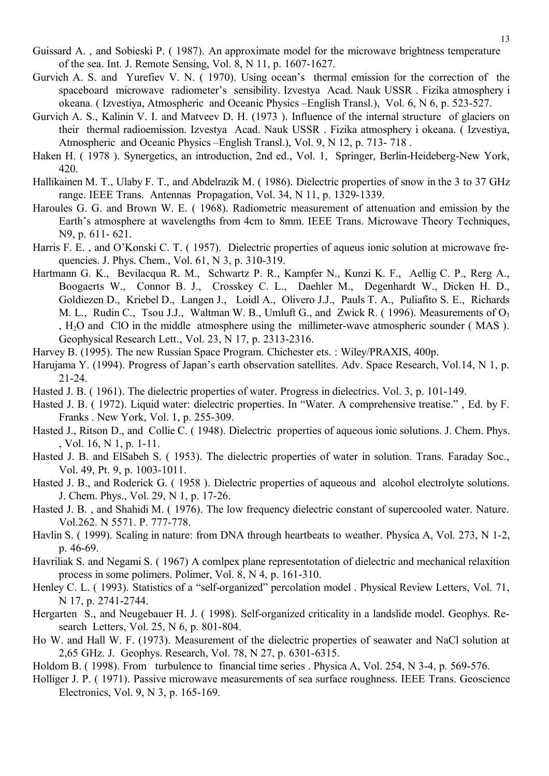- Guissard A. , and Sobieski P. ( 1987). An approximate model for the microwave brightness temperature of the sea. Int. J. Remote Sensing, Vol. 8, N  $11$ , p.  $1607-1627$ .
- Gurvich A. S. and Yurefiev V. N. ( 1970). Using ocean's thermal emission for the correction of the spaceboard microwave radiometer's sensibility. Izvestya Acad. Nauk USSR . Fizika atmosphery i okeana. (Izvestiya, Atmospheric and Oceanic Physics –English Transl.), Vol. 6, N 6, p. 523-527.
- Gurvich A. S., Kalinin V. I. and Matveev D. H. (1973 ). Influence of the internal structure of glaciers on their thermal radioemission. Izvestya Acad. Nauk USSR . Fizika atmosphery i okeana. ( Izvestiya, Atmospheric and Oceanic Physics –English Transl.), Vol. 9, N 12, p. 713-718.
- Haken H. (1978). Synergetics, an introduction, 2nd ed., Vol. 1, Springer, Berlin-Heideberg-New York, 420.
- Hallikainen M. T., Ulaby F. T., and Abdelrazik M. ( 1986). Dielectric properties of snow in the 3 to 37 GHz range. IEEE Trans. Antennas Propagation, Vol. 34, N 11, p. 1329-1339.
- Haroules G. G. and Brown W. E. ( 1968). Radiometric measurement of attenuation and emission by the Earth's atmosphere at wavelengths from 4cm to 8mm. IEEE Trans. Microwave Theory Techniques, N9, p. 611-621.
- Harris F. E. , and O'Konski C. T. ( 1957). Dielectric properties of aqueus ionic solution at microwave frequencies. J. Phys. Chem., Vol.  $61$ , N  $3$ , p.  $310-319$ .
- Hartmann G. K., Bevilacqua R. M., Schwartz P. R., Kampfer N., Kunzi K. F., Aellig C. P., Rerg A., Boogaerts W., Connor B. J., Crosskey C. L., Daehler M., Degenhardt W., Dicken H. D., Goldiezen D., Kriebel D., Langen J., Loidl A., Olivero J.J., Pauls T. A., Puliafito S. E., Richards M. L., Rudin C., Tsou J.J., Waltman W. B., Umluft G., and Zwick R. (1996). Measurements of O<sub>3</sub> ,  $H_2O$  and ClO in the middle atmosphere using the millimeter-wave atmospheric sounder ( $MAS$ ). Geophysical Research Lett., Vol.  $23$ , N 17, p.  $2313-2316$ .
- Harvey B. (1995). The new Russian Space Program. Chichester ets. : Wiley/PRAXIS, 400p.
- Harujama Y. (1994). Progress of Japan's earth observation satellites. Adv. Space Research, Vol.14, N 1, p. 21-24.
- Hasted J. B. (1961). The dielectric properties of water. Progress in dielectrics. Vol. 3, p. 101-149.
- Hasted J. B. ( 1972). Liquid water: dielectric properties. In "Water. A comprehensive treatise." , Ed. by F. Franks . New York, Vol. 1, p. 255-309.
- Hasted J., Ritson D., and Collie C. ( 1948). Dielectric properties of aqueous ionic solutions. J. Chem. Phys. , Vol. 16, N 1, p. 1-11.
- Hasted J. B. and ElSabeh S. ( 1953). The dielectric properties of water in solution. Trans. Faraday Soc., Vol. 49, Pt. 9, p. 1003-1011.
- Hasted J. B., and Roderick G. ( 1958 ). Dielectric properties of aqueous and alcohol electrolyte solutions. J. Chem. Phys., Vol. 29, N 1, p. 17-26.
- Hasted J. B. , and Shahidi M. ( 1976). The low frequency dielectric constant of supercooled water. Nature. Vol.262. N 5571. P. 777-778.
- Havlin S. (1999). Scaling in nature: from DNA through heartbeats to weather. Physica A, Vol. 273, N 1-2, p. 46-69.
- Havriliak S. and Negami S. ( 1967) A comlpex plane representotation of dielectric and mechanical relaxition process in some polimers. Polimer, Vol. 8, N 4, p. 161-310.
- Henley C. L. (1993). Statistics of a "self-organized" percolation model . Physical Review Letters, Vol. 71, N 17, p. 2741-2744.
- Hergarten S., and Neugebauer H. J. (1998). Self-organized criticality in a landslide model. Geophys. Research Letters, Vol.  $25$ , N  $6$ , p.  $801-804$ .
- Ho W. and Hall W. F. (1973). Measurement of the dielectric properties of seawater and NaCl solution at 2,65 GHz. J. Geophys. Research, Vol. 78, N 27, p. 6301-6315.
- Holdom B. (1998). From turbulence to financial time series . Physica A, Vol. 254, N 3-4, p. 569-576.
- Holliger J. P. ( 1971). Passive microwave measurements of sea surface roughness. IEEE Trans. Geoscience Electronics, Vol. 9, N 3, p. 165-169.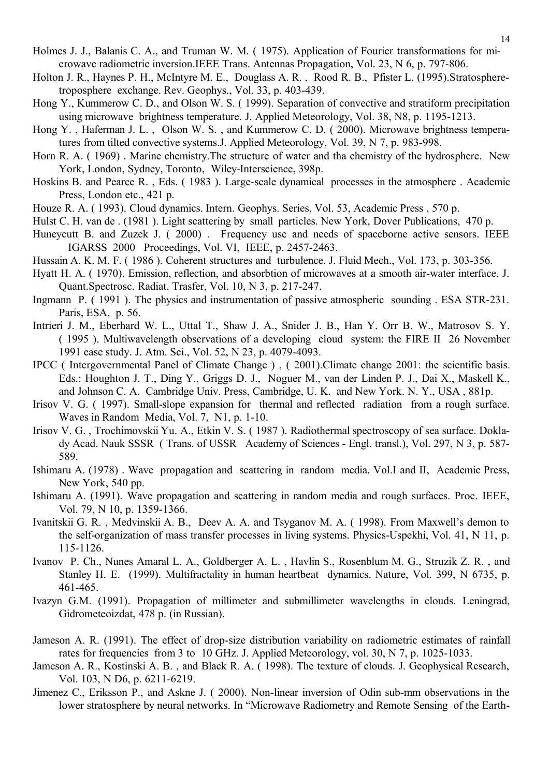- Holmes J. J., Balanis C. A., and Truman W. M. ( 1975). Application of Fourier transformations for microwave radiometric inversion.IEEE Trans. Antennas Propagation, Vol. 23, N 6, p. 797-806.
- Holton J. R., Haynes P. H., McIntyre M. E., Douglass A. R. , Rood R. B., Pfister L. (1995).Stratospheretroposphere exchange. Rev. Geophys., Vol. 33, p. 403-439.
- Hong Y., Kummerow C. D., and Olson W. S. ( 1999). Separation of convective and stratiform precipitation using microwave brightness temperature. J. Applied Meteorology, Vol. 38, N8, p. 1195-1213.
- Hong Y. , Haferman J. L. , Olson W. S. , and Kummerow C. D. ( 2000). Microwave brightness temperatures from tilted convective systems. J. Applied Meteorology, Vol. 39, N 7, p. 983-998.
- Horn R. A. ( 1969) . Marine chemistry.The structure of water and tha chemistry of the hydrosphere. New York, London, Sydney, Toronto, Wiley-Interscience, 398p.
- Hoskins B. and Pearce R., Eds. (1983). Large-scale dynamical processes in the atmosphere. Academic Press, London etc., 421 p.
- Houze R. A. ( 1993). Cloud dynamics. Intern. Geophys. Series, Vol. 53, Academic Press , 570 p.
- Hulst C. H. van de . (1981 ). Light scattering by small particles. New York, Dover Publications, 470 p.
- Huneycutt B. and Zuzek J. (2000). Frequency use and needs of spaceborne active sensors. IEEE IGARSS  $2000$  Proceedings, Vol. VI, IEEE, p. 2457-2463.
- Hussain A. K. M. F. (1986). Coherent structures and turbulence. J. Fluid Mech., Vol. 173, p. 303-356.
- Hyatt H. A. (1970). Emission, reflection, and absorbtion of microwaves at a smooth air-water interface. J. Quant.Spectrosc. Radiat. Trasfer, Vol. 10, N 3, p. 217-247.
- Ingmann P. (1991). The physics and instrumentation of passive atmospheric sounding . ESA STR-231. Paris, ESA, p. 56.
- Intrieri J. M., Eberhard W. L., Uttal T., Shaw J. A., Snider J. B., Han Y. Orr B. W., Matrosov S. Y. ( 1995 ). Multiwavelength observations of a developing cloud system: the FIRE II 26 November 1991 case study. J. Atm. Sci., Vol. 52, N 23, p. 4079-4093.
- IPCC ( Intergovernmental Panel of Climate Change ) , ( 2001).Climate change 2001: the scientific basis. Eds.: Houghton J. T., Ding Y., Griggs D. J., Noguer M., van der Linden P. J., Dai X., Maskell K., and Johnson C. A. Cambridge Univ. Press, Cambridge, U. K. and New York. N. Y., USA , 881p.
- Irisov V. G. (1997). Small-slope expansion for thermal and reflected radiation from a rough surface. Waves in Random Media, Vol. 7, N1, p. 1-10.
- Irisov V. G. , Trochimovskii Yu. A., Etkin V. S. ( 1987 ). Radiothermal spectroscopy of sea surface. Doklady Acad. Nauk SSSR ( Trans. of USSR Academy of Sciences Engl. transl.), Vol. 297, N 3, p. 587 589.
- Ishimaru A. (1978) . Wave propagation and scattering in random media. Vol.I and II, Academic Press, New York, 540 pp.
- Ishimaru A. (1991). Wave propagation and scattering in random media and rough surfaces. Proc. IEEE, Vol. 79, N 10, p. 1359-1366.
- Ivanitskii G. R. , Medvinskii A. B., Deev A. A. and Tsyganov M. A. ( 1998). From Maxwell's demon to the self-organization of mass transfer processes in living systems. Physics-Uspekhi, Vol. 41, N 11, p. 1151126.
- Ivanov P. Ch., Nunes Amaral L. A., Goldberger A. L. , Havlin S., Rosenblum M. G., Struzik Z. R. , and Stanley H. E. (1999). Multifractality in human heartbeat dynamics. Nature, Vol. 399, N 6735, p. 461465.
- Ivazyn G.M. (1991). Propagation of millimeter and submillimeter wavelengths in clouds. Leningrad, Gidrometeoizdat, 478 p. (in Russian).
- Jameson A. R. (1991). The effect of drop-size distribution variability on radiometric estimates of rainfall rates for frequencies from 3 to 10 GHz. J. Applied Meteorology, vol. 30, N 7, p.  $1025-1033$ .
- Jameson A. R., Kostinski A. B. , and Black R. A. ( 1998). The texture of clouds. J. Geophysical Research, Vol. 103, N D6, p. 6211-6219.
- Jimenez C., Eriksson P., and Askne J. (2000). Non-linear inversion of Odin sub-mm observations in the lower stratosphere by neural networks. In "Microwave Radiometry and Remote Sensing of the Earth-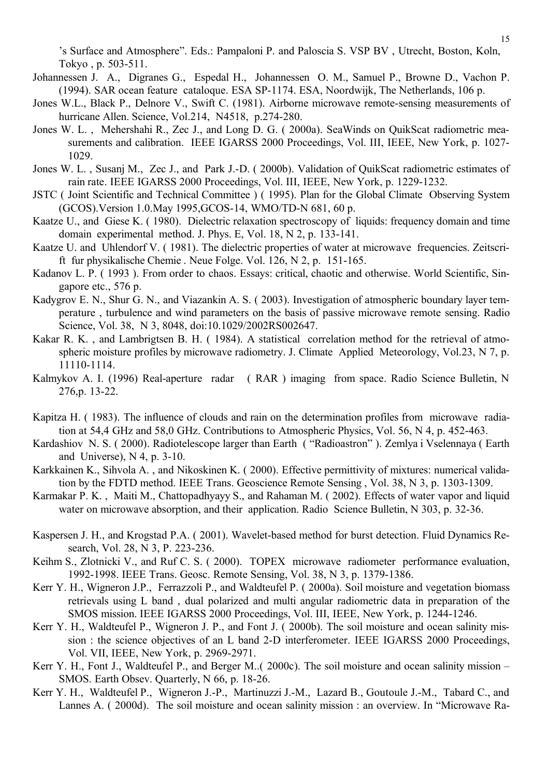's Surface and Atmosphere". Eds.: Pampaloni P. and Paloscia S. VSP BV , Utrecht, Boston, Koln, Tokyo, p.  $503-511$ .

- Johannessen J. A., Digranes G., Espedal H., Johannessen O. M., Samuel P., Browne D., Vachon P. (1994). SAR ocean feature cataloque. ESA SP1174. ESA, Noordwijk, The Netherlands, 106 p.
- Jones W.L., Black P., Delnore V., Swift C. (1981). Airborne microwave remote-sensing measurements of hurricane Allen. Science, Vol.214, N $4518$ , p.274-280.
- Jones W. L. , Mehershahi R., Zec J., and Long D. G. ( 2000a). SeaWinds on QuikScat radiometric measurements and calibration. IEEE IGARSS 2000 Proceedings, Vol. III, IEEE, New York, p. 1027 1029.
- Jones W. L. , Susanj M., Zec J., and Park J.D. ( 2000b). Validation of QuikScat radiometric estimates of rain rate. IEEE IGARSS 2000 Proceedings, Vol. III, IEEE, New York, p. 1229-1232.
- JSTC ( Joint Scientific and Technical Committee ) ( 1995). Plan for the Global Climate Observing System (GCOS). Version 1.0. May 1995, GCOS-14, WMO/TD-N 681, 60 p.
- Kaatze U., and Giese K. ( 1980). Dielectric relaxation spectroscopy of liquids: frequency domain and time domain experimental method. J. Phys. E, Vol. 18, N 2, p. 133-141.
- Kaatze U. and Uhlendorf V. ( 1981). The dielectric properties of water at microwave frequencies. Zeitscrift fur physikalische Chemie . Neue Folge. Vol.  $126$ , N  $2$ , p.  $151-165$ .
- Kadanov L. P. ( 1993 ). From order to chaos. Essays: critical, chaotic and otherwise. World Scientific, Singapore etc., 576 p.
- Kadygrov E. N., Shur G. N., and Viazankin A. S. ( 2003). Investigation of atmospheric boundary layer temperature , turbulence and wind parameters on the basis of passive microwave remote sensing. Radio Science, Vol. 38, N 3, 8048, doi:10.1029/2002RS002647.
- Kakar R. K. , and Lambrigtsen B. H. ( 1984). A statistical correlation method for the retrieval of atmospheric moisture profiles by microwave radiometry. J. Climate Applied Meteorology, Vol.23, N 7, p. 11110-1114.
- Kalmykov A. I. (1996) Real-aperture radar ( RAR ) imaging from space. Radio Science Bulletin, N 276, p. 13-22.
- Kapitza H. ( 1983). The influence of clouds and rain on the determination profiles from microwave radiation at 54.4 GHz and 58.0 GHz. Contributions to Atmospheric Physics, Vol. 56, N 4, p. 452-463.
- Kardashiov N. S. ( 2000). Radiotelescope larger than Earth ( "Radioastron" ). Zemlya i Vselennaya ( Earth and Universe),  $N$  4, p. 3-10.
- Karkkainen K., Sihvola A. , and Nikoskinen K. ( 2000). Effective permittivity of mixtures: numerical validation by the FDTD method. IEEE Trans. Geoscience Remote Sensing, Vol. 38, N 3, p. 1303-1309.
- Karmakar P. K. , Maiti M., Chattopadhyayy S., and Rahaman M. ( 2002). Effects of water vapor and liquid water on microwave absorption, and their application. Radio Science Bulletin, N 303, p. 32-36.
- Kaspersen J. H., and Krogstad P.A. (2001). Wavelet-based method for burst detection. Fluid Dynamics Research, Vol. 28, N 3, P. 223-236.
- Keihm S., Zlotnicki V., and Ruf C. S. ( 2000). TOPEX microwave radiometer performance evaluation, 1992-1998. IEEE Trans. Geosc. Remote Sensing, Vol. 38, N 3, p. 1379-1386.
- Kerr Y. H., Wigneron J.P., Ferrazzoli P., and Waldteufel P. ( 2000a). Soil moisture and vegetation biomass retrievals using L band , dual polarized and multi angular radiometric data in preparation of the SMOS mission. IEEE IGARSS 2000 Proceedings, Vol. III, IEEE, New York, p. 1244-1246.
- Kerr Y. H., Waldteufel P., Wigneron J. P., and Font J. ( 2000b). The soil moisture and ocean salinity mission : the science objectives of an L band 2-D interferometer. IEEE IGARSS 2000 Proceedings, Vol. VII, IEEE, New York, p. 2969-2971.
- Kerr Y. H., Font J., Waldteufel P., and Berger M..( 2000c). The soil moisture and ocean salinity mission SMOS. Earth Obsev. Quarterly, N 66, p. 18-26.
- Kerr Y. H., Waldteufel P., Wigneron J.-P., Martinuzzi J.-M., Lazard B., Goutoule J.-M., Tabard C., and Lannes A. ( 2000d). The soil moisture and ocean salinity mission : an overview. In "Microwave Ra-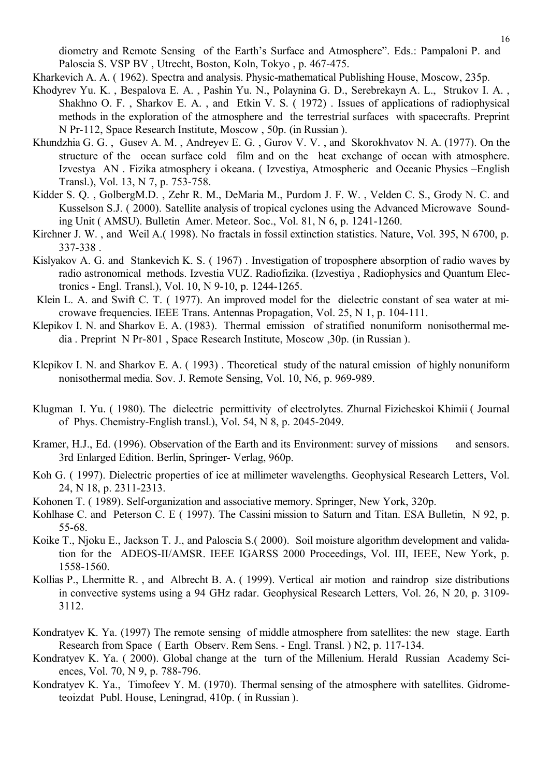diometry and Remote Sensing of the Earth's Surface and Atmosphere". Eds.: Pampaloni P. and Paloscia S. VSP BV, Utrecht, Boston, Koln, Tokyo, p. 467-475.

Kharkevich A. A. (1962). Spectra and analysis. Physic-mathematical Publishing House, Moscow, 235p.

- Khodyrev Yu. K. , Bespalova E. A. , Pashin Yu. N., Polaynina G. D., Serebrekayn A. L., Strukov I. A. , Shakhno O. F. , Sharkov E. A. , and Etkin V. S. ( 1972) . Issues of applications of radiophysical methods in the exploration of the atmosphere and the terrestrial surfaces with spacecrafts. Preprint N Pr-112, Space Research Institute, Moscow, 50p. (in Russian ).
- Khundzhia G. G. , Gusev A. M. , Andreyev E. G. , Gurov V. V. , and Skorokhvatov N. A. (1977). On the structure of the ocean surface cold film and on the heat exchange of ocean with atmosphere. Izvestya AN . Fizika atmosphery i okeana. ( Izvestiya, Atmospheric and Oceanic Physics –English Transl.), Vol. 13, N 7, p. 753-758.
- Kidder S. Q. , GolbergM.D. , Zehr R. M., DeMaria M., Purdom J. F. W. , Velden C. S., Grody N. C. and Kusselson S.J. ( 2000). Satellite analysis of tropical cyclones using the Advanced Microwave Sounding Unit ( AMSU). Bulletin Amer. Meteor. Soc., Vol. 81, N $6$ , p. 1241-1260.
- Kirchner J. W. , and Weil A.( 1998). No fractals in fossil extinction statistics. Nature, Vol. 395, N 6700, p. 337338 .
- Kislyakov A. G. and Stankevich K. S. ( 1967) . Investigation of troposphere absorption of radio waves by radio astronomical methods. Izvestia VUZ. Radiofizika. (Izvestiya , Radiophysics and Quantum Electronics - Engl. Transl.), Vol. 10, N 9-10, p. 1244-1265.
- Klein L. A. and Swift C. T. ( 1977). An improved model for the dielectric constant of sea water at microwave frequencies. IEEE Trans. Antennas Propagation, Vol.  $25$ , N 1, p. 104-111.
- Klepikov I. N. and Sharkov E. A. (1983). Thermal emission of stratified nonuniform nonisothermal media . Preprint N Pr-801, Space Research Institute, Moscow , 30p. (in Russian ).
- Klepikov I. N. and Sharkov E. A. ( 1993) . Theoretical study of the natural emission of highly nonuniform nonisothermal media. Sov. J. Remote Sensing, Vol. 10, N6, p. 969-989.
- Klugman I. Yu. ( 1980). The dielectric permittivity of electrolytes. Zhurnal Fizicheskoi Khimii ( Journal of Phys. Chemistry-English transl.), Vol. 54, N  $8$ , p. 2045-2049.
- Kramer, H.J., Ed. (1996). Observation of the Earth and its Environment: survey of missions and sensors. 3rd Enlarged Edition. Berlin, Springer- Verlag, 960p.
- Koh G. ( 1997). Dielectric properties of ice at millimeter wavelengths. Geophysical Research Letters, Vol. 24, N 18, p. 2311-2313.
- Kohonen T. (1989). Self-organization and associative memory. Springer, New York, 320p.
- Kohlhase C. and Peterson C. E (1997). The Cassini mission to Saturn and Titan. ESA Bulletin, N 92, p. 5568.
- Koike T., Njoku E., Jackson T. J., and Paloscia S.( 2000). Soil moisture algorithm development and validation for the ADEOS-II/AMSR. IEEE IGARSS 2000 Proceedings, Vol. III, IEEE, New York, p. 1558-1560.
- Kollias P., Lhermitte R. , and Albrecht B. A. ( 1999). Vertical air motion and raindrop size distributions in convective systems using a 94 GHz radar. Geophysical Research Letters, Vol. 26, N 20, p. 3109 3112.
- Kondratyev K. Ya. (1997) The remote sensing of middle atmosphere from satellites: the new stage. Earth Research from Space ( Earth Observ. Rem Sens. - Engl. Transl. ) N2, p. 117-134.
- Kondratyev K. Ya. ( 2000). Global change at the turn of the Millenium. Herald Russian Academy Sciences, Vol. 70, N 9, p. 788-796.
- Kondratyev K. Ya., Timofeev Y. M. (1970). Thermal sensing of the atmosphere with satellites. Gidrometeoizdat Publ. House, Leningrad, 410p. ( in Russian ).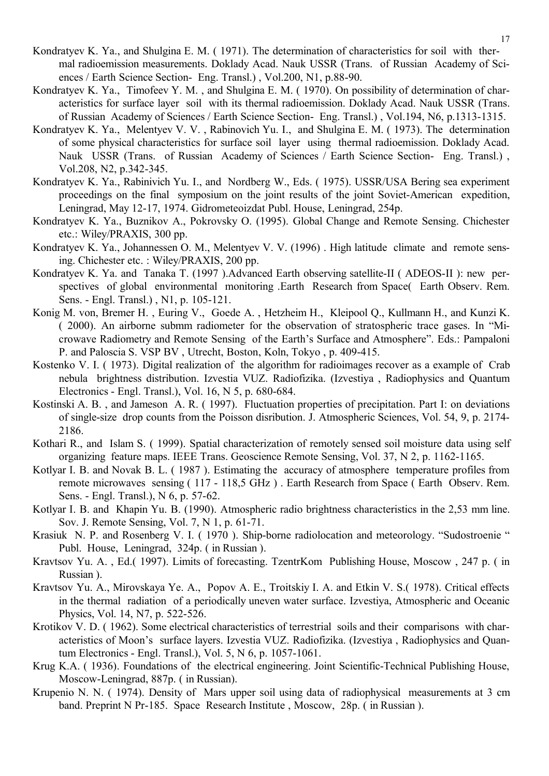- Kondratyev K. Ya., and Shulgina E. M. ( 1971). The determination of characteristics for soil with thermal radioemission measurements. Doklady Acad. Nauk USSR (Trans. of Russian Academy of Sciences / Earth Science Section Eng. Transl.), Vol.200, N1, p.88-90.
- Kondratyev K. Ya., Timofeev Y. M. , and Shulgina E. M. ( 1970). On possibility of determination of characteristics for surface layer soil with its thermal radioemission. Doklady Acad. Nauk USSR (Trans. of Russian Academy of Sciences / Earth Science Section- Eng. Transl.), Vol.194, N6, p.1313-1315.
- Kondratyev K. Ya., Melentyev V. V. , Rabinovich Yu. I., and Shulgina E. M. ( 1973). The determination of some physical characteristics for surface soil layer using thermal radioemission. Doklady Acad. Nauk USSR (Trans. of Russian Academy of Sciences / Earth Science Section- Eng. Transl.), Vol.208, N2, p.342-345.
- Kondratyev K. Ya., Rabinivich Yu. I., and Nordberg W., Eds. ( 1975). USSR/USA Bering sea experiment proceedings on the final symposium on the joint results of the joint Soviet-American expedition, Leningrad, May 12-17, 1974. Gidrometeoizdat Publ. House, Leningrad, 254p.
- Kondratyev K. Ya., Buznikov A., Pokrovsky O. (1995). Global Change and Remote Sensing. Chichester etc.: Wiley/PRAXIS, 300 pp.
- Kondratyev K. Ya., Johannessen O. M., Melentyev V. V. (1996) . High latitude climate and remote sensing. Chichester etc. : Wiley/PRAXIS, 200 pp.
- Kondratyev K. Ya. and Tanaka T. (1997). Advanced Earth observing satellite-II (ADEOS-II): new perspectives of global environmental monitoring .Earth Research from Space( Earth Observ. Rem. Sens. - Engl. Transl.), N1, p. 105-121.
- Konig M. von, Bremer H. , Euring V., Goede A. , Hetzheim H., Kleipool Q., Kullmann H., and Kunzi K. ( 2000). An airborne submm radiometer for the observation of stratospheric trace gases. In "Microwave Radiometry and Remote Sensing of the Earth's Surface and Atmosphere". Eds.: Pampaloni P. and Paloscia S. VSP BV, Utrecht, Boston, Koln, Tokyo, p. 409-415.
- Kostenko V. I. ( 1973). Digital realization of the algorithm for radioimages recover as a example of Crab nebula brightness distribution. Izvestia VUZ. Radiofizika. (Izvestiya , Radiophysics and Quantum Electronics - Engl. Transl.), Vol.  $16$ , N  $5$ , p.  $680-684$ .
- Kostinski A. B. , and Jameson A. R. ( 1997). Fluctuation properties of precipitation. Part I: on deviations of singlesize drop counts from the Poisson disribution. J. Atmospheric Sciences, Vol. 54, 9, p. 2174 2186.
- Kothari R., and Islam S. ( 1999). Spatial characterization of remotely sensed soil moisture data using self organizing feature maps. IEEE Trans. Geoscience Remote Sensing, Vol. 37, N 2, p. 1162-1165.
- Kotlyar I. B. and Novak B. L. ( 1987 ). Estimating the accuracy of atmosphere temperature profiles from remote microwaves sensing (117 - 118,5 GHz). Earth Research from Space (Earth Observ. Rem. Sens. - Engl. Transl.), N 6, p. 57-62.
- Kotlyar I. B. and Khapin Yu. B. (1990). Atmospheric radio brightness characteristics in the 2,53 mm line. Sov. J. Remote Sensing, Vol. 7, N 1, p. 61-71.
- Krasiuk N. P. and Rosenberg V. I. (1970). Ship-borne radiolocation and meteorology. "Sudostroenie " Publ. House, Leningrad, 324p. ( in Russian ).
- Kravtsov Yu. A. , Ed.( 1997). Limits of forecasting. TzentrKom Publishing House, Moscow , 247 p. ( in Russian ).
- Kravtsov Yu. A., Mirovskaya Ye. A., Popov A. E., Troitskiy I. A. and Etkin V. S.( 1978). Critical effects in the thermal radiation of a periodically uneven water surface. Izvestiya, Atmospheric and Oceanic Physics, Vol. 14, N7, p. 522-526.
- Krotikov V. D. ( 1962). Some electrical characteristics of terrestrial soils and their comparisons with characteristics of Moon's surface layers. Izvestia VUZ. Radiofizika. (Izvestiya , Radiophysics and Quantum Electronics - Engl. Transl.), Vol. 5, N  $6$ , p. 1057-1061.
- Krug K.A. (1936). Foundations of the electrical engineering. Joint Scientific-Technical Publishing House, Moscow-Leningrad, 887p. (in Russian).
- Krupenio N. N. ( 1974). Density of Mars upper soil using data of radiophysical measurements at 3 cm band. Preprint N Pr-185. Space Research Institute, Moscow, 28p. (in Russian).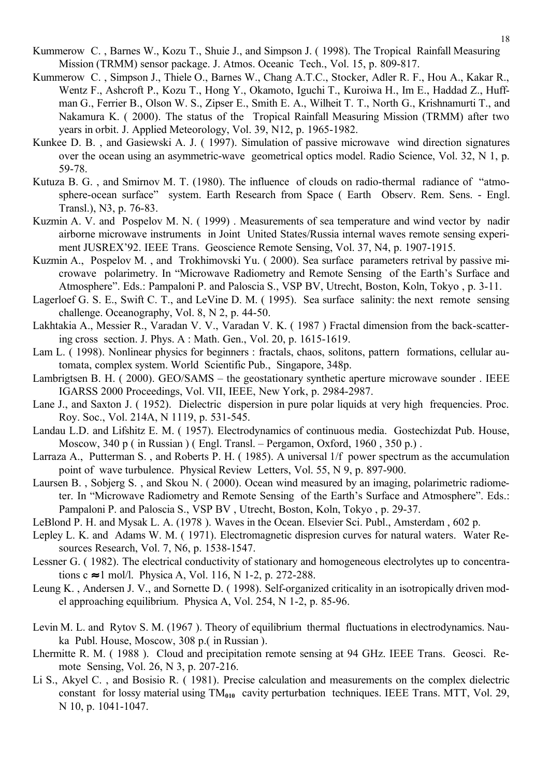- Kummerow C. , Barnes W., Kozu T., Shuie J., and Simpson J. ( 1998). The Tropical Rainfall Measuring Mission (TRMM) sensor package. J. Atmos. Oceanic Tech., Vol. 15, p. 809-817.
- Kummerow C. , Simpson J., Thiele O., Barnes W., Chang A.T.C., Stocker, Adler R. F., Hou A., Kakar R., Wentz F., Ashcroft P., Kozu T., Hong Y., Okamoto, Iguchi T., Kuroiwa H., Im E., Haddad Z., Huffman G., Ferrier B., Olson W. S., Zipser E., Smith E. A., Wilheit T. T., North G., Krishnamurti T., and Nakamura K. ( 2000). The status of the Tropical Rainfall Measuring Mission (TRMM) after two years in orbit. J. Applied Meteorology, Vol. 39, N12, p. 1965-1982.
- Kunkee D. B. , and Gasiewski A. J. ( 1997). Simulation of passive microwave wind direction signatures over the ocean using an asymmetric-wave geometrical optics model. Radio Science, Vol. 32, N 1, p. 59-78.
- Kutuza B. G., and Smirnov M. T. (1980). The influence of clouds on radio-thermal radiance of "atmosphere-ocean surface" system. Earth Research from Space ( Earth Observ. Rem. Sens. - Engl. Transl.), N3, p. 76-83.
- Kuzmin A. V. and Pospelov M. N. ( 1999) . Measurements of sea temperature and wind vector by nadir airborne microwave instruments in Joint United States/Russia internal waves remote sensing experiment JUSREX'92. IEEE Trans. Geoscience Remote Sensing, Vol. 37, N4, p. 1907-1915.
- Kuzmin A., Pospelov M. , and Trokhimovski Yu. ( 2000). Sea surface parameters retrival by passive microwave polarimetry. In "Microwave Radiometry and Remote Sensing of the Earth's Surface and Atmosphere". Eds.: Pampaloni P. and Paloscia S., VSP BV, Utrecht, Boston, Koln, Tokyo, p. 3-11.
- Lagerloef G. S. E., Swift C. T., and LeVine D. M. ( 1995). Sea surface salinity: the next remote sensing challenge. Oceanography, Vol. 8, N  $2$ , p. 44-50.
- Lakhtakia A., Messier R., Varadan V. V., Varadan V. K. (1987) Fractal dimension from the back-scattering cross section. J. Phys. A : Math. Gen., Vol. 20, p.  $1615-1619$ .
- Lam L. ( 1998). Nonlinear physics for beginners : fractals, chaos, solitons, pattern formations, cellular automata, complex system. World Scientific Pub., Singapore, 348p.
- Lambrigtsen B. H. ( 2000). GEO/SAMS the geostationary synthetic aperture microwave sounder . IEEE IGARSS 2000 Proceedings, Vol. VII, IEEE, New York, p. 2984-2987.
- Lane J., and Saxton J. ( 1952). Dielectric dispersion in pure polar liquids at very high frequencies. Proc. Roy. Soc., Vol. 214A, N 1119, p. 531-545.
- Landau L.D. and Lifshitz E. M. ( 1957). Electrodynamics of continuous media. Gostechizdat Pub. House, Moscow, 340 p (in Russian ) (Engl. Transl. – Pergamon, Oxford, 1960, 350 p.).
- Larraza A., Putterman S. , and Roberts P. H. ( 1985). A universal 1/f power spectrum as the accumulation point of wave turbulence. Physical Review Letters, Vol. 55, N 9, p. 897-900.
- Laursen B. , Sobjerg S. , and Skou N. ( 2000). Ocean wind measured by an imaging, polarimetric radiometer. In "Microwave Radiometry and Remote Sensing of the Earth's Surface and Atmosphere". Eds.: Pampaloni P. and Paloscia S., VSP BV, Utrecht, Boston, Koln, Tokyo, p. 29-37.
- LeBlond P. H. and Mysak L. A. (1978 ). Waves in the Ocean. Elsevier Sci. Publ., Amsterdam , 602 p.
- Lepley L. K. and Adams W. M. ( 1971). Electromagnetic dispresion curves for natural waters. Water Resources Research, Vol. 7, N6, p. 1538-1547.
- Lessner G. ( 1982). The electrical conductivity of stationary and homogeneous electrolytes up to concentrations  $c \approx 1$  mol/l. Physica A, Vol. 116, N 1-2, p. 272-288.
- Leung K., Andersen J. V., and Sornette D. (1998). Self-organized criticality in an isotropically driven model approaching equilibrium. Physica A, Vol. 254, N 1-2, p. 85-96.
- Levin M. L. and Rytov S. M. (1967 ). Theory of equilibrium thermal fluctuations in electrodynamics. Nauka Publ. House, Moscow, 308 p.( in Russian ).
- Lhermitte R. M. ( 1988 ). Cloud and precipitation remote sensing at 94 GHz. IEEE Trans. Geosci. Remote Sensing, Vol. 26, N 3, p. 207-216.
- Li S., Akyel C. , and Bosisio R. ( 1981). Precise calculation and measurements on the complex dielectric constant for lossy material using TM**<sup>010</sup>** cavity perturbation techniques. IEEE Trans. MTT, Vol. 29, N 10, p. 1041-1047.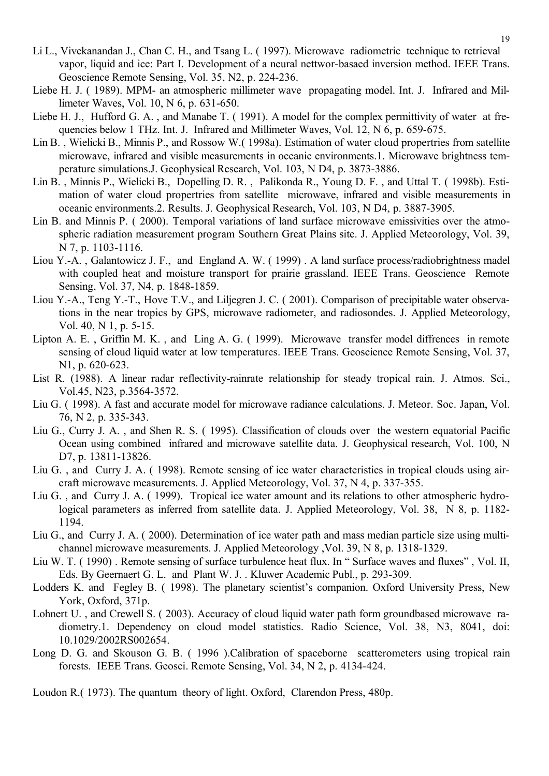- Li L., Vivekanandan J., Chan C. H., and Tsang L. ( 1997). Microwave radiometric technique to retrieval vapor, liquid and ice: Part I. Development of a neural nettwor-basaed inversion method. IEEE Trans. Geoscience Remote Sensing, Vol. 35, N2, p. 224-236.
- Liebe H. J. (1989). MPM- an atmospheric millimeter wave propagating model. Int. J. Infrared and Millimeter Waves, Vol. 10, N  $6$ , p.  $631-650$ .
- Liebe H. J., Hufford G. A. , and Manabe T. ( 1991). A model for the complex permittivity of water at frequencies below 1 THz. Int. J. Infrared and Millimeter Waves, Vol.  $12$ , N  $6$ , p.  $659-675$ .
- Lin B. , Wielicki B., Minnis P., and Rossow W.( 1998a). Estimation of water cloud propertries from satellite microwave, infrared and visible measurements in oceanic environments.1. Microwave brightness temperature simulations. J. Geophysical Research, Vol. 103, N D4, p. 3873-3886.
- Lin B. , Minnis P., Wielicki B., Dopelling D. R. , Palikonda R., Young D. F. , and Uttal T. ( 1998b). Estimation of water cloud propertries from satellite microwave, infrared and visible measurements in oceanic environments. 2. Results. J. Geophysical Research, Vol. 103, N D4, p. 3887-3905.
- Lin B. and Minnis P. ( 2000). Temporal variations of land surface microwave emissivities over the atmospheric radiation measurement program Southern Great Plains site. J. Applied Meteorology, Vol. 39, N 7, p. 1103-1116.
- Liou Y.A. , Galantowicz J. F., and England A. W. ( 1999) . A land surface process/radiobrightness madel with coupled heat and moisture transport for prairie grassland. IEEE Trans. Geoscience Remote Sensing, Vol. 37, N4, p. 1848-1859.
- Liou Y.-A., Teng Y.-T., Hove T.V., and Liljegren J. C. (2001). Comparison of precipitable water observations in the near tropics by GPS, microwave radiometer, and radiosondes. J. Applied Meteorology, Vol. 40, N 1, p. 5-15.
- Lipton A. E. , Griffin M. K. , and Ling A. G. ( 1999). Microwave transfer model diffrences in remote sensing of cloud liquid water at low temperatures. IEEE Trans. Geoscience Remote Sensing, Vol. 37, N1, p. 620-623.
- List R. (1988). A linear radar reflectivity-rainrate relationship for steady tropical rain. J. Atmos. Sci., Vol.45, N23, p.3564-3572.
- Liu G. ( 1998). A fast and accurate model for microwave radiance calculations. J. Meteor. Soc. Japan, Vol. 76, N 2, p. 335-343.
- Liu G., Curry J. A. , and Shen R. S. ( 1995). Classification of clouds over the western equatorial Pacific Ocean using combined infrared and microwave satellite data. J. Geophysical research, Vol. 100, N D7, p. 13811-13826.
- Liu G. , and Curry J. A. ( 1998). Remote sensing of ice water characteristics in tropical clouds using aircraft microwave measurements. J. Applied Meteorology, Vol. 37, N 4, p. 337-355.
- Liu G. , and Curry J. A. ( 1999). Tropical ice water amount and its relations to other atmospheric hydrological parameters as inferred from satellite data. J. Applied Meteorology, Vol. 38, N 8, p. 1182-1194.
- Liu G., and Curry J. A. ( 2000). Determination of ice water path and mass median particle size using multichannel microwave measurements. J. Applied Meteorology , Vol. 39, N 8, p. 1318-1329.
- Liu W. T. ( 1990) . Remote sensing of surface turbulence heat flux. In " Surface waves and fluxes" , Vol. II, Eds. By Geernaert G. L. and Plant W. J. . Kluwer Academic Publ., p. 293-309.
- Lodders K. and Fegley B. ( 1998). The planetary scientist's companion. Oxford University Press, New York, Oxford, 371p.
- Lohnert U. , and Crewell S. ( 2003). Accuracy of cloud liquid water path form groundbased microwave radiometry.1. Dependency on cloud model statistics. Radio Science, Vol. 38, N3, 8041, doi: 10.1029/2002RS002654.
- Long D. G. and Skouson G. B. (1996).Calibration of spaceborne scatterometers using tropical rain forests. IEEE Trans. Geosci. Remote Sensing, Vol. 34, N 2, p. 4134-424.

Loudon R.( 1973). The quantum theory of light. Oxford, Clarendon Press, 480p.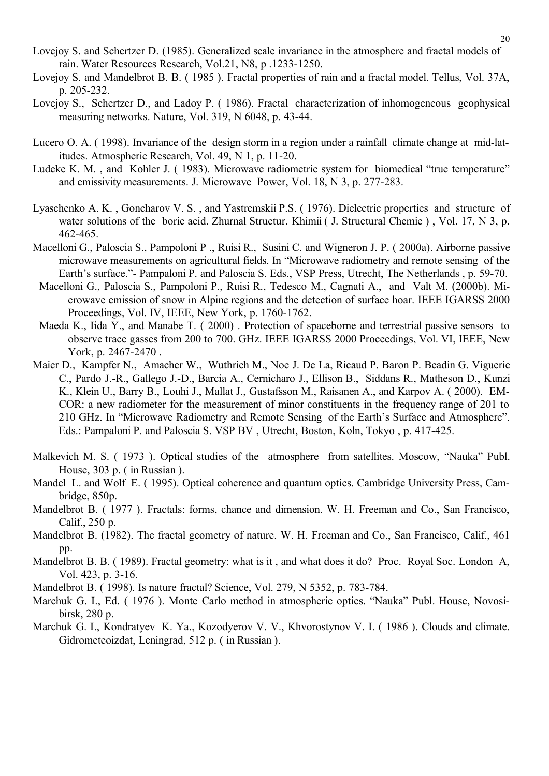- Lovejoy S. and Schertzer D. (1985). Generalized scale invariance in the atmosphere and fractal models of rain. Water Resources Research, Vol.21, N8, p. 1233-1250.
- Lovejoy S. and Mandelbrot B. B. ( 1985 ). Fractal properties of rain and a fractal model. Tellus, Vol. 37A, p. 205-232.
- Lovejoy S., Schertzer D., and Ladoy P. ( 1986). Fractal characterization of inhomogeneous geophysical measuring networks. Nature, Vol. 319, N 6048, p. 43-44.
- Lucero O. A. (1998). Invariance of the design storm in a region under a rainfall climate change at mid-latitudes. Atmospheric Research, Vol. 49, N 1, p. 11-20.
- Ludeke K. M. , and Kohler J. ( 1983). Microwave radiometric system for biomedical "true temperature" and emissivity measurements. J. Microwave Power, Vol.  $18$ , N  $3$ , p.  $277-283$ .
- Lyasсhenko A. K. , Goncharov V. S. , and Yastremskii P.S. ( 1976). Dielectric properties and structure of water solutions of the boric acid. Zhurnal Structur. Khimii (J. Structural Chemie), Vol. 17, N 3, p. 462465.
- Macelloni G., Paloscia S., Pampoloni P ., Ruisi R., Susini C. and Wigneron J. P. ( 2000a). Airborne passive microwave measurements on agricultural fields. In "Microwave radiometry and remote sensing of the Earth's surface." - Pampaloni P. and Paloscia S. Eds., VSP Press, Utrecht, The Netherlands , p. 59-70.
- Macelloni G., Paloscia S., Pampoloni P., Ruisi R., Tedesco M., Cagnati A., and Valt M. (2000b). Microwave emission of snow in Alpine regions and the detection of surface hoar. IEEE IGARSS 2000 Proceedings, Vol. IV, IEEE, New York, p. 1760-1762.
- Maeda K., Iida Y., and Manabe T. ( 2000) . Protection of spaceborne and terrestrial passive sensors to observe trace gasses from 200 to 700. GHz. IEEE IGARSS 2000 Proceedings, Vol. VI, IEEE, New York, p. 2467-2470.
- Maier D., Kampfer N., Amacher W., Wuthrich M., Noe J. De La, Ricaud P. Baron P. Beadin G. Viguerie C., Pardo J.R., Gallego J.D., Barcia A., Cernicharo J., Ellison B., Siddans R., Matheson D., Kunzi K., Klein U., Barry B., Louhi J., Mallat J., Gustafsson M., Raisanen A., and Karpov A. ( 2000). EM-COR: a new radiometer for the measurement of minor constituents in the frequency range of 201 to 210 GHz. In "Microwave Radiometry and Remote Sensing of the Earth's Surface and Atmosphere". Eds.: Pampaloni P. and Paloscia S. VSP BV, Utrecht, Boston, Koln, Tokyo, p. 417-425.
- Malkevich M. S. ( 1973 ). Optical studies of the atmosphere from satellites. Moscow, "Nauka" Publ. House, 303 p. ( in Russian ).
- Mandel L. and Wolf E. ( 1995). Optical coherence and quantum optics. Cambridge University Press, Cambridge, 850p.
- Mandelbrot B. ( 1977 ). Fractals: forms, chance and dimension. W. H. Freeman and Co., San Francisco, Calif., 250 p.
- Mandelbrot B. (1982). The fractal geometry of nature. W. H. Freeman and Co., San Francisco, Calif., 461 pp.
- Mandelbrot B. B. ( 1989). Fractal geometry: what is it , and what does it do? Proc. Royal Soc. London A, Vol. 423, p. 3-16.
- Mandelbrot B. (1998). Is nature fractal? Science, Vol. 279, N 5352, p. 783-784.
- Marchuk G. I., Ed. ( 1976 ). Monte Carlo method in atmospheric optics. "Nauka" Publ. House, Novosibirsk, 280 p.
- Marchuk G. I., Kondratyev K. Ya., Kozodyerov V. V., Khvorostynov V. I. ( 1986 ). Clouds and climate. Gidrometeoizdat, Leningrad, 512 p. ( in Russian ).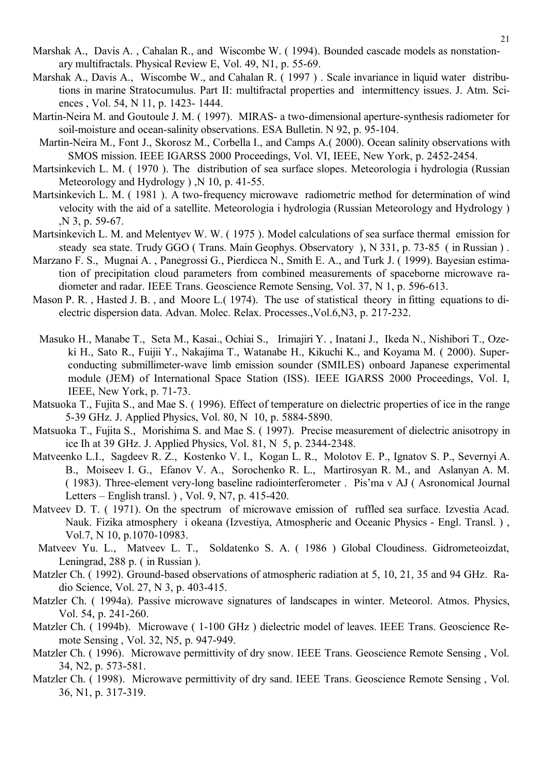- Marshak A., Davis A. , Cahalan R., and Wiscombe W. ( 1994). Bounded cascade models as nonstationary multifractals. Physical Review E, Vol. 49, N1, p. 55-69.
- Marshak A., Davis A., Wiscombe W., and Cahalan R. (1997). Scale invariance in liquid water distributions in marine Stratocumulus. Part II: multifractal properties and intermittency issues. J. Atm. Sciences, Vol. 54, N 11, p. 1423-1444.
- Martin-Neira M. and Goutoule J. M. ( 1997). MIRAS- a two-dimensional aperture-synthesis radiometer for soil-moisture and ocean-salinity observations. ESA Bulletin. N 92, p. 95-104.
- Martin-Neira M., Font J., Skorosz M., Corbella I., and Camps A.( 2000). Ocean salinity observations with SMOS mission. IEEE IGARSS 2000 Proceedings, Vol. VI, IEEE, New York, p. 2452-2454.
- Martsinkevich L. M. ( 1970 ). The distribution of sea surface slopes. Meteorologia i hydrologia (Russian Meteorology and Hydrology ), N 10, p. 41-55.
- Martsinkevich L. M. (1981). A two-frequency microwave radiometric method for determination of wind velocity with the aid of a satellite. Meteorologia i hydrologia (Russian Meteorology and Hydrology )  $N$  3, p. 59-67.
- Martsinkevich L. M. and Melentyev W. W. ( 1975 ). Model calculations of sea surface thermal emission for steady sea state. Trudy GGO (Trans. Main Geophys. Observatory), N 331, p. 73-85 (in Russian).
- Marzano F. S., Mugnai A., Panegrossi G., Pierdicca N., Smith E. A., and Turk J. (1999). Bayesian estimation of precipitation cloud parameters from combined measurements of spaceborne microwave radiometer and radar. IEEE Trans. Geoscience Remote Sensing, Vol. 37, N 1, p. 596-613.
- Mason P. R. , Hasted J. B. , and Moore L.( 1974). The use of statistical theory in fitting equations to dielectric dispersion data. Advan. Molec. Relax. Processes., Vol.6, N3, p. 217-232.
- Masuko H., Manabe T., Seta M., Kasai., Ochiai S., Irimajiri Y. , Inatani J., Ikeda N., Nishibori T., Ozeki H., Sato R., Fuijii Y., Nakajima T., Watanabe H., Kikuchi K., and Koyama M. ( 2000). Superconducting submillimeter-wave limb emission sounder (SMILES) onboard Japanese experimental module (JEM) of International Space Station (ISS). IEEE IGARSS 2000 Proceedings, Vol. I, IEEE, New York, p.  $71-73$ .
- Matsuoka T., Fujita S., and Mae S. ( 1996). Effect of temperature on dielectric properties of ice in the range 5-39 GHz. J. Applied Physics, Vol. 80, N 10, p. 5884-5890.
- Matsuoka T., Fujita S., Morishima S. and Mae S. ( 1997). Precise measurement of dielectric anisotropy in ice Ih at 39 GHz. J. Applied Physics, Vol. 81, N 5, p. 23442348.
- Matveenko L.I., Sagdeev R. Z., Kostenko V. I., Kogan L. R., Molotov E. P., Ignatov S. P., Severnyi A. B., Moiseev I. G., Efanov V. A., Sorochenko R. L., Martirosyan R. M., and Aslanyan A. M. (1983). Three-element very-long baseline radiointerferometer . Pis'ma v AJ (Asronomical Journal Letters – English transl. ), Vol. 9, N7, p.  $415-420$ .
- Matveev D. T. ( 1971). On the spectrum of microwave emission of ruffled sea surface. Izvestia Acad. Nauk. Fizika atmosphery *i* okeana (Izvestiya, Atmospheric and Oceanic Physics - Engl. Transl.), Vol.7, N 10, p.1070-10983.
- Matveev Yu. L., Matveev L. T., Soldatenko S. A. ( 1986 ) Global Cloudiness. Gidrometeoizdat, Leningrad, 288 p. ( in Russian ).
- Matzler Ch. (1992). Ground-based observations of atmospheric radiation at 5, 10, 21, 35 and 94 GHz. Radio Science, Vol. 27, N 3, p. 403-415.
- Matzler Ch. ( 1994a). Passive microwave signatures of landscapes in winter. Meteorol. Atmos. Physics, Vol. 54, p.  $241-260$ .
- Matzler Ch. (1994b). Microwave (1-100 GHz) dielectric model of leaves. IEEE Trans. Geoscience Remote Sensing, Vol. 32, N5, p. 947-949.
- Matzler Ch. ( 1996). Microwave permittivity of dry snow. IEEE Trans. Geoscience Remote Sensing , Vol. 34, N2, p. 573-581.
- Matzler Ch. ( 1998). Microwave permittivity of dry sand. IEEE Trans. Geoscience Remote Sensing , Vol. 36, N1, p. 317-319.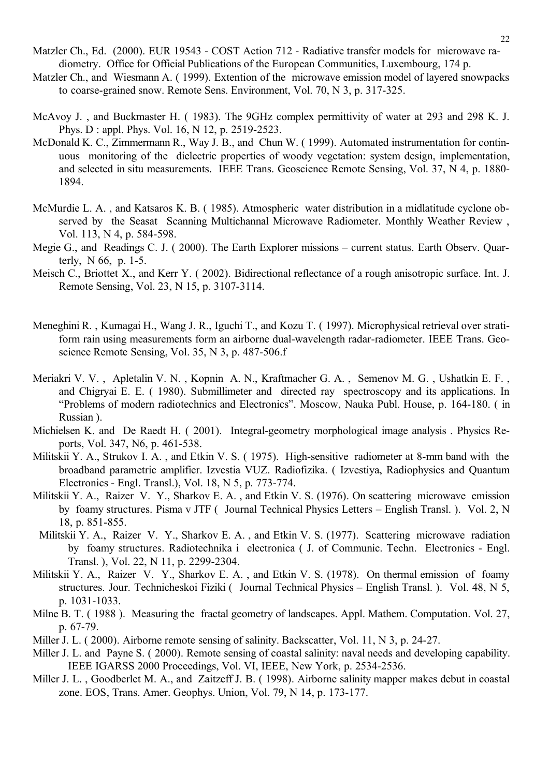- Matzler Ch., Ed. (2000). EUR 19543 COST Action 712 Radiative transfer models for microwave radiometry. Office for Official Publications of the European Communities, Luxembourg, 174 p.
- Matzler Ch., and Wiesmann A. ( 1999). Extention of the microwave emission model of layered snowpacks to coarse-grained snow. Remote Sens. Environment, Vol.  $70$ , N  $3$ , p.  $317-325$ .
- McAvoy J. , and Buckmaster H. ( 1983). The 9GHz complex permittivity of water at 293 and 298 K. J. Phys. D : appl. Phys. Vol. 16, N 12, p. 2519-2523.
- McDonald K. C., Zimmermann R., Way J. B., and Chun W. ( 1999). Automated instrumentation for continuous monitoring of the dielectric properties of woody vegetation: system design, implementation, and selected in situ measurements. IEEE Trans. Geoscience Remote Sensing, Vol. 37, N 4, p. 1880 1894.
- McMurdie L. A. , and Katsaros K. B. ( 1985). Atmospheric water distribution in a midlatitude cyclone observed by the Seasat Scanning Multichannal Microwave Radiometer. Monthly Weather Review , Vol. 113, N 4, p. 584-598.
- Megie G., and Readings C. J. ( 2000). The Earth Explorer missions current status. Earth Observ. Quarterly,  $N$  66, p. 1-5.
- Meisch C., Briottet X., and Kerr Y. ( 2002). Bidirectional reflectance of a rough anisotropic surface. Int. J. Remote Sensing, Vol. 23, N 15, p. 3107-3114.
- Meneghini R. , Kumagai H., Wang J. R., Iguchi T., and Kozu T. ( 1997). Microphysical retrieval over stratiform rain using measurements form an airborne dual-wavelength radar-radiometer. IEEE Trans. Geoscience Remote Sensing, Vol. 35, N  $3$ , p. 487-506.f
- Meriakri V. V. , Apletalin V. N. , Kopnin A. N., Kraftmacher G. A. , Semenov M. G. , Ushatkin E. F. , and Chigryai E. E. ( 1980). Submillimeter and directed ray spectroscopy and its applications. In "Problems of modern radiotechnics and Electronics". Moscow, Nauka Publ. House, p. 164-180. (in Russian ).
- Michielsen K. and De Raedt H. (2001). Integral-geometry morphological image analysis . Physics Reports, Vol. 347, N6, p. 461-538.
- Militskii Y. A., Strukov I. A., and Etkin V. S. (1975). High-sensitive radiometer at 8-mm band with the broadband parametric amplifier. Izvestia VUZ. Radiofizika. ( Izvestiya, Radiophysics and Quantum Electronics - Engl. Transl.), Vol. 18, N 5, p. 773-774.
- Militskii Y. A., Raizer V. Y., Sharkov E. A. , and Etkin V. S. (1976). On scattering microwave emission by foamy structures. Pisma v JTF ( Journal Technical Physics Letters – English Transl. ). Vol. 2, N 18, p. 851-855.
- Militskii Y. A., Raizer V. Y., Sharkov E. A. , and Etkin V. S. (1977). Scattering microwave radiation by foamy structures. Radiotechnika i electronica ( J. of Communic. Techn. Electronics Engl. Transl. ), Vol. 22, N 11, p. 2299-2304.
- Militskii Y. A., Raizer V. Y., Sharkov E. A. , and Etkin V. S. (1978). On thermal emission of foamy structures. Jour. Technicheskoi Fiziki ( Journal Technical Physics – English Transl. ). Vol. 48, N 5, p. 1031-1033.
- Milne B. T. ( 1988 ). Measuring the fractal geometry of landscapes. Appl. Mathem. Computation. Vol. 27, p. 67-79.
- Miller J. L. (2000). Airborne remote sensing of salinity. Backscatter, Vol. 11, N 3, p. 24-27.
- Miller J. L. and Payne S. ( 2000). Remote sensing of coastal salinity: naval needs and developing capability. IEEE IGARSS 2000 Proceedings, Vol. VI, IEEE, New York, p. 2534-2536.
- Miller J. L. , Goodberlet M. A., and Zaitzeff J. B. ( 1998). Airborne salinity mapper makes debut in coastal zone. EOS, Trans. Amer. Geophys. Union, Vol. 79, N 14, p. 173-177.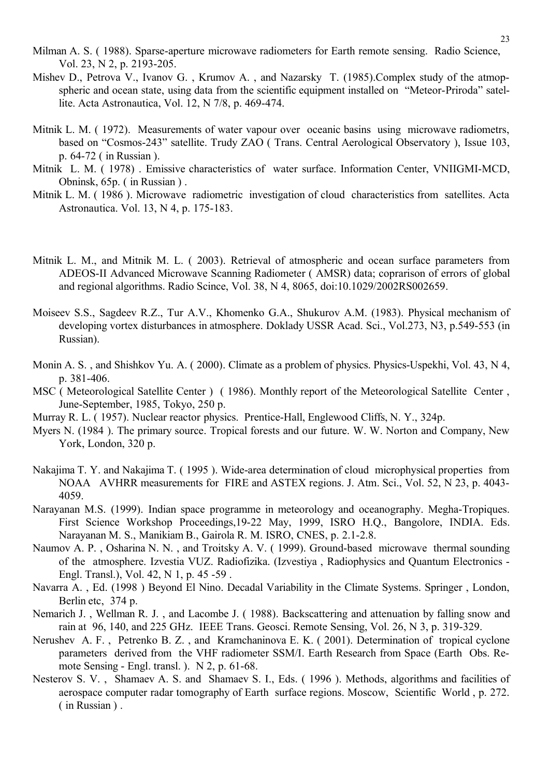- Milman A. S. (1988). Sparse-aperture microwave radiometers for Earth remote sensing. Radio Science, Vol. 23, N 2, p. 2193-205.
- Mishev D., Petrova V., Ivanov G., Krumov A., and Nazarsky T. (1985). Complex study of the atmopspheric and ocean state, using data from the scientific equipment installed on "Meteor-Priroda" satellite. Acta Astronautica, Vol. 12, N  $7/8$ , p. 469-474.
- Mitnik L. M. ( 1972). Measurements of water vapour over oceanic basins using microwave radiometrs, based on "Cosmos-243" satellite. Trudy ZAO (Trans. Central Aerological Observatory), Issue 103, p. 6472 ( in Russian ).
- Mitnik L. M. (1978). Emissive characteristics of water surface. Information Center, VNIIGMI-MCD, Obninsk, 65p. ( in Russian ) .
- Mitnik L. M. ( 1986 ). Microwave radiometric investigation of cloud characteristics from satellites. Acta Astronautica. Vol. 13, N 4, p. 175-183.
- Mitnik L. M., and Mitnik M. L. ( 2003). Retrieval of atmospheric and ocean surface parameters from ADEOS-II Advanced Microwave Scanning Radiometer (AMSR) data; coprarison of errors of global and regional algorithms. Radio Scince, Vol. 38, N 4, 8065, doi:10.1029/2002RS002659.
- Moiseev S.S., Sagdeev R.Z., Tur A.V., Khomenko G.A., Shukurov A.M. (1983). Physical mechanism of developing vortex disturbances in atmosphere. Doklady USSR Acad. Sci., Vol.273, N3, p.549-553 (in Russian).
- Monin A. S., and Shishkov Yu. A. (2000). Climate as a problem of physics. Physics-Uspekhi, Vol. 43, N 4, p. 381406.
- MSC ( Meteorological Satellite Center ) ( 1986). Monthly report of the Meteorological Satellite Center , June-September, 1985, Tokyo, 250 p.
- Murray R. L. (1957). Nuclear reactor physics. Prentice-Hall, Englewood Cliffs, N. Y., 324p.
- Myers N. (1984 ). The primary source. Tropical forests and our future. W. W. Norton and Company, New York, London, 320 p.
- Nakajima T. Y. and Nakajima T. (1995). Wide-area determination of cloud microphysical properties from NOAA AVHRR measurements for FIRE and ASTEX regions. J. Atm. Sci., Vol. 52, N 23, p. 4043 4059.
- Narayanan M.S. (1999). Indian space programme in meteorology and oceanography. Megha-Tropiques. First Science Workshop Proceedings, 19-22 May, 1999, ISRO H.Q., Bangolore, INDIA. Eds. Narayanan M. S., Manikiam B., Gairola R. M. ISRO, CNES, p. 2.1-2.8.
- Naumov A. P., Osharina N. N., and Troitsky A. V. (1999). Ground-based microwave thermal sounding of the atmosphere. Izvestia VUZ. Radiofizika. (Izvestiya , Radiophysics and Quantum Electronics Engl. Transl.), Vol. 42, N 1, p. 45 -59.
- Navarra A. , Ed. (1998 ) Beyond El Nino. Decadal Variability in the Climate Systems. Springer , London, Berlin etc, 374 p.
- Nemarich J. , Wellman R. J. , and Lacombe J. ( 1988). Backscattering and attenuation by falling snow and rain at 96, 140, and 225 GHz. IEEE Trans. Geosci. Remote Sensing, Vol. 26, N 3, p. 319-329.
- Nerushev A. F. , Petrenko B. Z. , and Kramchaninova E. K. ( 2001). Determination of tropical cyclone parameters derived from the VHF radiometer SSM/I. Earth Research from Space (Earth Obs. Remote Sensing  $-$  Engl. transl. ). N 2, p. 61 $-68$ .
- Nesterov S. V. , Shamaev A. S. and Shamaev S. I., Eds. ( 1996 ). Methods, algorithms and facilities of aerospace computer radar tomography of Earth surface regions. Moscow, Scientific World , p. 272. ( in Russian ) .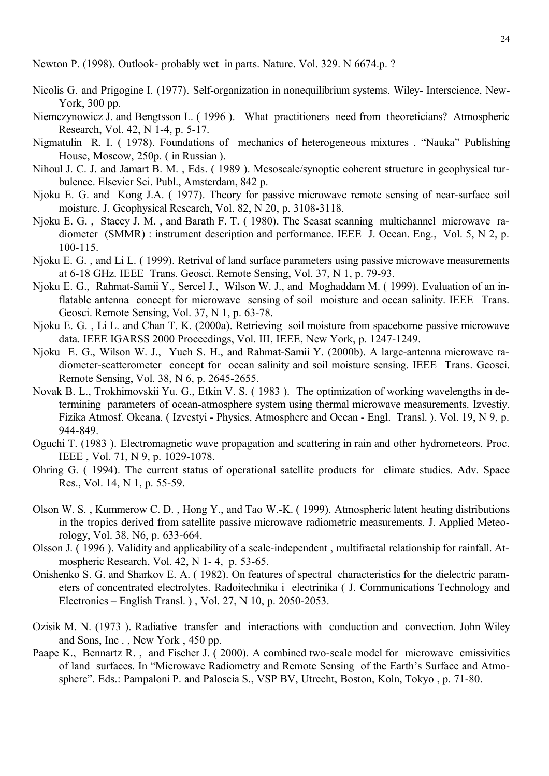Newton P. (1998). Outlook- probably wet in parts. Nature. Vol. 329. N 6674.p. ?

- Nicolis G. and Prigogine I. (1977). Self-organization in nonequilibrium systems. Wiley-Interscience, New-York, 300 pp.
- Niemczynowicz J. and Bengtsson L. ( 1996 ). What practitioners need from theoreticians? Atmospheric Research, Vol. 42, N 1-4, p. 5-17.
- Nigmatulin R. I. ( 1978). Foundations of mechanics of heterogeneous mixtures . "Nauka" Publishing House, Moscow, 250p. ( in Russian ).
- Nihoul J. C. J. and Jamart B. M. , Eds. ( 1989 ). Mesoscale/synoptic coherent structure in geophysical turbulence. Elsevier Sci. Publ., Amsterdam, 842 p.
- Njoku E. G. and Kong J.A. (1977). Theory for passive microwave remote sensing of near-surface soil moisture. J. Geophysical Research, Vol. 82, N 20, p. 3108-3118.
- Njoku E. G. , Stacey J. M. , and Barath F. T. ( 1980). The Seasat scanning multichannel microwave radiometer (SMMR) : instrument description and performance. IEEE J. Ocean. Eng., Vol. 5, N 2, p. 100115.
- Njoku E. G. , and Li L. ( 1999). Retrival of land surface parameters using passive microwave measurements at 6-18 GHz. IEEE Trans. Geosci. Remote Sensing, Vol. 37, N 1, p. 79-93.
- Njoku E. G., Rahmat-Samii Y., Sercel J., Wilson W. J., and Moghaddam M. (1999). Evaluation of an inflatable antenna concept for microwave sensing of soil moisture and ocean salinity. IEEE Trans. Geosci. Remote Sensing, Vol.  $37$ , N 1, p.  $63-78$ .
- Njoku E. G. , Li L. and Chan T. K. (2000a). Retrieving soil moisture from spaceborne passive microwave data. IEEE IGARSS 2000 Proceedings, Vol. III, IEEE, New York, p. 1247-1249.
- Njoku E. G., Wilson W. J., Yueh S. H., and Rahmat-Samii Y. (2000b). A large-antenna microwave radiometer-scatterometer concept for ocean salinity and soil moisture sensing. IEEE Trans. Geosci. Remote Sensing, Vol. 38, N 6, p. 2645-2655.
- Novak B. L., Trokhimovskii Yu. G., Etkin V. S. ( 1983 ). The optimization of working wavelengths in determining parameters of ocean-atmosphere system using thermal microwave measurements. Izvestiy. Fizika Atmosf. Okeana. (Izvestyi - Physics, Atmosphere and Ocean - Engl. Transl.). Vol. 19, N 9, p. 944-849.
- Oguchi T. (1983 ). Electromagnetic wave propagation and scattering in rain and other hydrometeors. Proc. IEEE, Vol. 71, N 9, p. 1029-1078.
- Ohring G. ( 1994). The current status of operational satellite products for climate studies. Adv. Space Res., Vol. 14, N 1, p. 55-59.
- Olson W. S., Kummerow C. D., Hong Y., and Tao W.-K. (1999). Atmospheric latent heating distributions in the tropics derived from satellite passive microwave radiometric measurements. J. Applied Meteorology, Vol. 38, N6, p. 633-664.
- Olsson J. (1996). Validity and applicability of a scale-independent, multifractal relationship for rainfall. Atmospheric Research, Vol. 42, N 1-4, p. 53-65.
- Onishenko S. G. and Sharkov E. A. ( 1982). On features of spectral characteristics for the dielectric parameters of concentrated electrolytes. Radoitechnika i electrinika ( J. Communications Technology and Electronics – English Transl. ), Vol. 27, N 10, p. 2050-2053.
- Ozisik M. N. (1973 ). Radiative transfer and interactions with conduction and convection. John Wiley and Sons, Inc . , New York , 450 pp.
- Paape K., Bennartz R., and Fischer J. (2000). A combined two-scale model for microwave emissivities of land surfaces. In "Microwave Radiometry and Remote Sensing of the Earth's Surface and Atmosphere". Eds.: Pampaloni P. and Paloscia S., VSP BV, Utrecht, Boston, Koln, Tokyo, p. 71-80.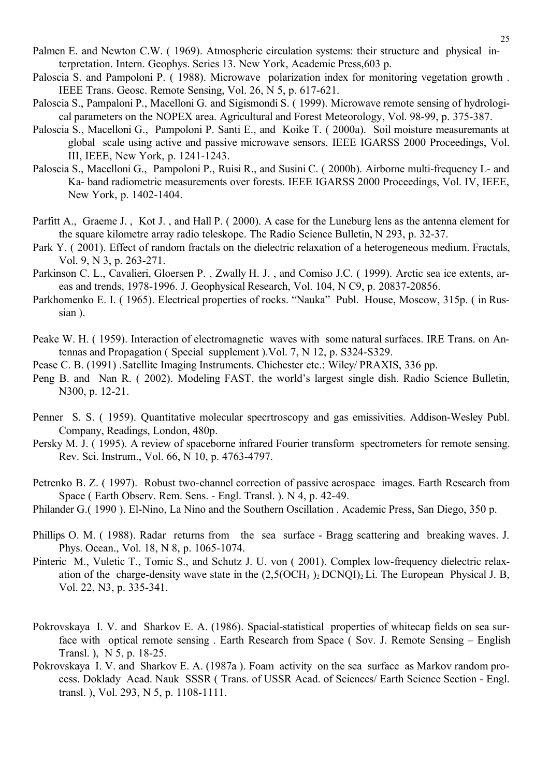- Palmen E. and Newton C.W. ( 1969). Atmospheric circulation systems: their structure and physical interpretation. Intern. Geophys. Series 13. New York, Academic Press,603 p.
- Paloscia S. and Pampoloni P. ( 1988). Microwave polarization index for monitoring vegetation growth . IEEE Trans. Geosc. Remote Sensing, Vol. 26, N 5, p. 617-621.
- Paloscia S., Pampaloni P., Macelloni G. and Sigismondi S. ( 1999). Microwave remote sensing of hydrological parameters on the NOPEX area. Agricultural and Forest Meteorology, Vol. 98-99, p. 375-387.
- Paloscia S., Macelloni G., Pampoloni P. Santi E., and Koike T. ( 2000a). Soil moisture measuremants at global scale using active and passive microwave sensors. IEEE IGARSS 2000 Proceedings, Vol. III, IEEE, New York, p. 1241-1243.
- Paloscia S., Macelloni G., Pampoloni P., Ruisi R., and Susini C. (2000b). Airborne multi-frequency L- and Ka- band radiometric measurements over forests. IEEE IGARSS 2000 Proceedings, Vol. IV, IEEE, New York, p. 1402-1404.
- Parfitt A., Graeme J. , Kot J. , and Hall P. ( 2000). A case for the Luneburg lens as the antenna element for the square kilometre array radio teleskope. The Radio Science Bulletin, N 293, p. 32-37.
- Park Y. ( 2001). Effect of random fractals on the dielectric relaxation of a heterogeneous medium. Fractals, Vol. 9, N 3, p. 263-271.
- Parkinson C. L., Cavalieri, Gloersen P. , Zwally H. J. , and Comiso J.C. ( 1999). Arctic sea ice extents, areas and trends, 1978-1996. J. Geophysical Research, Vol. 104, N C9, p. 20837-20856.
- Parkhomenko E. I. ( 1965). Electrical properties of rocks. "Nauka" Publ. House, Moscow, 315p. ( in Russian ).
- Peake W. H. ( 1959). Interaction of electromagnetic waves with some natural surfaces. IRE Trans. on Antennas and Propagation (Special supplement ). Vol. 7, N 12, p. S324-S329.
- Pease C. B. (1991) .Satellite Imaging Instruments. Chichester etc.: Wiley/ PRAXIS, 336 pp.
- Peng B. and Nan R. ( 2002). Modeling FAST, the world's largest single dish. Radio Science Bulletin, N300, p. 12-21.
- Penner S. S. (1959). Quantitative molecular specrtroscopy and gas emissivities. Addison-Wesley Publ. Company, Readings, London, 480p.
- Persky M. J. ( 1995). A review of spaceborne infrared Fourier transform spectrometers for remote sensing. Rev. Sci. Instrum., Vol. 66, N 10, p. 4763-4797.
- Petrenko B. Z. (1997). Robust two-channel correction of passive aerospace images. Earth Research from Space ( Earth Observ. Rem. Sens. - Engl. Transl. ). N 4, p. 42-49.
- Philander G.( 1990 ). El-Nino, La Nino and the Southern Oscillation . Academic Press, San Diego, 350 p.
- Phillips O. M. (1988). Radar returns from the sea surface Bragg scattering and breaking waves. J. Phys. Ocean., Vol. 18, N 8, p. 1065-1074.
- Pinteric M., Vuletic T., Tomic S., and Schutz J. U. von (2001). Complex low-frequency dielectric relaxation of the charge-density wave state in the  $(2,5(OCH<sub>3</sub>)<sub>2</sub> DCNQI)<sub>2</sub> Li$ . The European Physical J. B, Vol. 22, N3, p. 335-341.
- Pokrovskaya I. V. and Sharkov E. A. (1986). Spacial-statistical properties of whitecap fields on sea surface with optical remote sensing . Earth Research from Space ( Sov. J. Remote Sensing – English Transl. ), N 5, p. 18-25.
- Pokrovskaya I. V. and Sharkov E. A. (1987a ). Foam activity on the sea surface as Markov random process. Doklady Acad. Nauk SSSR ( Trans. of USSR Acad. of Sciences/ Earth Science Section Engl. transl. ), Vol. 293, N 5, p. 1108-1111.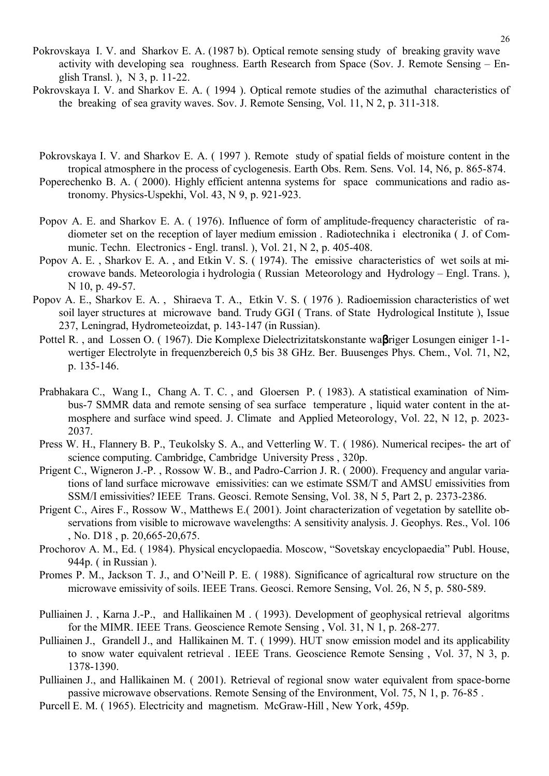- Pokrovskaya I. V. and Sharkov E. A. (1987 b). Optical remote sensing study of breaking gravity wave activity with developing sea roughness. Earth Research from Space (Sov. J. Remote Sensing – English Transl. ),  $N$  3, p. 11-22.
- Pokrovskaya I. V. and Sharkov E. A. ( 1994 ). Optical remote studies of the azimuthal characteristics of the breaking of sea gravity waves. Sov. J. Remote Sensing, Vol.  $11$ , N  $2$ , p.  $311-318$ .
- Pokrovskaya I. V. and Sharkov E. A. ( 1997 ). Remote study of spatial fields of moisture content in the tropical atmosphere in the process of cyclogenesis. Earth Obs. Rem. Sens. Vol. 14, N6, p. 865-874.
- Poperechenko B. A. (2000). Highly efficient antenna systems for space communications and radio astronomy. Physics-Uspekhi, Vol.  $43$ , N  $9$ , p.  $921-923$ .
- Popov A. E. and Sharkov E. A. (1976). Influence of form of amplitude-frequency characteristic of radiometer set on the reception of layer medium emission . Radiotechnika i electronika ( J. of Communic. Techn. Electronics - Engl. transl. ), Vol. 21, N  $2$ , p. 405-408.
- Popov A. E. , Sharkov E. A. , and Etkin V. S. ( 1974). The emissive characteristics of wet soils at microwave bands. Meteorologia i hydrologia ( Russian Meteorology and Hydrology – Engl. Trans. ), N 10, p. 49-57.
- Popov A. E., Sharkov E. A. , Shiraeva T. A., Etkin V. S. ( 1976 ). Radioemission characteristics of wet soil layer structures at microwave band. Trudy GGI ( Trans. of State Hydrological Institute ), Issue 237, Leningrad, Hydrometeoizdat, p. 143-147 (in Russian).
- Pottel R., and Lossen O. (1967). Die Komplexe Dielectrizitatskonstante waβriger Losungen einiger 1-1wertiger Electrolyte in frequenzbereich 0,5 bis 38 GHz. Ber. Buusenges Phys. Chem., Vol. 71, N2, p. 135-146.
- Prabhakara C., Wang I., Chang A. T. C. , and Gloersen P. ( 1983). A statistical examination of Nimbus7 SMMR data and remote sensing of sea surface temperature , liquid water content in the atmosphere and surface wind speed. J. Climate and Applied Meteorology, Vol. 22, N 12, p. 2023 2037.
- Press W. H., Flannery B. P., Teukolsky S. A., and Vetterling W. T. (1986). Numerical recipes- the art of science computing. Cambridge, Cambridge University Press , 320p.
- Prigent C., Wigneron J.-P., Rossow W. B., and Padro-Carrion J. R. (2000). Frequency and angular variations of land surface microwave emissivities: can we estimate SSM/T and AMSU emissivities from SSM/I emissivities? IEEE Trans. Geosci. Remote Sensing, Vol. 38, N 5, Part 2, p. 2373-2386.
- Prigent C., Aires F., Rossow W., Matthews E.( 2001). Joint characterization of vegetation by satellite observations from visible to microwave wavelengths: A sensitivity analysis. J. Geophys. Res., Vol. 106 , No. D18, p. 20,665-20,675.
- Prochorov A. M., Ed. ( 1984). Physical encyclopaedia. Moscow, "Sovetskay encyclopaedia" Publ. House, 944p. ( in Russian ).
- Promes P. M., Jackson T. J., and O'Neill P. E. ( 1988). Significance of agricaltural row structure on the microwave emissivity of soils. IEEE Trans. Geosci. Remore Sensing, Vol. 26, N 5, p. 580-589.
- Pulliainen J. , Karna J.P., and Hallikainen M . ( 1993). Development of geophysical retrieval algoritms for the MIMR. IEEE Trans. Geoscience Remote Sensing, Vol. 31, N  $1$ , p. 268-277.
- Pulliainen J., Grandell J., and Hallikainen M. T. ( 1999). HUT snow emission model and its applicability to snow water equivalent retrieval . IEEE Trans. Geoscience Remote Sensing , Vol. 37, N 3, p. 1378-1390.
- Pulliainen J., and Hallikainen M. (2001). Retrieval of regional snow water equivalent from space-borne passive microwave observations. Remote Sensing of the Environment, Vol.  $75$ , N 1, p.  $76-85$ .
- Purcell E. M. (1965). Electricity and magnetism. McGraw-Hill, New York, 459p.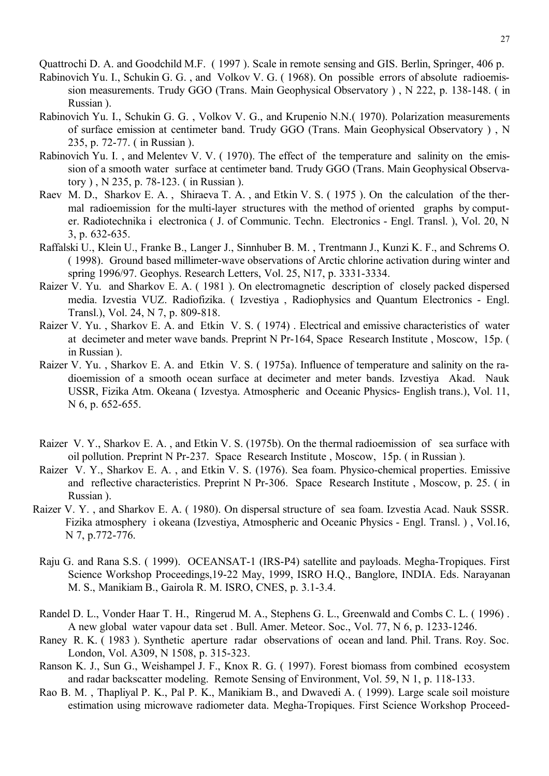Quattrochi D. A. and Goodchild M.F. ( 1997 ). Scale in remote sensing and GIS. Berlin, Springer, 406 p.

- Rabinovich Yu. I., Schukin G. G. , and Volkov V. G. ( 1968). On possible errors of absolute radioemission measurements. Trudy GGO (Trans. Main Geophysical Observatory), N 222, p. 138-148. (in Russian ).
- Rabinovich Yu. I., Schukin G. G. , Volkov V. G., and Krupenio N.N.( 1970). Polarization measurements of surface emission at centimeter band. Trudy GGO (Trans. Main Geophysical Observatory ) , N 235, p. 72-77. ( in Russian ).
- Rabinovich Yu. I. , and Melentev V. V. ( 1970). The effect of the temperature and salinity on the emission of a smooth water surface at centimeter band. Trudy GGO (Trans. Main Geophysical Observatory ) , N 235, p. 78123. ( in Russian ).
- Raev M. D., Sharkov E. A., Shiraeva T. A., and Etkin V. S. (1975). On the calculation of the thermal radioemission for the multi-layer structures with the method of oriented graphs by computer. Radiotechnika i electronica ( J. of Communic. Techn. Electronics Engl. Transl. ), Vol. 20, N 3, p. 632-635.
- Raffalski U., Klein U., Franke B., Langer J., Sinnhuber B. M. , Trentmann J., Kunzi K. F., and Schrems O. (1998). Ground based millimeter-wave observations of Arctic chlorine activation during winter and spring 1996/97. Geophys. Research Letters, Vol. 25, N17, p. 3331-3334.
- Raizer V. Yu. and Sharkov E. A. ( 1981 ). On electromagnetic description of closely packed dispersed media. Izvestia VUZ. Radiofizika. ( Izvestiya , Radiophysics and Quantum Electronics Engl. Transl.), Vol. 24, N 7, p. 809-818.
- Raizer V. Yu. , Sharkov E. A. and Etkin V. S. ( 1974) . Electrical and emissive characteristics of water at decimeter and meter wave bands. Preprint N Pr-164, Space Research Institute, Moscow, 15p. ( in Russian ).
- Raizer V. Yu. , Sharkov E. A. and Etkin V. S. ( 1975a). Influence of temperature and salinity on the radioemission of a smooth ocean surface at decimeter and meter bands. Izvestiya Akad. Nauk USSR, Fizika Atm. Okeana ( Izvestya. Atmospheric and Oceanic Physics English trans.), Vol. 11, N 6, p. 652-655.
- Raizer V. Y., Sharkov E. A. , and Etkin V. S. (1975b). On the thermal radioemission of sea surface with oil pollution. Preprint N Pr-237. Space Research Institute, Moscow, 15p. (in Russian).
- Raizer V. Y., Sharkov E. A., and Etkin V. S. (1976). Sea foam. Physico-chemical properties. Emissive and reflective characteristics. Preprint N Pr-306. Space Research Institute, Moscow, p. 25. (in Russian ).
- Raizer V. Y. , and Sharkov E. A. ( 1980). On dispersal structure of sea foam. Izvestia Acad. Nauk SSSR. Fizika atmosphery i okeana (Izvestiya, Atmospheric and Oceanic Physics Engl. Transl. ) , Vol.16, N 7, p.772-776.
	- Raju G. and Rana S.S. (1999). OCEANSAT-1 (IRS-P4) satellite and payloads. Megha-Tropiques. First Science Workshop Proceedings,1922 May, 1999, ISRO H.Q., Banglore, INDIA. Eds. Narayanan M. S., Manikiam B., Gairola R. M. ISRO, CNES, p. 3.1-3.4.
	- Randel D. L., Vonder Haar T. H., Ringerud M. A., Stephens G. L., Greenwald and Combs C. L. ( 1996) . A new global water vapour data set . Bull. Amer. Meteor. Soc., Vol. 77, N 6, p. 1233-1246.
	- Raney R. K. ( 1983 ). Synthetic aperture radar observations of ocean and land. Phil. Trans. Roy. Soc. London, Vol. A309, N 1508, p. 315-323.
	- Ranson K. J., Sun G., Weishampel J. F., Knox R. G. ( 1997). Forest biomass from combined ecosystem and radar backscatter modeling. Remote Sensing of Environment, Vol. 59, N 1, p. 118-133.
	- Rao B. M. , Thapliyal P. K., Pal P. K., Manikiam B., and Dwavedi A. ( 1999). Large scale soil moisture estimation using microwave radiometer data. Megha-Tropiques. First Science Workshop Proceed-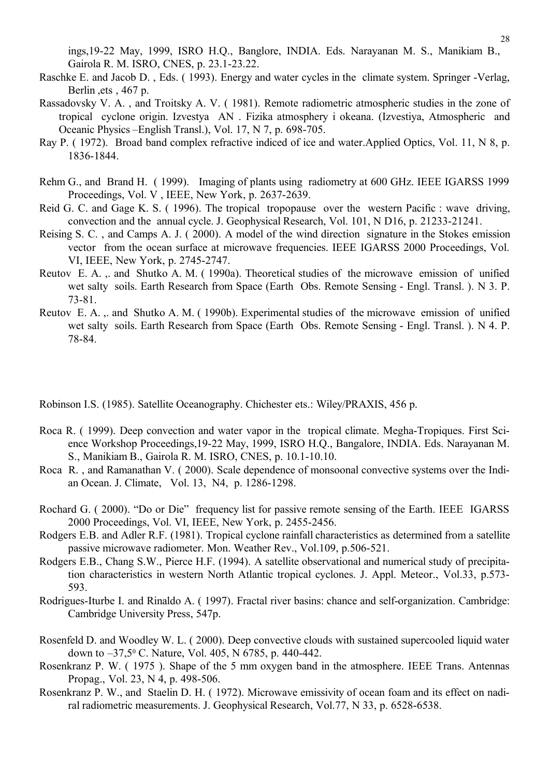ings,1922 May, 1999, ISRO H.Q., Banglore, INDIA. Eds. Narayanan M. S., Manikiam B., Gairola R. M. ISRO, CNES, p. 23.1-23.22.

- Raschke E. and Jacob D., Eds. (1993). Energy and water cycles in the climate system. Springer -Verlag, Berlin ,ets , 467 p.
- Rassadovsky V. A. , and Troitsky A. V. ( 1981). Remote radiometric atmospheric studies in the zone of tropical cyclone origin. Izvestya AN . Fizika atmosphery i okeana. (Izvestiya, Atmospheric and Oceanic Physics –English Transl.), Vol. 17, N 7, p. 698-705.
- Ray P. ( 1972). Broad band complex refractive indiced of ice and water.Applied Optics, Vol. 11, N 8, p. 1836-1844.
- Rehm G., and Brand H. ( 1999). Imaging of plants using radiometry at 600 GHz. IEEE IGARSS 1999 Proceedings, Vol. V, IEEE, New York, p. 2637-2639.
- Reid G. C. and Gage K. S. ( 1996). The tropical tropopause over the western Pacific : wave driving, convection and the annual cycle. J. Geophysical Research, Vol. 101, N D16, p. 21233-21241.
- Reising S. C. , and Camps A. J. ( 2000). A model of the wind direction signature in the Stokes emission vector from the ocean surface at microwave frequencies. IEEE IGARSS 2000 Proceedings, Vol. VI, IEEE, New York, p. 2745-2747.
- Reutov E. A. ,. and Shutko A. M. ( 1990a). Theoretical studies of the microwave emission of unified wet salty soils. Earth Research from Space (Earth Obs. Remote Sensing - Engl. Transl. ). N 3. P.  $73 - 81$ .
- Reutov E. A. ,. and Shutko A. M. ( 1990b). Experimental studies of the microwave emission of unified wet salty soils. Earth Research from Space (Earth Obs. Remote Sensing - Engl. Transl. ). N 4. P. 78-84.

Robinson I.S. (1985). Satellite Oceanography. Chichester ets.: Wiley/PRAXIS, 456 p.

- Roca R. ( 1999). Deep convection and water vapor in the tropical climate. Megha-Tropiques. First Science Workshop Proceedings,1922 May, 1999, ISRO H.Q., Bangalore, INDIA. Eds. Narayanan M. S., Manikiam B., Gairola R. M. ISRO, CNES, p. 10.1-10.10.
- Roca R. , and Ramanathan V. ( 2000). Scale dependence of monsoonal convective systems over the Indian Ocean. J. Climate, Vol. 13, N4, p. 1286-1298.
- Rochard G. ( 2000). "Do or Die" frequency list for passive remote sensing of the Earth. IEEE IGARSS 2000 Proceedings, Vol. VI, IEEE, New York, p. 2455-2456.
- Rodgers E.B. and Adler R.F. (1981). Tropical cyclone rainfall characteristics as determined from a satellite passive microwave radiometer. Mon. Weather Rev., Vol.109, p.506-521.
- Rodgers E.B., Chang S.W., Pierce H.F. (1994). A satellite observational and numerical study of precipitation characteristics in western North Atlantic tropical cyclones. J. Appl. Meteor., Vol.33, p.573 593.
- Rodrigues-Iturbe I. and Rinaldo A. (1997). Fractal river basins: chance and self-organization. Cambridge: Cambridge University Press, 547p.
- Rosenfeld D. and Woodley W. L. ( 2000). Deep convective clouds with sustained supercooled liquid water down to  $-37,5^{\circ}$  C. Nature, Vol. 405, N 6785, p. 440-442.
- Rosenkranz P. W. ( 1975 ). Shape of the 5 mm oxygen band in the atmosphere. IEEE Trans. Antennas Propag., Vol. 23, N 4, p. 498-506.
- Rosenkranz P. W., and Staelin D. H. ( 1972). Microwave emissivity of ocean foam and its effect on nadiral radiometric measurements. J. Geophysical Research, Vol.77, N 33, p. 6528-6538.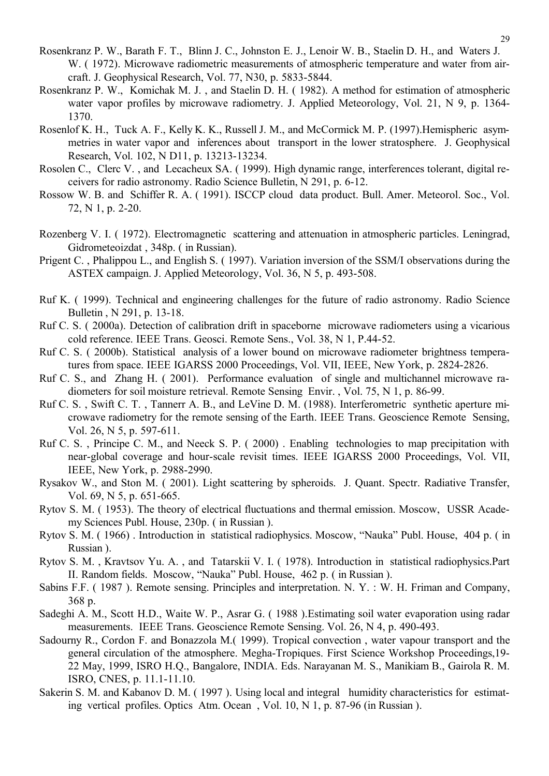- Rosenkranz P. W., Barath F. T., Blinn J. C., Johnston E. J., Lenoir W. B., Staelin D. H., and Waters J. W. ( 1972). Microwave radiometric measurements of atmospheric temperature and water from aircraft. J. Geophysical Research, Vol. 77, N30, p. 5833-5844.
- Rosenkranz P. W., Komichak M. J. , and Staelin D. H. ( 1982). A method for estimation of atmospheric water vapor profiles by microwave radiometry. J. Applied Meteorology, Vol. 21, N 9, p. 1364 1370.
- Rosenlof K. H., Tuck A. F., Kelly K. K., Russell J. M., and McCormick M. P. (1997).Hemispheric asymmetries in water vapor and inferences about transport in the lower stratosphere. J. Geophysical Research, Vol. 102, N D11, p. 13213-13234.
- Rosolen C., Clerc V. , and Lecacheux SA. ( 1999). High dynamic range, interferences tolerant, digital receivers for radio astronomy. Radio Science Bulletin, N 291, p. 612.
- Rossow W. B. and Schiffer R. A. ( 1991). ISCCP cloud data product. Bull. Amer. Meteorol. Soc., Vol. 72, N 1, p. 2-20.
- Rozenberg V. I. ( 1972). Electromagnetic scattering and attenuation in atmospheric particles. Leningrad, Gidrometeoizdat , 348p. ( in Russian).
- Prigent C. , Phalippou L., and English S. ( 1997). Variation inversion of the SSM/I observations during the ASTEX campaign. J. Applied Meteorology, Vol. 36, N 5, p. 493-508.
- Ruf K. ( 1999). Technical and engineering challenges for the future of radio astronomy. Radio Science Bulletin, N 291, p. 13-18.
- Ruf C. S. ( 2000a). Detection of calibration drift in spaceborne microwave radiometers using a vicarious cold reference. IEEE Trans. Geosci. Remote Sens., Vol. 38, N 1, P.44-52.
- Ruf C. S. ( 2000b). Statistical analysis of a lower bound on microwave radiometer brightness temperatures from space. IEEE IGARSS 2000 Proceedings, Vol. VII, IEEE, New York, p. 2824-2826.
- Ruf C. S., and Zhang H. ( 2001). Performance evaluation of single and multichannel microwave radiometers for soil moisture retrieval. Remote Sensing Envir., Vol. 75, N 1, p. 86-99.
- Ruf C. S. , Swift C. T. , Tannerr A. B., and LeVine D. M. (1988). Interferometric synthetic aperture microwave radiometry for the remote sensing of the Earth. IEEE Trans. Geoscience Remote Sensing, Vol. 26, N 5, p. 597-611.
- Ruf C. S. , Principe C. M., and Neeck S. P. ( 2000) . Enabling technologies to map precipitation with near-global coverage and hour-scale revisit times. IEEE IGARSS 2000 Proceedings, Vol. VII, IEEE, New York, p. 2988-2990.
- Rysakov W., and Ston M. ( 2001). Light scattering by spheroids. J. Quant. Spectr. Radiative Transfer, Vol.  $69$ , N 5, p.  $651-665$ .
- Rytov S. M. ( 1953). The theory of electrical fluctuations and thermal emission. Moscow, USSR Academy Sciences Publ. House, 230p. ( in Russian ).
- Rytov S. M. ( 1966) . Introduction in statistical radiophysics. Moscow, "Nauka" Publ. House, 404 p. ( in Russian ).
- Rytov S. M. , Kravtsov Yu. A. , and Tatarskii V. I. ( 1978). Introduction in statistical radiophysics.Part II. Random fields. Moscow, "Nauka" Publ. House, 462 p. ( in Russian ).
- Sabins F.F. ( 1987 ). Remote sensing. Principles and interpretation. N. Y. : W. H. Friman and Company, 368 p.
- Sadeghi A. M., Scott H.D., Waite W. P., Asrar G. ( 1988 ).Estimating soil water evaporation using radar measurements. IEEE Trans. Geoscience Remote Sensing. Vol. 26, N 4, p. 490-493.
- Sadourny R., Cordon F. and Bonazzola M.( 1999). Tropical convection , water vapour transport and the general circulation of the atmosphere. Megha-Tropiques. First Science Workshop Proceedings, 19-22 May, 1999, ISRO H.Q., Bangalore, INDIA. Eds. Narayanan M. S., Manikiam B., Gairola R. M. ISRO, CNES, p. 11.1-11.10.
- Sakerin S. M. and Kabanov D. M. ( 1997 ). Using local and integral humidity characteristics for estimating vertical profiles. Optics Atm. Ocean, Vol.  $10$ , N  $1$ , p. 87-96 (in Russian).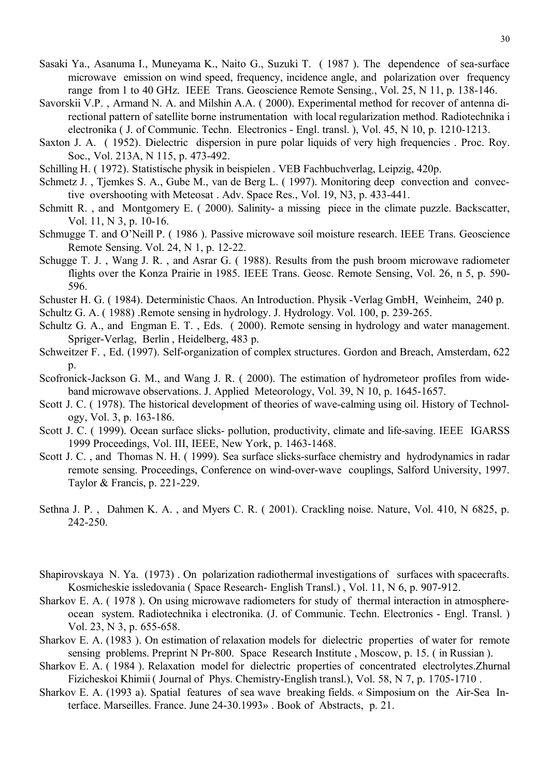- Sasaki Ya., Asanuma I., Muneyama K., Naito G., Suzuki T. (1987). The dependence of sea-surface microwave emission on wind speed, frequency, incidence angle, and polarization over frequency range from 1 to 40 GHz. IEEE Trans. Geoscience Remote Sensing., Vol. 25, N 11, p. 138-146.
- Savorskii V.P. , Armand N. A. and Milshin A.A. ( 2000). Experimental method for recover of antenna directional pattern of satellite borne instrumentation with local regularization method. Radiotechnika i electronika ( J. of Communic. Techn. Electronics - Engl. transl. ), Vol. 45, N 10, p. 1210-1213.
- Saxton J. A. ( 1952). Dielectric dispersion in pure polar liquids of very high frequencies . Proc. Roy. Soc., Vol. 213A, N 115, p. 473-492.
- Schilling H. ( 1972). Statistische physik in beispielen . VEB Fachbuchverlag, Leipzig, 420p.
- Schmetz J., Tjemkes S. A., Gube M., van de Berg L. (1997). Monitoring deep convection and convective overshooting with Meteosat. Adv. Space Res., Vol. 19, N3, p. 433-441.
- Schmitt R., and Montgomery E. (2000). Salinity- a missing piece in the climate puzzle. Backscatter, Vol. 11, N  $3$ , p. 10-16.
- Schmugge T. and O'Neill P. ( 1986 ). Passive microwave soil moisture research. IEEE Trans. Geoscience Remote Sensing. Vol. 24, N 1, p. 12-22.
- Schugge T. J. , Wang J. R. , and Asrar G. ( 1988). Results from the push broom microwave radiometer flights over the Konza Prairie in 1985. IEEE Trans. Geosc. Remote Sensing, Vol. 26, n 5, p. 590 596.
- Schuster H. G. (1984). Deterministic Chaos. An Introduction. Physik Verlag GmbH, Weinheim, 240 p.
- Schultz G. A.  $(1988)$ . Remote sensing in hydrology. J. Hydrology. Vol. 100, p. 239-265.
- Schultz G. A., and Engman E. T. , Eds. ( 2000). Remote sensing in hydrology and water management. Spriger-Verlag, Berlin, Heidelberg, 483 p.
- Schweitzer F., Ed. (1997). Self-organization of complex structures. Gordon and Breach, Amsterdam, 622  $p$ .
- Scofronick-Jackson G. M., and Wang J. R. ( 2000). The estimation of hydrometeor profiles from wideband microwave observations. J. Applied Meteorology, Vol. 39, N 10, p. 1645-1657.
- Scott J. C. (1978). The historical development of theories of wave-calming using oil. History of Technology, Vol. 3, p. 163-186.
- Scott J. C. (1999). Ocean surface slicks-pollution, productivity, climate and life-saving. IEEE IGARSS 1999 Proceedings, Vol. III, IEEE, New York, p. 1463-1468.
- Scott J. C., and Thomas N. H. (1999). Sea surface slicks-surface chemistry and hydrodynamics in radar remote sensing. Proceedings, Conference on wind-over-wave couplings, Salford University, 1997. Taylor & Francis, p.  $221-229$ .
- Sethna J. P., Dahmen K. A., and Myers C. R. (2001). Crackling noise. Nature, Vol. 410, N 6825, p. 242250.
- Shapirovskaya N. Ya. (1973) . On polarization radiothermal investigations of surfaces with spacecrafts. Kosmicheskie issledovania (Space Research-English Transl.), Vol. 11, N 6, p. 907-912.
- Sharkov E. A. ( 1978 ). On using microwave radiometers for study of thermal interaction in atmosphereocean system. Radiotechnika i electronika. (J. of Communic. Techn. Electronics Engl. Transl. ) Vol. 23, N 3, p. 655-658.
- Sharkov E. A. (1983 ). On estimation of relaxation models for dielectric properties of water for remote sensing problems. Preprint N Pr-800. Space Research Institute, Moscow, p. 15. (in Russian).
- Sharkov E. A. ( 1984 ). Relaxation model for dielectric properties of concentrated electrolytes.Zhurnal Fizicheskoi Khimii ( Journal of Phys. Chemistry-English transl.), Vol. 58, N 7, p. 1705-1710.
- Sharkov E. A. (1993 a). Spatial features of sea wave breaking fields. « Simposium on the Air-Sea Interface. Marseilles. France. June 2430.1993» . Book of Abstracts, p. 21.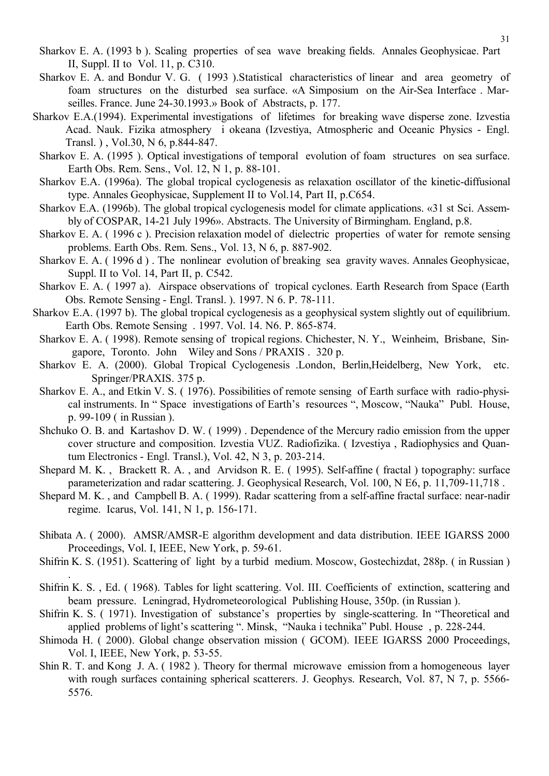- Sharkov E. A. (1993 b ). Scaling properties of sea wave breaking fields. Annales Geophysicae. Part II, Suppl. II to Vol. 11, p. C310.
- Sharkov E. A. and Bondur V. G. ( 1993 ).Statistical characteristics of linear and area geometry of foam structures on the disturbed sea surface. «A Simposium on the Air-Sea Interface . Marseilles. France. June 24-30.1993.» Book of Abstracts, p. 177.
- Sharkov E.A.(1994). Experimental investigations of lifetimes for breaking wave disperse zone. Izvestia Acad. Nauk. Fizika atmosphery i okeana (Izvestiya, Atmospheric and Oceanic Physics - Engl. Transl.), Vol.30, N 6, p.844-847.
	- Sharkov E. A. (1995 ). Optical investigations of temporal evolution of foam structures on sea surface. Earth Obs. Rem. Sens., Vol. 12, N 1, p. 88-101.
	- Sharkov E.A. (1996a). The global tropical cyclogenesis as relaxation oscillator of the kinetic-diffusional type. Annales Geophysicae, Supplement II to Vol.14, Part II, p.C654.
	- Sharkov E.A. (1996b). The global tropical cyclogenesis model for climate applications. «31 st Sci. Assembly of COSPAR, 1421 July 1996». Abstracts. The University of Birmingham. England, p.8.
	- Sharkov E. A. ( 1996 c ). Precision relaxation model of dielectric properties of water for remote sensing problems. Earth Obs. Rem. Sens., Vol.  $13$ , N  $6$ , p.  $887-902$ .
	- Sharkov E. A. ( 1996 d ) . The nonlinear evolution of breaking sea gravity waves. Annales Geophysicae, Suppl. II to Vol. 14, Part II, p. C542.
- Sharkov E. A. ( 1997 a). Airspace observations of tropical cyclones. Earth Research from Space (Earth Obs. Remote Sensing - Engl. Transl. ). 1997. N 6. P. 78-111.
- Sharkov E.A. (1997 b). The global tropical cyclogenesis as a geophysical system slightly out of equilibrium. Earth Obs. Remote Sensing . 1997. Vol. 14. N6. P. 865-874.
	- Sharkov E. A. ( 1998). Remote sensing of tropical regions. Chichester, N. Y., Weinheim, Brisbane, Singapore, Toronto. John Wiley and Sons / PRAXIS . 320 p.
	- Sharkov E. A. (2000). Global Tropical Cyclogenesis .London, Berlin,Heidelberg, New York, etc. Springer/PRAXIS. 375 p.
	- Sharkov E. A., and Etkin V. S. (1976). Possibilities of remote sensing of Earth surface with radio-physical instruments. In " Space investigations of Earth's resources ", Moscow, "Nauka" Publ. House, p. 99109 ( in Russian ).
	- Shchuko O. B. and Kartashov D. W. ( 1999) . Dependence of the Mercury radio emission from the upper cover structure and composition. Izvestia VUZ. Radiofizika. ( Izvestiya , Radiophysics and Quantum Electronics - Engl. Transl.), Vol. 42, N 3, p. 203-214.
	- Shepard M. K., Brackett R. A., and Arvidson R. E. (1995). Self-affine (fractal) topography: surface parameterization and radar scattering. J. Geophysical Research, Vol. 100, N E6, p. 11,709-11,718.
	- Shepard M. K., and Campbell B. A. (1999). Radar scattering from a self-affine fractal surface: near-nadir regime. Icarus, Vol. 141, N 1, p. 156-171.
	- Shibata A. (2000). AMSR/AMSR-E algorithm development and data distribution. IEEE IGARSS 2000 Proceedings, Vol. I, IEEE, New York, p. 59-61.
	- Shifrin K. S. (1951). Scattering of light by a turbid medium. Moscow, Gostechizdat, 288p. ( in Russian )

.

- Shifrin K. S. , Ed. ( 1968). Tables for light scattering. Vol. III. Coefficients of extinction, scattering and beam pressure. Leningrad, Hydrometeorological Publishing House, 350p. (in Russian ).
- Shifrin K. S. (1971). Investigation of substance's properties by single-scattering. In "Theoretical and applied problems of light's scattering ". Minsk, "Nauka i technika" Publ. House, p. 228-244.
- Shimoda H. ( 2000). Global change observation mission ( GCOM). IEEE IGARSS 2000 Proceedings, Vol. I, IEEE, New York, p. 53-55.
- Shin R. T. and Kong J. A. ( 1982 ). Theory for thermal microwave emission from a homogeneous layer with rough surfaces containing spherical scatterers. J. Geophys. Research, Vol. 87, N 7, p. 5566-5576.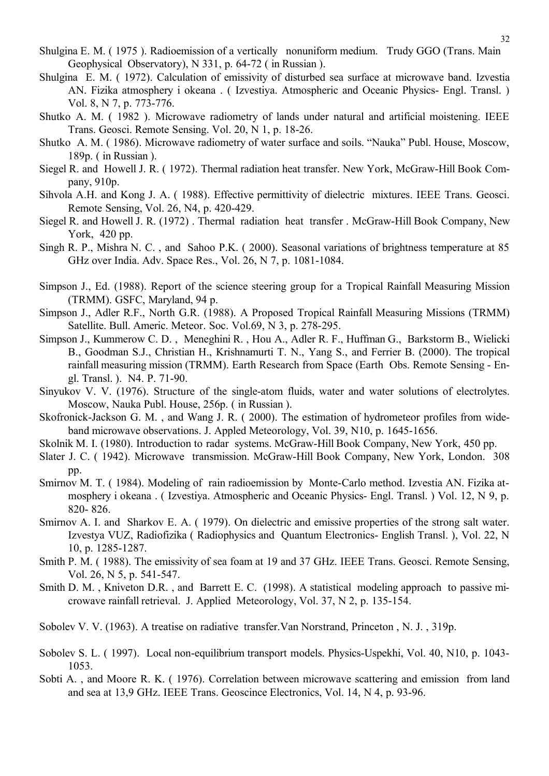- 32
- Shulgina E. M. ( 1975 ). Radioemission of a vertically nonuniform medium. Trudy GGO (Trans. Main Geophysical Observatory), N 331, p. 64-72 (in Russian).
- Shulgina E. M. ( 1972). Calculation of emissivity of disturbed sea surface at microwave band. Izvestia AN. Fizika atmosphery i okeana. (Izvestiya. Atmospheric and Oceanic Physics- Engl. Transl.) Vol. 8, N 7, p. 773-776.
- Shutko A. M. ( 1982 ). Microwave radiometry of lands under natural and artificial moistening. IEEE Trans. Geosci. Remote Sensing. Vol. 20, N 1, p. 18-26.
- Shutko A. M. ( 1986). Microwave radiometry of water surface and soils. "Nauka" Publ. House, Moscow, 189p. ( in Russian ).
- Siegel R. and Howell J. R. (1972). Thermal radiation heat transfer. New York, McGraw-Hill Book Company, 910p.
- Sihvola A.H. and Kong J. A. ( 1988). Effective permittivity of dielectric mixtures. IEEE Trans. Geosci. Remote Sensing, Vol. 26, N4, p. 420-429.
- Siegel R. and Howell J. R. (1972). Thermal radiation heat transfer. McGraw-Hill Book Company, New York, 420 pp.
- Singh R. P., Mishra N. C. , and Sahoo P.K. ( 2000). Seasonal variations of brightness temperature at 85 GHz over India. Adv. Space Res., Vol. 26, N 7, p. 1081-1084.
- Simpson J., Ed. (1988). Report of the science steering group for a Tropical Rainfall Measuring Mission (TRMM). GSFC, Maryland, 94 p.
- Simpson J., Adler R.F., North G.R. (1988). A Proposed Tropical Rainfall Measuring Missions (TRMM) Satellite. Bull. Americ. Meteor. Soc. Vol.69, N 3, p. 278-295.
- Simpson J., Kummerow C. D. , Meneghini R. , Hou A., Adler R. F., Huffman G., Barkstorm B., Wielicki B., Goodman S.J., Christian H., Krishnamurti T. N., Yang S., and Ferrier B. (2000). The tropical rainfall measuring mission (TRMM). Earth Research from Space (Earth Obs. Remote Sensing - Engl. Transl. ). N4. P. 71-90.
- Sinyukov V. V. (1976). Structure of the single-atom fluids, water and water solutions of electrolytes. Moscow, Nauka Publ. House, 256p. ( in Russian ).
- Skofronick-Jackson G. M., and Wang J. R. (2000). The estimation of hydrometeor profiles from wideband microwave observations. J. Appled Meteorology, Vol. 39, N10, p. 1645-1656.
- Skolnik M. I. (1980). Introduction to radar systems. McGraw-Hill Book Company, New York, 450 pp.
- Slater J. C. (1942). Microwave transmission. McGraw-Hill Book Company, New York, London. 308 pp.
- Smirnov M. T. (1984). Modeling of rain radioemission by Monte-Carlo method. Izvestia AN. Fizika atmosphery i okeana . (Izvestiya. Atmospheric and Oceanic Physics- Engl. Transl. ) Vol. 12, N 9, p. 820 826.
- Smirnov A. I. and Sharkov E. A. ( 1979). On dielectric and emissive properties of the strong salt water. Izvestya VUZ, Radiofizika ( Radiophysics and Quantum Electronics English Transl. ), Vol. 22, N 10, p. 1285-1287.
- Smith P. M. ( 1988). The emissivity of sea foam at 19 and 37 GHz. IEEE Trans. Geosci. Remote Sensing, Vol. 26, N 5, p. 541-547.
- Smith D. M. , Kniveton D.R. , and Barrett E. C. (1998). A statistical modeling approach to passive microwave rainfall retrieval. J. Applied Meteorology, Vol. 37, N 2, p. 135-154.
- Sobolev V. V. (1963). A treatise on radiative transfer.Van Norstrand, Princeton , N. J. , 319p.
- Sobolev S. L. (1997). Local non-equilibrium transport models. Physics-Uspekhi, Vol. 40, N10, p. 1043-1053.
- Sobti A. , and Moore R. K. ( 1976). Correlation between microwave scattering and emission from land and sea at 13,9 GHz. IEEE Trans. Geoscince Electronics, Vol. 14, N 4, p. 93-96.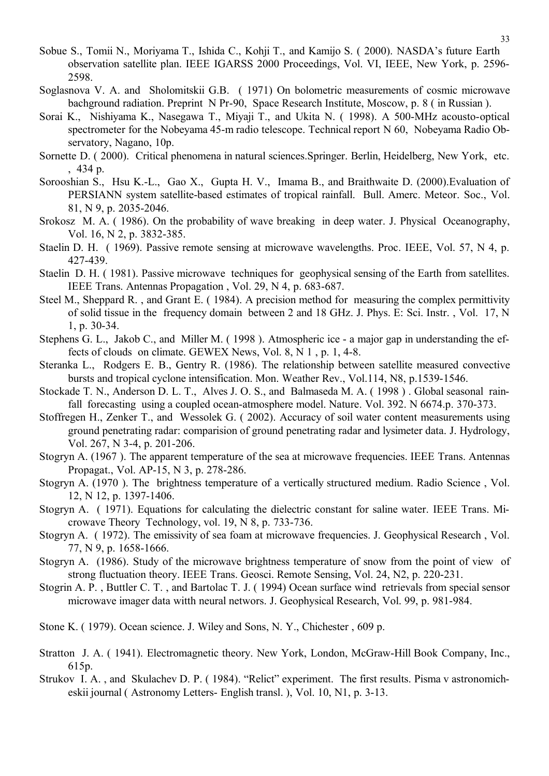- Sobue S., Tomii N., Moriyama T., Ishida C., Kohji T., and Kamijo S. ( 2000). NASDA's future Earth observation satellite plan. IEEE IGARSS 2000 Proceedings, Vol. VI, IEEE, New York, p. 2596 2598.
- Soglasnova V. A. and Sholomitskii G.B. ( 1971) On bolometric measurements of cosmic microwave bachground radiation. Preprint N Pr-90, Space Research Institute, Moscow, p. 8 (in Russian).
- Sorai K., Nishiyama K., Nasegawa T., Miyaji T., and Ukita N. (1998). A 500-MHz acousto-optical spectrometer for the Nobeyama 45-m radio telescope. Technical report N 60, Nobeyama Radio Observatory, Nagano, 10p.
- Sornette D. ( 2000). Critical phenomena in natural sciences.Springer. Berlin, Heidelberg, New York, etc. , 434 p.
- Sorooshian S., Hsu K.-L., Gao X., Gupta H. V., Imama B., and Braithwaite D. (2000). Evaluation of PERSIANN system satellite-based estimates of tropical rainfall. Bull. Amerc. Meteor. Soc., Vol. 81, N 9, p. 2035-2046.
- Srokosz M. A. ( 1986). On the probability of wave breaking in deep water. J. Physical Oceanography, Vol. 16, N 2, p. 3832-385.
- Staelin D. H. ( 1969). Passive remote sensing at microwave wavelengths. Proc. IEEE, Vol. 57, N 4, p. 427439.
- Staelin D. H. ( 1981). Passive microwave techniques for geophysical sensing of the Earth from satellites. IEEE Trans. Antennas Propagation, Vol. 29, N 4, p. 683-687.
- Steel M., Sheppard R. , and Grant E. ( 1984). A precision method for measuring the complex permittivity of solid tissue in the frequency domain between 2 and 18 GHz. J. Phys. E: Sci. Instr. , Vol. 17, N 1, p. 3034.
- Stephens G. L., Jakob C., and Miller M. (1998). Atmospheric ice a major gap in understanding the effects of clouds on climate. GEWEX News, Vol. 8, N 1, p. 1, 4-8.
- Steranka L., Rodgers E. B., Gentry R. (1986). The relationship between satellite measured convective bursts and tropical cyclone intensification. Mon. Weather Rev., Vol.114, N8, p.1539-1546.
- Stockade T. N., Anderson D. L. T., Alves J. O. S., and Balmaseda M. A. ( 1998 ) . Global seasonal rainfall forecasting using a coupled ocean-atmosphere model. Nature. Vol. 392. N 6674.p. 370-373.
- Stoffregen H., Zenker T., and Wessolek G. ( 2002). Accuracy of soil water content measurements using ground penetrating radar: comparision of ground penetrating radar and lysimeter data. J. Hydrology, Vol. 267, N 3-4, p. 201-206.
- Stogryn A. (1967 ). The apparent temperature of the sea at microwave frequencies. IEEE Trans. Antennas Propagat., Vol. AP-15, N 3, p. 278-286.
- Stogryn A. (1970 ). The brightness temperature of a vertically structured medium. Radio Science , Vol. 12, N 12, p. 1397-1406.
- Stogryn A. ( 1971). Equations for calculating the dielectric constant for saline water. IEEE Trans. Microwave Theory Technology, vol.  $19$ , N 8, p. 733-736.
- Stogryn A. ( 1972). The emissivity of sea foam at microwave frequencies. J. Geophysical Research , Vol. 77, N 9, p. 1658-1666.
- Stogryn A. (1986). Study of the microwave brightness temperature of snow from the point of view of strong fluctuation theory. IEEE Trans. Geosci. Remote Sensing, Vol. 24, N2, p. 220-231.
- Stogrin A. P. , Buttler C. T. , and Bartolac T. J. ( 1994) Ocean surface wind retrievals from special sensor microwave imager data witth neural networs. J. Geophysical Research, Vol. 99, p. 981-984.
- Stone K. ( 1979). Ocean science. J. Wiley and Sons, N. Y., Chichester , 609 p.
- Stratton J. A. (1941). Electromagnetic theory. New York, London, McGraw-Hill Book Company, Inc., 615p.
- Strukov I. A. , and Skulachev D. P. ( 1984). "Relict" experiment. The first results. Pisma v astronomicheskii journal (Astronomy Letters- English transl.), Vol. 10, N1, p. 3-13.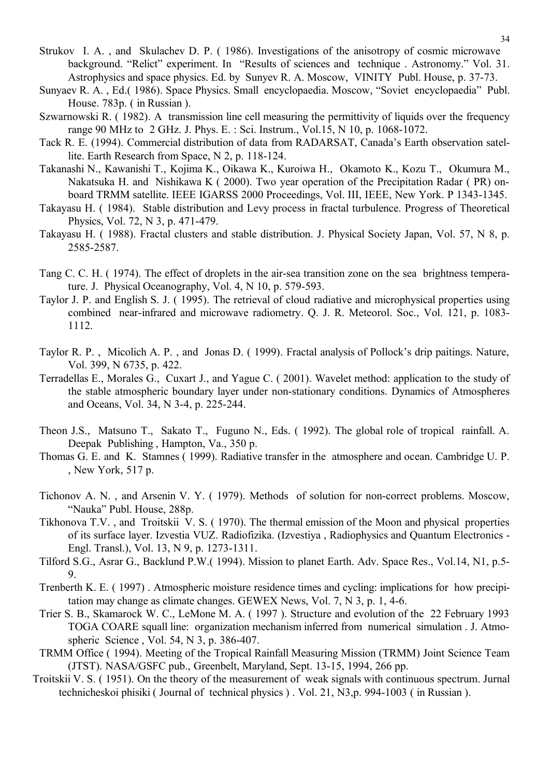- Strukov I. A. , and Skulachev D. P. ( 1986). Investigations of the anisotropy of cosmic microwave background. "Relict" experiment. In "Results of sciences and technique . Astronomy." Vol. 31. Astrophysics and space physics. Ed. by Sunyev R. A. Moscow, VINITY Publ. House, p. 37-73.
- Sunyaev R. A. , Ed.( 1986). Space Physics. Small encyclopaedia. Moscow, "Soviet encyclopaedia" Publ. House. 783p. ( in Russian ).
- Szwarnowski R. ( 1982). A transmission line cell measuring the permittivity of liquids over the frequency range 90 MHz to  $2$  GHz. J. Phys. E.: Sci. Instrum., Vol.15, N 10, p. 1068-1072.
- Tack R. E. (1994). Commercial distribution of data from RADARSAT, Canada's Earth observation satellite. Earth Research from Space, N 2, p. 118-124.
- Takanashi N., Kawanishi T., Kojima K., Oikawa K., Kuroiwa H., Okamoto K., Kozu T., Okumura M., Nakatsuka H. and Nishikawa K ( 2000). Two year operation of the Precipitation Radar ( PR) onboard TRMM satellite. IEEE IGARSS 2000 Proceedings, Vol. III, IEEE, New York. P 1343-1345.
- Takayasu H. ( 1984). Stable distribution and Levy process in fractal turbulence. Progress of Theoretical Physics, Vol. 72, N 3, p. 471-479.
- Takayasu H. ( 1988). Fractal clusters and stable distribution. J. Physical Society Japan, Vol. 57, N 8, p. 25852587.
- Tang C. C. H. (1974). The effect of droplets in the air-sea transition zone on the sea brightness temperature. J. Physical Oceanography, Vol. 4, N  $10$ , p. 579-593.
- Taylor J. P. and English S. J. ( 1995). The retrieval of cloud radiative and microphysical properties using combined near-infrared and microwave radiometry. O. J. R. Meteorol. Soc., Vol. 121, p. 1083-1112.
- Taylor R. P. , Micolich A. P. , and Jonas D. ( 1999). Fractal analysis of Pollock's drip paitings. Nature, Vol. 399, N 6735, p. 422.
- Terradellas E., Morales G., Cuxart J., and Yague C. ( 2001). Wavelet method: application to the study of the stable atmospheric boundary layer under nonstationary conditions. Dynamics of Atmospheres and Oceans, Vol. 34, N 3-4, p. 225-244.
- Theon J.S., Matsuno T., Sakato T., Fuguno N., Eds. ( 1992). The global role of tropical rainfall. A. Deepak Publishing , Hampton, Va., 350 p.
- Thomas G. E. and K. Stamnes ( 1999). Radiative transfer in the atmosphere and ocean. Cambridge U. P. , New York, 517 p.
- Tichonov A. N., and Arsenin V. Y. (1979). Methods of solution for non-correct problems. Moscow, "Nauka" Publ. House, 288p.
- Tikhonova T.V. , and Troitskii V. S. ( 1970). The thermal emission of the Moon and physical properties of its surface layer. Izvestia VUZ. Radiofizika. (Izvestiya , Radiophysics and Quantum Electronics Engl. Transl.), Vol. 13, N 9, p. 1273-1311.
- Tilford S.G., Asrar G., Backlund P.W.( 1994). Mission to planet Earth. Adv. Space Res., Vol.14, N1, p.5 9.
- Trenberth K. E. ( 1997) . Atmospheric moisture residence times and cycling: implications for how precipitation may change as climate changes. GEWEX News, Vol. 7, N 3, p. 1, 46.
- Trier S. B., Skamarock W. C., LeMone M. A. ( 1997 ). Structure and evolution of the 22 February 1993 TOGA COARE squall line: organization mechanism inferred from numerical simulation . J. Atmospheric Science, Vol. 54, N 3, p. 386-407.
- TRMM Office ( 1994). Meeting of the Tropical Rainfall Measuring Mission (TRMM) Joint Science Team (JTST). NASA/GSFC pub., Greenbelt, Maryland, Sept. 13-15, 1994, 266 pp.
- Troitskii V. S. ( 1951). On the theory of the measurement of weak signals with continuous spectrum. Jurnal technicheskoi phisiki (Journal of technical physics). Vol. 21, N3, p. 994-1003 (in Russian).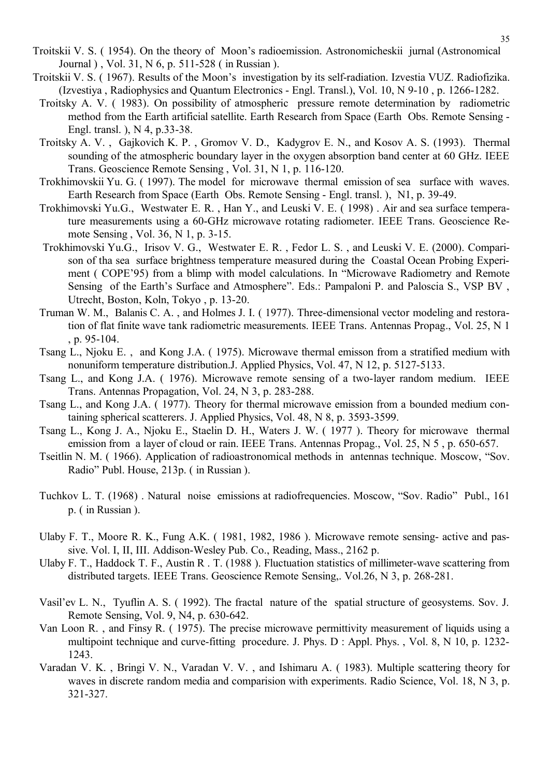- Troitskii V. S. ( 1954). On the theory of Moon's radioemission. Astronomicheskii jurnal (Astronomical Journal), Vol. 31, N 6, p. 511-528 (in Russian).
- Troitskii V. S. (1967). Results of the Moon's investigation by its self-radiation. Izvestia VUZ. Radiofizika. (Izvestiya, Radiophysics and Quantum Electronics - Engl. Transl.), Vol. 10, N 9-10, p. 1266-1282.
- Troitsky A. V. ( 1983). On possibility of atmospheric pressure remote determination by radiometric method from the Earth artificial satellite. Earth Research from Space (Earth Obs. Remote Sensing Engl. transl. ),  $N$  4, p.33-38.
- Troitsky A. V. , Gajkovich K. P. , Gromov V. D., Kadygrov E. N., and Kosov A. S. (1993). Thermal sounding of the atmospheric boundary layer in the oxygen absorption band center at 60 GHz. IEEE Trans. Geoscience Remote Sensing, Vol. 31, N 1, p. 116-120.
- Trokhimovskii Yu. G. ( 1997). The model for microwave thermal emission of sea surface with waves. Earth Research from Space (Earth Obs. Remote Sensing - Engl. transl.), N1, p. 39-49.
- Trokhimovski Yu.G., Westwater E. R. , Han Y., and Leuski V. E. ( 1998) . Air and sea surface temperature measurements using a 60-GHz microwave rotating radiometer. IEEE Trans. Geoscience Remote Sensing, Vol. 36, N 1, p. 3-15.
- Trokhimovski Yu.G., Irisov V. G., Westwater E. R. , Fedor L. S. , and Leuski V. E. (2000). Comparison of tha sea surface brightness temperature measured during the Coastal Ocean Probing Experiment ( COPE'95) from a blimp with model calculations. In "Microwave Radiometry and Remote Sensing of the Earth's Surface and Atmosphere". Eds.: Pampaloni P. and Paloscia S., VSP BV, Utrecht, Boston, Koln, Tokyo, p. 13-20.
- Truman W. M., Balanis C. A., and Holmes J. I. (1977). Three-dimensional vector modeling and restoration of flat finite wave tank radiometric measurements. IEEE Trans. Antennas Propag., Vol. 25, N 1  $, p. 95-104.$
- Tsang L., Njoku E. , and Kong J.A. ( 1975). Microwave thermal emisson from a stratified medium with nonuniform temperature distribution. J. Applied Physics, Vol. 47, N 12, p. 5127-5133.
- Tsang L., and Kong J.A. (1976). Microwave remote sensing of a two-layer random medium. IEEE Trans. Antennas Propagation, Vol. 24, N  $3$ , p. 283-288.
- Tsang L., and Kong J.A. ( 1977). Theory for thermal microwave emission from a bounded medium containing spherical scatterers. J. Applied Physics, Vol. 48, N 8, p. 3593-3599.
- Tsang L., Kong J. A., Njoku E., Staelin D. H., Waters J. W. ( 1977 ). Theory for microwave thermal emission from a layer of cloud or rain. IEEE Trans. Antennas Propag., Vol.  $25$ , N  $5$ , p.  $650-657$ .
- Tseitlin N. M. ( 1966). Application of radioastronomical methods in antennas technique. Moscow, "Sov. Radio" Publ. House, 213p. ( in Russian ).
- Tuchkov L. T. (1968) . Natural noise emissions at radiofrequencies. Moscow, "Sov. Radio" Publ., 161 p. ( in Russian ).
- Ulaby F. T., Moore R. K., Fung A.K. (1981, 1982, 1986). Microwave remote sensing-active and passive. Vol. I, II, III. Addison-Wesley Pub. Co., Reading, Mass., 2162 p.
- Ulaby F. T., Haddock T. F., Austin R. T. (1988). Fluctuation statistics of millimeter-wave scattering from distributed targets. IEEE Trans. Geoscience Remote Sensing, Vol.26, N 3, p. 268-281.
- Vasil'ev L. N., Tyuflin A. S. ( 1992). The fractal nature of the spatial structure of geosystems. Sov. J. Remote Sensing, Vol. 9, N4, p. 630-642.
- Van Loon R. , and Finsy R. ( 1975). The precise microwave permittivity measurement of liquids using a multipoint technique and curve-fitting procedure. J. Phys. D : Appl. Phys., Vol. 8, N 10, p. 1232-1243.
- Varadan V. K. , Bringi V. N., Varadan V. V. , and Ishimaru A. ( 1983). Multiple scattering theory for waves in discrete random media and comparision with experiments. Radio Science, Vol. 18, N 3, p. 321327.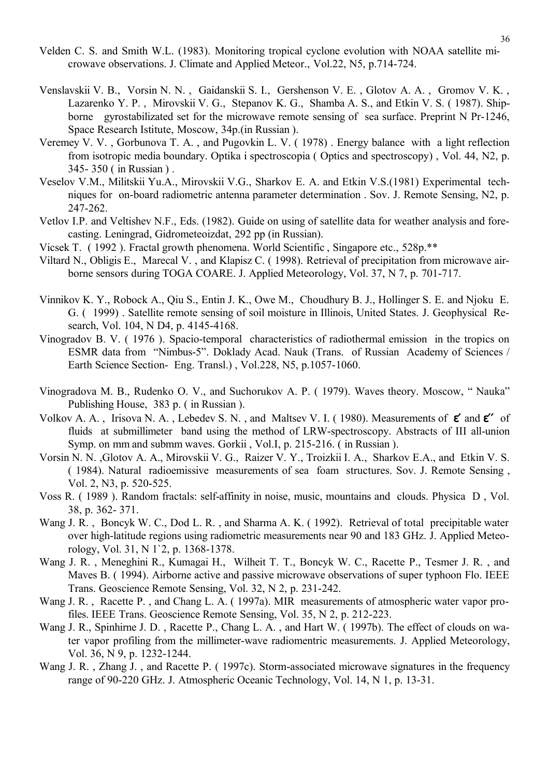- Velden C. S. and Smith W.L. (1983). Monitoring tropical cyclone evolution with NOAA satellite microwave observations. J. Climate and Applied Meteor., Vol.22, N5, p.714724.
- Venslavskii V. B., Vorsin N. N. , Gaidanskii S. I., Gershenson V. E. , Glotov A. A. , Gromov V. K. , Lazarenko Y. P. , Mirovskii V. G., Stepanov K. G., Shamba A. S., and Etkin V. S. ( 1987). Shipborne gyrostabilizated set for the microwave remote sensing of sea surface. Preprint N Pr-1246, Space Research Istitute, Moscow, 34p.(in Russian ).
- Veremey V. V. , Gorbunova T. A. , and Pugovkin L. V. ( 1978) . Energy balance with a light reflection from isotropic media boundary. Optika i spectroscopia ( Optics and spectroscopy) , Vol. 44, N2, p. 345 350 ( in Russian ) .
- Veselov V.M., Militskii Yu.A., Mirovskii V.G., Sharkov E. A. and Etkin V.S.(1981) Experimental techniques for on-board radiometric antenna parameter determination . Sov. J. Remote Sensing, N2, p. 247-262.
- Vetlov I.P. and Veltishev N.F., Eds. (1982). Guide on using of satellite data for weather analysis and forecasting. Leningrad, Gidrometeoizdat, 292 pp (in Russian).
- Vicsek T. ( 1992 ). Fractal growth phenomena. World Scientific , Singapore etc., 528p.\*\*
- Viltard N., Obligis E., Marecal V. , and Klapisz C. ( 1998). Retrieval of precipitation from microwave airborne sensors during TOGA COARE. J. Applied Meteorology, Vol. 37, N 7, p. 701-717.
- Vinnikov K. Y., Robock A., Qiu S., Entin J. K., Owe M., Choudhury B. J., Hollinger S. E. and Njoku E. G. ( 1999) . Satellite remote sensing of soil moisture in Illinois, United States. J. Geophysical Research, Vol. 104, N D4, p. 4145-4168.
- Vinogradov B. V. (1976). Spacio-temporal characteristics of radiothermal emission in the tropics on ESMR data from "Nimbus-5". Doklady Acad. Nauk (Trans. of Russian Academy of Sciences / Earth Science Section Eng. Transl.), Vol.228, N5, p.1057-1060.
- Vinogradova M. B., Rudenko O. V., and Suchorukov A. P. ( 1979). Waves theory. Moscow, " Nauka" Publishing House, 383 p. ( in Russian ).
- Volkov A. A. , Irisova N. A. , Lebedev S. N. , and Maltsev V. I. ( 1980). Measurements of ε′ and ε′′ of fluids at submillimeter band using the method of LRW-spectroscopy. Abstracts of III all-union Symp. on mm and submm waves. Gorkii, Vol.I, p. 215-216. (in Russian).
- Vorsin N. N. ,Glotov A. A., Mirovskii V. G., Raizer V. Y., Troizkii I. A., Sharkov E.A., and Etkin V. S. ( 1984). Natural radioemissive measurements of sea foam structures. Sov. J. Remote Sensing , Vol. 2, N3, p. 520-525.
- Voss R. (1989). Random fractals: self-affinity in noise, music, mountains and clouds. Physica D, Vol. 38, p. 362-371.
- Wang J. R., Boncyk W. C., Dod L. R., and Sharma A. K. (1992). Retrieval of total precipitable water over high-latitude regions using radiometric measurements near 90 and 183 GHz. J. Applied Meteorology, Vol. 31, N 1'2, p. 1368-1378.
- Wang J. R. , Meneghini R., Kumagai H., Wilheit T. T., Boncyk W. C., Racette P., Tesmer J. R. , and Maves B. ( 1994). Airborne active and passive microwave observations of super typhoon Flo. IEEE Trans. Geoscience Remote Sensing, Vol. 32, N 2, p. 231-242.
- Wang J. R., Racette P., and Chang L. A. (1997a). MIR measurements of atmospheric water vapor profiles. IEEE Trans. Geoscience Remote Sensing, Vol. 35, N 2, p. 212-223.
- Wang J. R., Spinhirne J. D. , Racette P., Chang L. A. , and Hart W. ( 1997b). The effect of clouds on water vapor profiling from the millimeter-wave radiomentric measurements. J. Applied Meteorology, Vol. 36, N 9, p. 1232-1244.
- Wang J. R., Zhang J., and Racette P. (1997c). Storm-associated microwave signatures in the frequency range of 90-220 GHz. J. Atmospheric Oceanic Technology, Vol. 14, N 1, p. 13-31.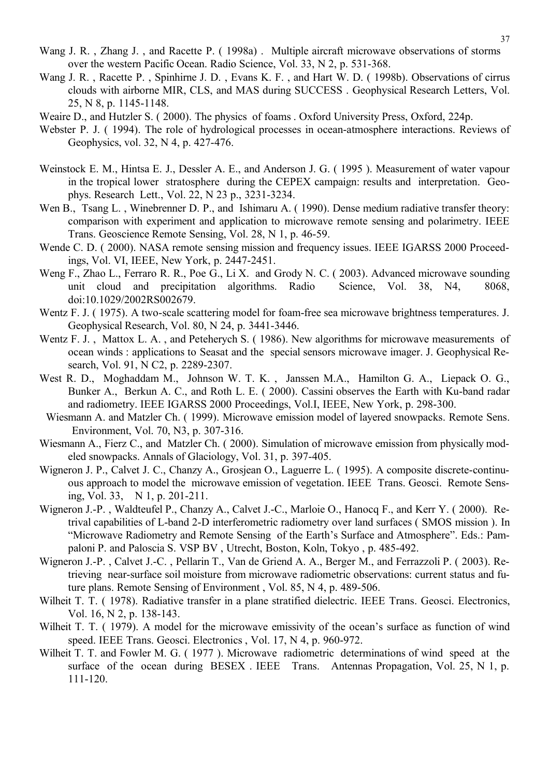- Wang J. R. , Zhang J. , and Racette P. ( 1998a) . Multiple aircraft microwave observations of storms over the western Pacific Ocean. Radio Science, Vol. 33, N 2, p. 531-368.
- Wang J. R., Racette P., Spinhirne J. D., Evans K. F., and Hart W. D. (1998b). Observations of cirrus clouds with airborne MIR, CLS, and MAS during SUCCESS . Geophysical Research Letters, Vol. 25, N 8, p. 1145-1148.
- Weaire D., and Hutzler S. ( 2000). The physics of foams . Oxford University Press, Oxford, 224p.
- Webster P. J. (1994). The role of hydrological processes in ocean-atmosphere interactions. Reviews of Geophysics, vol. 32, N 4, p. 427-476.
- Weinstock E. M., Hintsa E. J., Dessler A. E., and Anderson J. G. ( 1995 ). Measurement of water vapour in the tropical lower stratosphere during the CEPEX campaign: results and interpretation. Geophys. Research Lett., Vol. 22, N 23 p., 3231-3234.
- Wen B., Tsang L., Winebrenner D. P., and Ishimaru A. (1990). Dense medium radiative transfer theory: comparison with experiment and application to microwave remote sensing and polarimetry. IEEE Trans. Geoscience Remote Sensing, Vol. 28, N 1, p. 46-59.
- Wende C. D. (2000). NASA remote sensing mission and frequency issues. IEEE IGARSS 2000 Proceedings, Vol. VI, IEEE, New York, p. 2447-2451.
- Weng F., Zhao L., Ferraro R. R., Poe G., Li X. and Grody N. C. ( 2003). Advanced microwave sounding unit cloud and precipitation algorithms. Radio Science, Vol. 38, N4, 8068, doi:10.1029/2002RS002679.
- Wentz F. J. (1975). A two-scale scattering model for foam-free sea microwave brightness temperatures. J. Geophysical Research, Vol. 80, N 24, p. 3441-3446.
- Wentz F. J., Mattox L. A., and Peteherych S. (1986). New algorithms for microwave measurements of ocean winds : applications to Seasat and the special sensors microwave imager. J. Geophysical Research, Vol. 91, N C2, p. 2289-2307.
- West R. D., Moghaddam M., Johnson W. T. K. , Janssen M.A., Hamilton G. A., Liepack O. G., Bunker A., Berkun A. C., and Roth L. E. (2000). Cassini observes the Earth with Ku-band radar and radiometry. IEEE IGARSS 2000 Proceedings, Vol.I, IEEE, New York, p. 298-300.
- Wiesmann A. and Matzler Ch. ( 1999). Microwave emission model of layered snowpacks. Remote Sens. Environment, Vol. 70, N3, p. 307-316.
- Wiesmann A., Fierz C., and Matzler Ch. ( 2000). Simulation of microwave emission from physically modeled snowpacks. Annals of Glaciology, Vol. 31, p. 397-405.
- Wigneron J. P., Calvet J. C., Chanzy A., Grosjean O., Laguerre L. (1995). A composite discrete-continuous approach to model the microwave emission of vegetation. IEEE Trans. Geosci. Remote Sensing, Vol. 33, N 1, p. 201-211.
- Wigneron J.-P., Waldteufel P., Chanzy A., Calvet J.-C., Marloie O., Hanocq F., and Kerr Y. (2000). Retrival capabilities of L-band 2-D interferometric radiometry over land surfaces ( SMOS mission ). In "Microwave Radiometry and Remote Sensing of the Earth's Surface and Atmosphere". Eds.: Pampaloni P. and Paloscia S. VSP BV, Utrecht, Boston, Koln, Tokyo, p. 485-492.
- Wigneron J.P. , Calvet J.C. , Pellarin T., Van de Griend A. A., Berger M., and Ferrazzoli P. ( 2003). Retrieving near-surface soil moisture from microwave radiometric observations: current status and future plans. Remote Sensing of Environment, Vol. 85, N 4, p. 489-506.
- Wilheit T. T. ( 1978). Radiative transfer in a plane stratified dielectric. IEEE Trans. Geosci. Electronics, Vol. 16, N 2, p. 138-143.
- Wilheit T. T. (1979). A model for the microwave emissivity of the ocean's surface as function of wind speed. IEEE Trans. Geosci. Electronics, Vol. 17, N 4, p. 960-972.
- Wilheit T. T. and Fowler M. G. (1977). Microwave radiometric determinations of wind speed at the surface of the ocean during BESEX. IEEE Trans. Antennas Propagation, Vol. 25, N 1, p. 111120.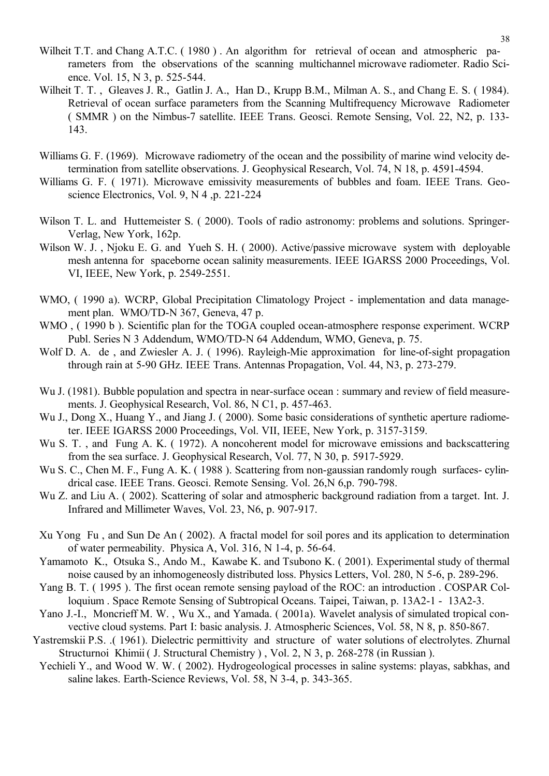- Wilheit T.T. and Chang A.T.C. (1980). An algorithm for retrieval of ocean and atmospheric parameters from the observations of the scanning multichannel microwave radiometer. Radio Science. Vol. 15, N  $3$ , p. 525-544.
- Wilheit T. T. , Gleaves J. R., Gatlin J. A., Han D., Krupp B.M., Milman A. S., and Chang E. S. ( 1984). Retrieval of ocean surface parameters from the Scanning Multifrequency Microwave Radiometer ( SMMR ) on the Nimbus-7 satellite. IEEE Trans. Geosci. Remote Sensing, Vol. 22, N2, p. 133-143.
- Williams G. F. (1969). Microwave radiometry of the ocean and the possibility of marine wind velocity determination from satellite observations. J. Geophysical Research, Vol. 74, N 18, p. 4591-4594.
- Williams G. F. ( 1971). Microwave emissivity measurements of bubbles and foam. IEEE Trans. Geoscience Electronics, Vol. 9, N  $4$ , p. 221-224
- Wilson T. L. and Huttemeister S. (2000). Tools of radio astronomy: problems and solutions. Springer-Verlag, New York, 162p.
- Wilson W. J., Njoku E. G. and Yueh S. H. (2000). Active/passive microwave system with deployable mesh antenna for spaceborne ocean salinity measurements. IEEE IGARSS 2000 Proceedings, Vol. VI, IEEE, New York, p. 2549-2551.
- WMO, (1990 a). WCRP, Global Precipitation Climatology Project implementation and data management plan. WMO/TD-N 367, Geneva, 47 p.
- WMO , (1990 b). Scientific plan for the TOGA coupled ocean-atmosphere response experiment. WCRP Publ. Series N 3 Addendum, WMO/TD-N 64 Addendum, WMO, Geneva, p. 75.
- Wolf D. A. de, and Zwiesler A. J. (1996). Rayleigh-Mie approximation for line-of-sight propagation through rain at 5-90 GHz. IEEE Trans. Antennas Propagation, Vol. 44, N3, p. 273-279.
- Wu J. (1981). Bubble population and spectra in near-surface ocean : summary and review of field measurements. J. Geophysical Research, Vol. 86, N C1, p. 457-463.
- Wu J., Dong X., Huang Y., and Jiang J. (2000). Some basic considerations of synthetic aperture radiometer. IEEE IGARSS 2000 Proceedings, Vol. VII, IEEE, New York, p. 3157-3159.
- Wu S. T., and Fung A. K. (1972). A noncoherent model for microwave emissions and backscattering from the sea surface. J. Geophysical Research, Vol. 77, N 30, p. 5917-5929.
- Wu S. C., Chen M. F., Fung A. K. (1988). Scattering from non-gaussian randomly rough surfaces-cylindrical case. IEEE Trans. Geosci. Remote Sensing. Vol. 26, N 6, p. 790-798.
- Wu Z. and Liu A. ( 2002). Scattering of solar and atmospheric background radiation from a target. Int. J. Infrared and Millimeter Waves, Vol. 23, N6, p. 907-917.
- Xu Yong Fu , and Sun De An ( 2002). A fractal model for soil pores and its application to determination of water permeability. Physica A, Vol. 316, N 1-4, p. 56-64.
- Yamamoto K., Otsuka S., Ando M., Kawabe K. and Tsubono K. ( 2001). Experimental study of thermal noise caused by an inhomogeneosly distributed loss. Physics Letters, Vol. 280, N 5-6, p. 289-296.
- Yang B. T. ( 1995 ). The first ocean remote sensing payload of the ROC: an introduction . COSPAR Colloquium . Space Remote Sensing of Subtropical Oceans. Taipei, Taiwan, p. 13A2-1 - 13A2-3.
- Yano J.I., Moncrieff M. W. , Wu X., and Yamada. ( 2001a). Wavelet analysis of simulated tropical convective cloud systems. Part I: basic analysis. J. Atmospheric Sciences, Vol. 58, N 8, p. 850-867.
- Yastremskii P.S. .( 1961). Dielectric permittivity and structure of water solutions of electrolytes. Zhurnal Structurnoi Khimii ( J. Structural Chemistry ), Vol. 2, N 3, p. 268-278 (in Russian ).
- Yechieli Y., and Wood W. W. ( 2002). Hydrogeological processes in saline systems: playas, sabkhas, and saline lakes. Earth-Science Reviews, Vol. 58, N 3-4, p. 343-365.